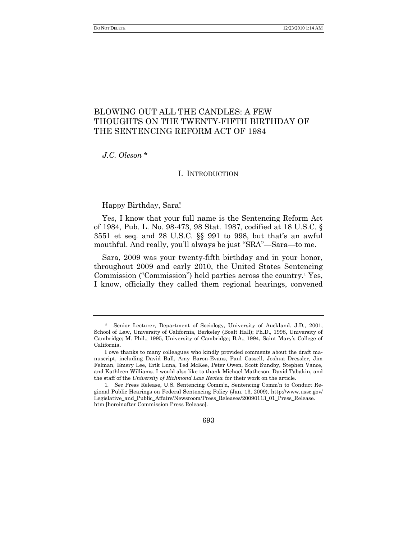# BLOWING OUT ALL THE CANDLES: A FEW THOUGHTS ON THE TWENTY-FIFTH BIRTHDAY OF THE SENTENCING REFORM ACT OF 1984

*J.C. Oleson* \*

## <span id="page-0-0"></span>I. INTRODUCTION

Happy Birthday, Sara!

Yes, I know that your full name is the Sentencing Reform Act of 1984, Pub. L. No. 98-473, 98 Stat. 1987, codified at 18 U.S.C. § 3551 et seq. and 28 U.S.C. §§ 991 to 998, but that's an awful mouthful. And really, you'll always be just "SRA"—Sara—to me.

Sara, 2009 was your twenty-fifth birthday and in your honor, throughout 2009 and early 2010, the United States Sentencing Commission ("Commission") held parties across the country.<sup>1</sup> Yes, I know, officially they called them regional hearings, convened

<sup>1</sup>*. See* Press Release, U.S. Sentencing Comm'n, Sentencing Comm'n to Conduct Regional Public Hearings on Federal Sentencing Policy (Jan. 13, 2009), http://www.ussc.gov/ Legislative\_and\_Public\_Affairs/Newsroom/Press\_Releases/20090113\_01\_Press\_Release. htm [hereinafter Commission Press Release].



<sup>\*</sup> Senior Lecturer, Department of Sociology, University of Auckland. J.D., 2001, School of Law, University of California, Berkeley (Boalt Hall); Ph.D., 1998, University of Cambridge; M. Phil., 1995, University of Cambridge; B.A., 1994, Saint Mary's College of California.

I owe thanks to many colleagues who kindly provided comments about the draft manuscript, including David Ball, Amy Baron-Evans, Paul Cassell, Joshua Dressler, Jim Felman, Emery Lee, Erik Luna, Ted McKee, Peter Owen, Scott Sundby, Stephen Vance, and Kathleen Williams. I would also like to thank Michael Matheson, David Tabakin, and the staff of the *University of Richmond Law Review* for their work on the article.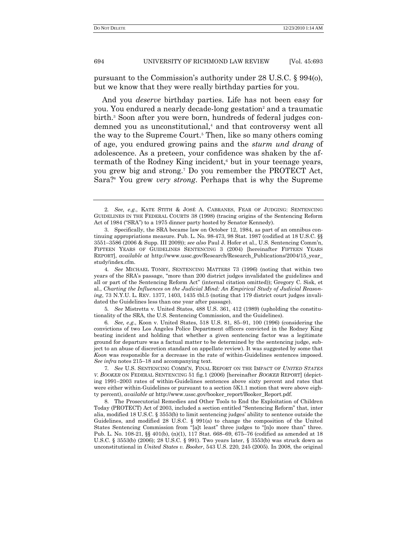pursuant to the Commission's authority under 28 U.S.C. § 994(o), but we know that they were really birthday parties for you.

<span id="page-1-0"></span>And you *deserve* birthday parties. Life has not been easy for you. You endured a nearly decade-long gestation<sup>2</sup> and a traumatic birth.<sup>3</sup> Soon after you were born, hundreds of federal judges condemned you as unconstitutional,<sup>4</sup> and that controversy went all the way to the Supreme Court.<sup>5</sup> Then, like so many others coming of age, you endured growing pains and the *sturm und drang* of adolescence. As a preteen, your confidence was shaken by the aftermath of the Rodney King incident,<sup>6</sup> but in your teenage years, you grew big and strong.<sup>7</sup> Do you remember the PROTECT Act, Sara?<sup>8</sup> You grew *very strong*. Perhaps that is why the Supreme

5*. See* Mistretta v. United States, 488 U.S. 361, 412 (1989) (upholding the constitutionality of the SRA, the U.S. Sentencing Commission, and the Guidelines).

6*. See, e.g*., Koon v. United States, 518 U.S. 81, 85–91, 100 (1996) (considering the convictions of two Los Angeles Police Department officers convicted in the Rodney King beating incident and holding that whether a given sentencing factor was a legitimate ground for departure was a factual matter to be determined by the sentencing judge, subject to an abuse of discretion standard on appellate review). It was suggested by some that *Koon* was responsible for a decrease in the rate of within-Guidelines sentences imposed. *See infra* notes 215–18 and accompanying text.

<sup>2</sup>*. See, e.g.*, KATE STITH & JOSÉ A. CABRANES, FEAR OF JUDGING: SENTENCING GUIDELINES IN THE FEDERAL COURTS 38 (1998) (tracing origins of the Sentencing Reform Act of 1984 ("SRA") to a 1975 dinner party hosted by Senator Kennedy).

<sup>3.</sup> Specifically, the SRA became law on October 12, 1984, as part of an omnibus continuing appropriations measure. Pub. L. No. 98-473, 98 Stat. 1987 (codified at 18 U.S.C. §§ 3551–3586 (2006 & Supp. III 2009)); *see also* Paul J. Hofer et al., U.S. Sentencing Comm'n, FIFTEEN YEARS OF GUIDELINES SENTENCING 3 (2004) [hereinafter FIFTEEN YEARS REPORT], *available at* http://www.ussc.gov/Research/Research\_Publications/2004/15\_year\_ study/index.cfm.

<sup>4</sup>*. See* MICHAEL TONRY, SENTENCING MATTERS 73 (1996) (noting that within two years of the SRA's passage, "more than 200 district judges invalidated the guidelines and all or part of the Sentencing Reform Act‖ (internal citation omitted)); Gregory C. Sisk, et al., *Charting the Influences on the Judicial Mind: An Empirical Study of Judicial Reasoning*, 73 N.Y.U. L. REV. 1377, 1403, 1435 tbl.5 (noting that 179 district court judges invalidated the Guidelines less than one year after passage).

<sup>7</sup>*. See* U.S. SENTENCING COMM'N, FINAL REPORT ON THE IMPACT OF *UNITED STATES V. BOOKER* ON FEDERAL SENTENCING 51 fig.1 (2006) [hereinafter *BOOKER* REPORT] (depicting 1991–2003 rates of within-Guidelines sentences above sixty percent and rates that were either within-Guidelines or pursuant to a section 5K1.1 motion that were above eighty percent), *available at* http://www.ussc.gov/booker\_report/Booker\_Report.pdf.

<sup>8.</sup> The Prosecutorial Remedies and Other Tools to End the Exploitation of Children Today (PROTECT) Act of 2003, included a section entitled "Sentencing Reform" that, inter alia, modified 18 U.S.C. § 3553(b) to limit sentencing judges' ability to sentence outside the Guidelines, and modified 28 U.S.C.  $\S$  991(a) to change the composition of the United States Sentencing Commission from "[a]t least" three judges to "[n]o more than" three. Pub. L. No. 108-21, §§ 401(b), (n)(1), 117 Stat. 668–69, 675–76 (codified as amended at 18 U.S.C. § 3553(b) (2006); 28 U.S.C. § 991). Two years later, § 3553(b) was struck down as unconstitutional in *United States v. Booker*, 543 U.S. 220, 245 (2005). In 2008, the original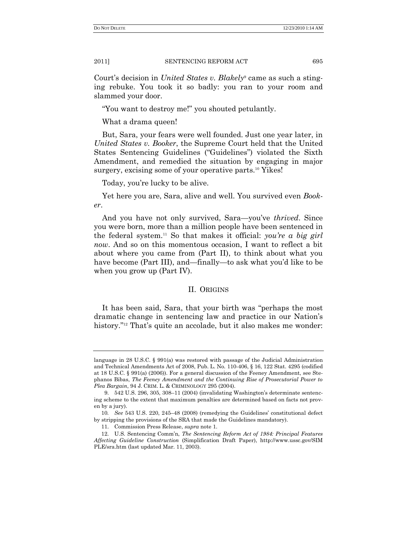Court's decision in *United States v. Blakely*<sup>9</sup> came as such a stinging rebuke. You took it so badly: you ran to your room and slammed your door.

"You want to destroy me!" you shouted petulantly.

What a drama queen!

But, Sara, your fears were well founded. Just one year later, in *United States v. Booker*, the Supreme Court held that the United States Sentencing Guidelines ("Guidelines") violated the Sixth Amendment, and remedied the situation by engaging in major surgery, excising some of your operative parts.<sup>10</sup> Yikes!

Today, you're lucky to be alive.

Yet here you are, Sara, alive and well. You survived even *Booker*.

And you have not only survived, Sara—you've *thrived*. Since you were born, more than a million people have been sentenced in the federal system.<sup>11</sup> So that makes it official: *you"re a big girl now*. And so on this momentous occasion, I want to reflect a bit about where you came from (Part II), to think about what you have become (Part III), and—finally—to ask what you'd like to be when you grow up (Part IV).

## II. ORIGINS

It has been said, Sara, that your birth was "perhaps the most" dramatic change in sentencing law and practice in our Nation's history."<sup>12</sup> That's quite an accolade, but it also makes me wonder:

language in 28 U.S.C. § 991(a) was restored with passage of the Judicial Administration and Technical Amendments Act of 2008, Pub. L. No. 110-406, § 16, 122 Stat. 4295 (codified at 18 U.S.C. § 991(a) (2006)). For a general discussion of the Feeney Amendment, see Stephanos Bibas, *The Feeney Amendment and the Continuing Rise of Prosecutorial Power to Plea Bargain*, 94 J. CRIM. L. & CRIMINOLOGY 295 (2004).

<sup>9.</sup> 542 U.S. 296, 305, 308–11 (2004) (invalidating Washington's determinate sentencing scheme to the extent that maximum penalties are determined based on facts not proven by a jury).

<sup>10</sup>*. See* 543 U.S. 220, 245–48 (2008) (remedying the Guidelines' constitutional defect by stripping the provisions of the SRA that made the Guidelines mandatory).

<sup>11.</sup> Commission Press Release, *supra* not[e 1.](#page-0-0)

<sup>12.</sup> U.S. Sentencing Comm'n, *The Sentencing Reform Act of 1984: Principal Features Affecting Guideline Construction* (Simplification Draft Paper), http://www.ussc.gov/SIM PLE/sra.htm (last updated Mar. 11, 2003).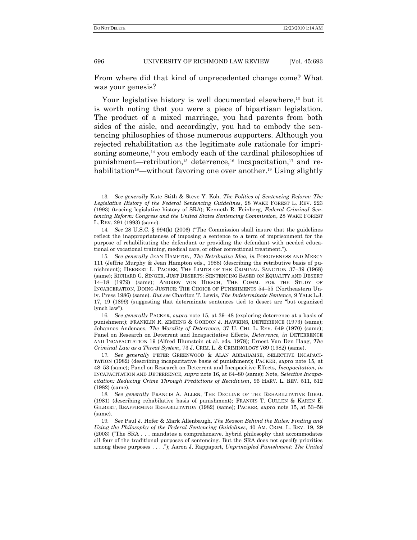From where did that kind of unprecedented change come? What was your genesis?

Your legislative history is well documented elsewhere,<sup>13</sup> but it is worth noting that you were a piece of bipartisan legislation. The product of a mixed marriage, you had parents from both sides of the aisle, and accordingly, you had to embody the sentencing philosophies of those numerous supporters. Although you rejected rehabilitation as the legitimate sole rationale for imprisoning someone, $^{14}$  you embody each of the cardinal philosophies of punishment—retribution,<sup>15</sup> deterrence,<sup>16</sup> incapacitation,<sup>17</sup> and rehabilitation<sup>18</sup>—without favoring one over another.<sup>19</sup> Using slightly

16*. See generally* PACKER, *supra* note 15, at 39–48 (exploring deterrence at a basis of punishment); FRANKLIN R. ZIMRING & GORDON J. HAWKINS, DETERRENCE (1973) (same); Johannes Andenaes, *The Morality of Deterrence*, 37 U. CHI. L. REV. 649 (1970) (same); Panel on Research on Deterrent and Incapacitative Effects, *Deterrence*, *in* DETERRENCE AND INCAPACITATION 19 (Alfred Blumstein et al. eds. 1978); Ernest Van Den Haag, *The Criminal Law as a Threat System*, 73 J. CRIM. L. & CRIMINOLOGY 769 (1982) (same).

17*. See generally* PETER GREENWOOD & ALAN ABRAHAMSE, SELECTIVE INCAPACI-TATION (1982) (describing incapacitative basis of punishment); PACKER, *supra* note 15, at 48–53 (same); Panel on Research on Deterrent and Incapacitive Effects, *Incapacitation*, *in* INCAPACITATION AND DETERRENCE, *supra* note 16, at 64–80 (same); Note, *Selective Incapacitation: Reducing Crime Through Predictions of Recidivism*, 96 HARV. L. REV. 511, 512 (1982) (same).

18*. See generally* FRANCIS A. ALLEN, THE DECLINE OF THE REHABILITATIVE IDEAL (1981) (describing rehabilative basis of punishment); FRANCIS T. CULLEN & KAREN E. GILBERT, REAFFIRMING REHABILITATION (1982) (same); PACKER, *supra* note 15, at 53–58 (same).

19*. See* Paul J. Hofer & Mark Allenbaugh, *The Reason Behind the Rules: Finding and Using the Philosophy of the Federal Sentencing Guidelines*, 40 AM. CRIM. L. REV. 19, 29  $(2003)$  ("The SRA  $\ldots$  mandates a comprehensive, hybrid philosophy that accommodates all four of the traditional purposes of sentencing. But the SRA does not specify priorities among these purposes . . . ."); Aaron J. Rappaport, *Unprincipled Punishment: The United* 

<sup>13</sup>*. See generally* Kate Stith & Steve Y. Koh, *The Politics of Sentencing Reform: The Legislative History of the Federal Sentencing Guidelines*, 28 WAKE FOREST L. REV. 223 (1993) (tracing legislative history of SRA); Kenneth R. Feinberg, *Federal Criminal Sentencing Reform: Congress and the United States Sentencing Commission*, 28 WAKE FOREST L. REV. 291 (1993) (same).

<sup>14.</sup> *See* 28 U.S.C. § 994(k) (2006) ("The Commission shall insure that the guidelines reflect the inappropriateness of imposing a sentence to a term of imprisonment for the purpose of rehabilitating the defendant or providing the defendant with needed educational or vocational training, medical care, or other correctional treatment.").

<sup>15</sup>*. See generally* JEAN HAMPTON, *The Retributive Idea*, *in* FORGIVENESS AND MERCY 111 (Jeffrie Murphy & Jean Hampton eds., 1988) (describing the retributive basis of punishment); HERBERT L. PACKER, THE LIMITS OF THE CRIMINAL SANCTION 37–39 (1968) (same); RICHARD G. SINGER, JUST DESERTS: SENTENCING BASED ON EQUALITY AND DESERT 14–18 (1979) (same); ANDREW VON HIRSCH, THE COMM. FOR THE STUDY OF INCARCERATION, DOING JUSTICE: THE CHOICE OF PUNISHMENTS 54–55 (Northeastern Univ. Press 1986) (same). *But see* Charlton T. Lewis, *The Indeterminate Sentence*, 9 YALE L.J. 17, 19 (1899) (suggesting that determinate sentences tied to desert are "but organized lynch law").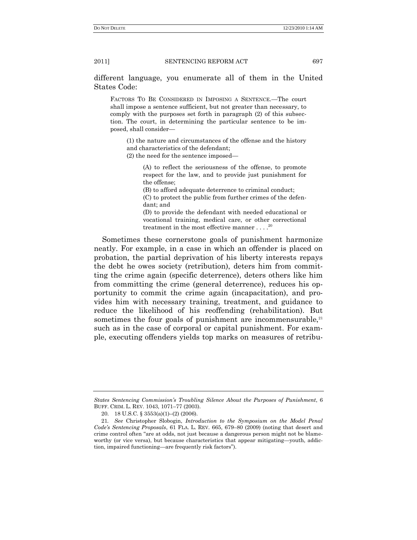different language, you enumerate all of them in the United States Code:

FACTORS TO BE CONSIDERED IN IMPOSING A SENTENCE.—The court shall impose a sentence sufficient, but not greater than necessary, to comply with the purposes set forth in paragraph (2) of this subsection. The court, in determining the particular sentence to be imposed, shall consider—

(1) the nature and circumstances of the offense and the history and characteristics of the defendant;

(2) the need for the sentence imposed—

(A) to reflect the seriousness of the offense, to promote respect for the law, and to provide just punishment for the offense;

(B) to afford adequate deterrence to criminal conduct;

(C) to protect the public from further crimes of the defendant; and

<span id="page-4-0"></span>(D) to provide the defendant with needed educational or vocational training, medical care, or other correctional treatment in the most effective manner . . . .<sup>20</sup>

Sometimes these cornerstone goals of punishment harmonize neatly. For example, in a case in which an offender is placed on probation, the partial deprivation of his liberty interests repays the debt he owes society (retribution), deters him from committing the crime again (specific deterrence), deters others like him from committing the crime (general deterrence), reduces his opportunity to commit the crime again (incapacitation), and provides him with necessary training, treatment, and guidance to reduce the likelihood of his reoffending (rehabilitation). But sometimes the four goals of punishment are incommensurable, $21$ such as in the case of corporal or capital punishment. For example, executing offenders yields top marks on measures of retribu-

*States Sentencing Commission"s Troubling Silence About the Purposes of Punishment*, 6 BUFF. CRIM. L. REV. 1043, 1071–77 (2003).

<sup>20. 18</sup> U.S.C. §  $3553(a)(1)–(2)$  (2006).

<sup>21</sup>*. See* Christopher Slobogin, *Introduction to the Symposium on the Model Penal Code"s Sentencing Proposals*, 61 FLA. L. REV. 665, 679–80 (2009) (noting that desert and crime control often "are at odds, not just because a dangerous person might not be blameworthy (or vice versa), but because characteristics that appear mitigating—youth, addiction, impaired functioning—are frequently risk factors").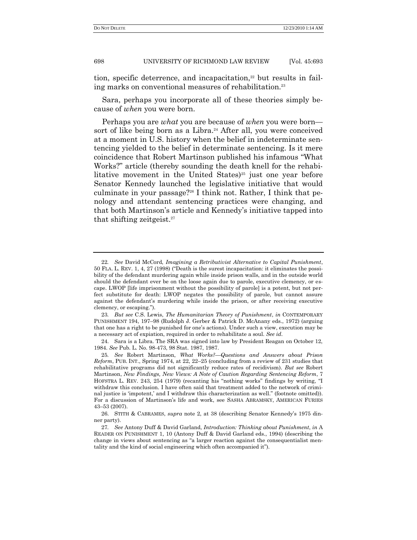tion, specific deterrence, and incapacitation, $22$  but results in failing marks on conventional measures of rehabilitation.<sup>23</sup>

Sara, perhaps you incorporate all of these theories simply because of *when* you were born.

Perhaps you are *what* you are because of *when* you were born sort of like being born as a Libra.<sup>24</sup> After all, you were conceived at a moment in U.S. history when the belief in indeterminate sentencing yielded to the belief in determinate sentencing. Is it mere coincidence that Robert Martinson published his infamous "What Works?" article (thereby sounding the death knell for the rehabilitative movement in the United States) $25$  just one year before Senator Kennedy launched the legislative initiative that would culminate in your passage?<sup>26</sup> I think not. Rather, I think that penology and attendant sentencing practices were changing, and that both Martinson's article and Kennedy's initiative tapped into that shifting zeitgeist.<sup>27</sup>

<sup>22</sup>*. See* David McCord, *Imagining a Retributivist Alternative to Capital Punishment*, 50 FLA. L. REV. 1, 4, 27 (1998) ("Death is the surest incapacitation: it eliminates the possibility of the defendant murdering again while inside prison walls, and in the outside world should the defendant ever be on the loose again due to parole, executive clemency, or escape. LWOP [life imprisonment without the possibility of parole] is a potent, but not perfect substitute for death: LWOP negates the possibility of parole, but cannot assure against the defendant's murdering while inside the prison, or after receiving executive clemency, or escaping.").

<sup>23</sup>*. But see* C.S. Lewis, *The Humanitarian Theory of Punishment*, *in* CONTEMPORARY PUNISHMENT 194, 197–98 (Rudolph J. Gerber & Patrick D. McAnany eds., 1972) (arguing that one has a right to be punished for one's actions). Under such a view, execution may be a necessary act of expiation, required in order to rehabilitate a soul. *See id*.

<sup>24.</sup> Sara is a Libra. The SRA was signed into law by President Reagan on October 12, 1984. *See* Pub. L. No. 98-473, 98 Stat. 1987, 1987.

<sup>25</sup>*. See* Robert Martinson, *What Works?—Questions and Answers about Prison Reform*, PUB. INT., Spring 1974, at 22, 22–25 (concluding from a review of 231 studies that rehabilitative programs did not significantly reduce rates of recidivism). *But see* Robert Martinson, *New Findings, New Views: A Note of Caution Regarding Sentencing Reform*, 7 HOFSTRA L. REV. 243, 254 (1979) (recanting his "nothing works" findings by writing, "I withdraw this conclusion. I have often said that treatment added to the network of criminal justice is 'impotent,' and I withdraw this characterization as well." (footnote omitted)). For a discussion of Martinson's life and work, see SASHA ABRAMSKY, AMERICAN FURIES 43–53 (2007).

<sup>26.</sup> STITH & CABRAMES, *supra* note [2,](#page-1-0) at 38 (describing Senator Kennedy's 1975 dinner party).

<sup>27</sup>*. See* Antony Duff & David Garland, *Introduction: Thinking about Punishment*, *in* A READER ON PUNISHMENT 1, 10 (Antony Duff & David Garland eds., 1994) (describing the change in views about sentencing as "a larger reaction against the consequentialist mentality and the kind of social engineering which often accompanied it").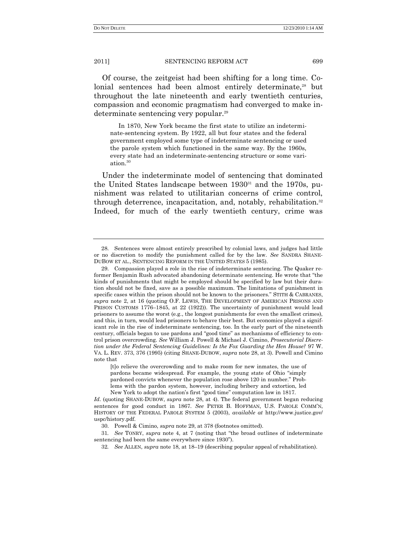Of course, the zeitgeist had been shifting for a long time. Colonial sentences had been almost entirely determinate,<sup>28</sup> but throughout the late nineteenth and early twentieth centuries, compassion and economic pragmatism had converged to make indeterminate sentencing very popular.<sup>29</sup>

In 1870, New York became the first state to utilize an indeterminate-sentencing system. By 1922, all but four states and the federal government employed some type of indeterminate sentencing or used the parole system which functioned in the same way. By the 1960s, every state had an indeterminate-sentencing structure or some variation.<sup>30</sup>

Under the indeterminate model of sentencing that dominated the United States landscape between  $1930^{31}$  and the 1970s, punishment was related to utilitarian concerns of crime control, through deterrence, incapacitation, and, notably, rehabilitation.<sup>32</sup> Indeed, for much of the early twentieth century, crime was

<sup>28.</sup> Sentences were almost entirely prescribed by colonial laws, and judges had little or no discretion to modify the punishment called for by the law. *See* SANDRA SHANE-DUBOW ET AL., SENTENCING REFORM IN THE UNITED STATES 5 (1985).

<sup>29.</sup> Compassion played a role in the rise of indeterminate sentencing. The Quaker reformer Benjamin Rush advocated abandoning determinate sentencing. He wrote that "the kinds of punishments that might be employed should be specified by law but their duration should not be fixed, save as a possible maximum. The limitations of punishment in specific cases within the prison should not be known to the prisoners." STITH & CABRANES, *supra* note 2, at 16 (quoting O.F. LEWIS, THE DEVELOPMENT OF AMERICAN PRISONS AND PRISON CUSTOMS 1776–1845, at 22 (1922)). The uncertainty of punishment would lead prisoners to assume the worst (e.g., the longest punishments for even the smallest crimes), and this, in turn, would lead prisoners to behave their best. But economics played a significant role in the rise of indeterminate sentencing, too. In the early part of the nineteenth century, officials began to use pardons and "good time" as mechanisms of efficiency to control prison overcrowding. *See* William J. Powell & Michael J. Cimino, *Prosecutorial Discretion under the Federal Sentencing Guidelines: Is the Fox Guarding the Hen House?* 97 W. VA. L. REV. 373, 376 (1995) (citing SHANE-DUBOW, *supra* note 28, at 3). Powell and Cimino note that

<sup>[</sup>t]o relieve the overcrowding and to make room for new inmates, the use of pardons became widespread. For example, the young state of Ohio "simply pardoned convicts whenever the population rose above 120 in number." Problems with the pardon system, however, including bribery and extortion, led New York to adopt the nation's first "good time" computation law in 1817.

*Id*. (quoting SHANE-DUBOW, *supra* note 28, at 4). The federal government began reducing sentences for good conduct in 1867. *See* PETER B. HOFFMAN, U.S. PAROLE COMM'N, HISTORY OF THE FEDERAL PAROLE SYSTEM 5 (2003), *available at* http://www.justice.gov/ uspc/history.pdf.

<sup>30.</sup> Powell & Cimino, *supra* note 29, at 378 (footnotes omitted).

<sup>31.</sup> *See* TONRY, *supra* note 4, at 7 (noting that "the broad outlines of indeterminate sentencing had been the same everywhere since 1930").

<sup>32</sup>*. See* ALLEN, *supra* note 18, at 18–19 (describing popular appeal of rehabilitation).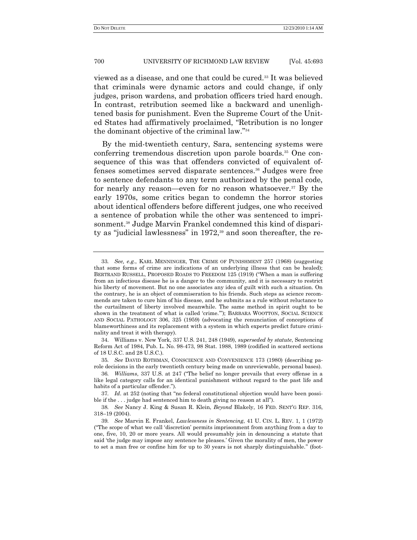viewed as a disease, and one that could be cured.<sup>33</sup> It was believed that criminals were dynamic actors and could change, if only judges, prison wardens, and probation officers tried hard enough. In contrast, retribution seemed like a backward and unenlightened basis for punishment. Even the Supreme Court of the United States had affirmatively proclaimed, "Retribution is no longer the dominant objective of the criminal law."<sup>34</sup>

By the mid-twentieth century, Sara, sentencing systems were conferring tremendous discretion upon parole boards.<sup>35</sup> One consequence of this was that offenders convicted of equivalent offenses sometimes served disparate sentences.<sup>36</sup> Judges were free to sentence defendants to any term authorized by the penal code, for nearly any reason—even for no reason whatsoever.<sup>37</sup> By the early 1970s, some critics began to condemn the horror stories about identical offenders before different judges, one who received a sentence of probation while the other was sentenced to imprisonment.<sup>38</sup> Judge Marvin Frankel condemned this kind of disparity as "judicial lawlessness" in 1972, $39$  and soon thereafter, the re-

<sup>33</sup>*. See, e.g.*, KARL MENNINGER, THE CRIME OF PUNISHMENT 257 (1968) (suggesting that some forms of crime are indications of an underlying illness that can be healed); BERTRAND RUSSELL, PROPOSED ROADS TO FREEDOM 125 (1919) ("When a man is suffering from an infectious disease he is a danger to the community, and it is necessary to restrict his liberty of movement. But no one associates any idea of guilt with such a situation. On the contrary, he is an object of commiseration to his friends. Such steps as science recommends are taken to cure him of his disease, and he submits as a rule without reluctance to the curtailment of liberty involved meanwhile. The same method in spirit ought to be shown in the treatment of what is called 'crime."); BARBARA WOOTTON, SOCIAL SCIENCE AND SOCIAL PATHOLOGY 306, 325 (1959) (advocating the renunciation of conceptions of blameworthiness and its replacement with a system in which experts predict future criminality and treat it with therapy).

<sup>34.</sup> Williams v. New York, 337 U.S. 241, 248 (1949), *superseded by statute*, Sentencing Reform Act of 1984, Pub. L. No. 98-473, 98 Stat. 1988, 1989 (codified in scattered sections of 18 U.S.C. and 28 U.S.C.).

<sup>35</sup>*. See* DAVID ROTHMAN, CONSCIENCE AND CONVENIENCE 173 (1980) (describing parole decisions in the early twentieth century being made on unreviewable, personal bases).

<sup>36.</sup> *Williams*, 337 U.S. at 247 ("The belief no longer prevails that every offense in a like legal category calls for an identical punishment without regard to the past life and habits of a particular offender.").

<sup>37.</sup> *Id.* at 252 (noting that "no federal constitutional objection would have been possible if the  $\ldots$  judge had sentenced him to death giving no reason at all").

<sup>38</sup>*. See* Nancy J. King & Susan R. Klein, *Beyond* Blakely, 16 FED. SENT'G REP. 316, 318–19 (2004).

<sup>39</sup>*. See* Marvin E. Frankel, *Lawlessness in Sentencing*, 41 U. CIN. L. REV. 1, 1 (1972) (―The scope of what we call ‗discretion' permits imprisonment from anything from a day to one, five, 10, 20 or more years. All would presumably join in denouncing a statute that said 'the judge may impose any sentence he pleases.' Given the morality of men, the power to set a man free or confine him for up to 30 years is not sharply distinguishable." (foot-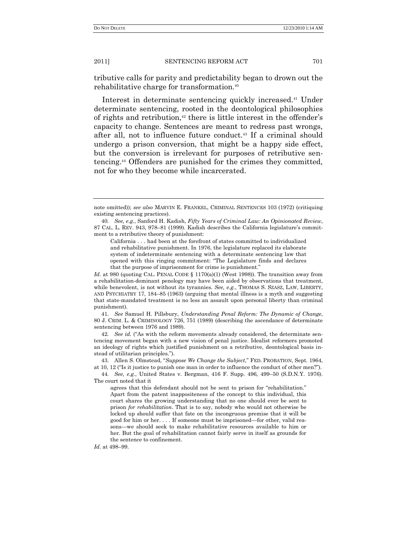tributive calls for parity and predictability began to drown out the rehabilitative charge for transformation.<sup>40</sup>

Interest in determinate sentencing quickly increased.<sup>41</sup> Under determinate sentencing, rooted in the deontological philosophies of rights and retribution,<sup>42</sup> there is little interest in the offender's capacity to change. Sentences are meant to redress past wrongs, after all, not to influence future conduct.<sup>43</sup> If a criminal should undergo a prison conversion, that might be a happy side effect, but the conversion is irrelevant for purposes of retributive sentencing.<sup>44</sup> Offenders are punished for the crimes they committed, not for who they become while incarcerated.

California . . . had been at the forefront of states committed to individualized and rehabilitative punishment. In 1976, the legislature replaced its elaborate system of indeterminate sentencing with a determinate sentencing law that opened with this ringing commitment: "The Legislature finds and declares that the purpose of imprisonment for crime is punishment."

*Id.* at 980 (quoting CAL. PENAL CODE § 1170(a)(1) (West 1998)). The transition away from a rehabilitation-dominant penology may have been aided by observations that treatment, while benevolent, is not without its tyrannies. *See, e.g.*, THOMAS S. SZASZ, LAW, LIBERTY, AND PSYCHIATRY 17, 184–85 (1963) (arguing that mental illness is a myth and suggesting that state-mandated treatment is no less an assault upon personal liberty than criminal punishment).

41*. See* Samuel H. Pillsbury, *Understanding Penal Reform: The Dynamic of Change*, 80 J. CRIM. L. & CRIMINOLOGY 726, 751 (1989) (describing the ascendance of determinate sentencing between 1976 and 1989).

42. See id. ("As with the reform movements already considered, the determinate sentencing movement began with a new vision of penal justice. Idealist reformers promoted an ideology of rights which justified punishment on a retributive, deontological basis instead of utilitarian principles.").

43. Allen S. Olmstead, "Suppose We Change the Subject," FED. PROBATION, Sept. 1964, at 10, 12 ("Is it justice to punish one man in order to influence the conduct of other men?").

44*. See, e.g.*, United States v. Bergman, 416 F. Supp. 496, 499–50 (S.D.N.Y. 1976). The court noted that it

agrees that this defendant should not be sent to prison for "rehabilitation." Apart from the patent inappositeness of the concept to this individual, this court shares the growing understanding that no one should ever be sent to prison *for rehabilitation*. That is to say, nobody who would not otherwise be locked up should suffer that fate on the incongruous premise that it will be good for him or her. . . . If someone must be imprisoned—for other, valid reasons—we should seek to make rehabilitative resources available to him or her. But the goal of rehabilitation cannot fairly serve in itself as grounds for the sentence to confinement.

*Id*. at 498–99.

note omitted)); *see also* MARVIN E. FRANKEL, CRIMINAL SENTENCES 103 (1972) (critiquing existing sentencing practices).

<sup>40</sup>*. See, e.g*., Sanford H. Kadish, *Fifty Years of Criminal Law: An Opinionated Review*, 87 CAL. L. REV. 943, 978–81 (1999). Kadish describes the California legislature's commitment to a retributive theory of punishment: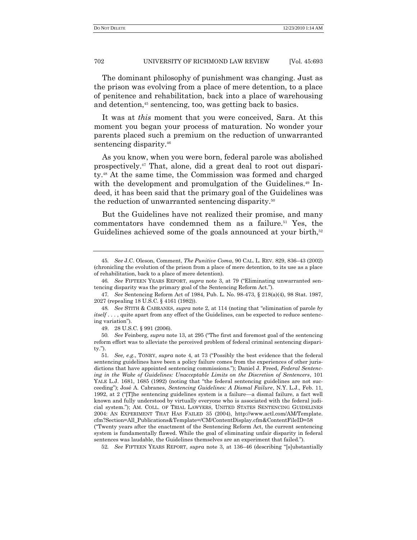The dominant philosophy of punishment was changing. Just as the prison was evolving from a place of mere detention, to a place of penitence and rehabilitation, back into a place of warehousing and detention,<sup>45</sup> sentencing, too, was getting back to basics.

It was at *this* moment that you were conceived, Sara. At this moment you began your process of maturation. No wonder your parents placed such a premium on the reduction of unwarranted sentencing disparity.<sup>46</sup>

As you know, when you were born, federal parole was abolished prospectively.<sup>47</sup> That, alone, did a great deal to root out disparity.<sup>48</sup> At the same time, the Commission was formed and charged with the development and promulgation of the Guidelines.<sup>49</sup> Indeed, it has been said that the primary goal of the Guidelines was the reduction of unwarranted sentencing disparity.<sup>50</sup>

But the Guidelines have not realized their promise, and many commentators have condemned them as a failure.<sup>51</sup> Yes, the Guidelines achieved some of the goals announced at your birth,<sup>52</sup>

52. See FIFTEEN YEARS REPORT, *supra* note 3, at 136–46 (describing "[s]ubstantially

<sup>45</sup>*. See* J.C. Oleson, Comment, *The Punitive Coma*, 90 CAL. L. REV. 829, 836–43 (2002) (chronicling the evolution of the prison from a place of mere detention, to its use as a place of rehabilitation, back to a place of mere detention).

<sup>46.</sup> See FIFTEEN YEARS REPORT, *supra* note 3, at 79 ("Eliminating unwarranted sentencing disparity was the primary goal of the Sentencing Reform Act.").

<sup>47</sup>*. See* Sentencing Reform Act of 1984, Pub. L. No. 98-473, § 218(a)(4), 98 Stat. 1987, 2027 (repealing 18 U.S.C. § 4161 (1982)).

<sup>48.</sup> *See* STITH & CABRANES, *supra* note 2, at 114 (noting that "elimination of parole *by itself* . . . , quite apart from any effect of the Guidelines, can be expected to reduce sentencing variation").

<sup>49.</sup> 28 U.S.C. § 991 (2006).

<sup>50.</sup> *See* Feinberg, *supra* note 13, at 295 ("The first and foremost goal of the sentencing reform effort was to alleviate the perceived problem of federal criminal sentencing dispari $ty.'$ ).

<sup>51.</sup> *See, e.g., TONRY, supra* note 4, at 73 ("Possibly the best evidence that the federal sentencing guidelines have been a policy failure comes from the experiences of other jurisdictions that have appointed sentencing commissions."); Daniel J. Freed, *Federal Sentencing in the Wake of Guidelines: Unacceptable Limits on the Discretion of Sentencers*, 101 YALE L.J. 1681, 1685 (1992) (noting that "the federal sentencing guidelines are not succeeding‖); José A. Cabranes, *Sentencing Guidelines: A Dismal Failure*, N.Y. L.J., Feb. 11, 1992, at  $2$  ("The sentencing guidelines system is a failure—a dismal failure, a fact well known and fully understood by virtually everyone who is associated with the federal judicial system.‖); AM. COLL. OF TRIAL LAWYERS, UNITED STATES SENTENCING GUIDELINES 2004: AN EXPERIMENT THAT HAS FAILED 35 (2004), http://www.actl.com/AM/Template. cfm?Section=All\_Publications&Template=/CM/ContentDisplay.cfm&ContentFileID=58 (―Twenty years after the enactment of the Sentencing Reform Act, the current sentencing system is fundamentally flawed. While the goal of eliminating unfair disparity in federal sentences was laudable, the Guidelines themselves are an experiment that failed.").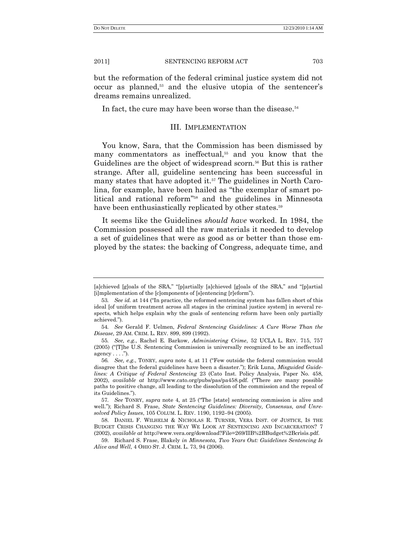but the reformation of the federal criminal justice system did not occur as planned,<sup>53</sup> and the elusive utopia of the sentencer's dreams remains unrealized.

In fact, the cure may have been worse than the disease.<sup>54</sup>

## III. IMPLEMENTATION

You know, Sara, that the Commission has been dismissed by many commentators as ineffectual,<sup>55</sup> and you know that the Guidelines are the object of widespread scorn.<sup>56</sup> But this is rather strange. After all, guideline sentencing has been successful in many states that have adopted it.<sup>57</sup> The guidelines in North Carolina, for example, have been hailed as "the exemplar of smart political and rational reform<sup>"58</sup> and the guidelines in Minnesota have been enthusiastically replicated by other states.<sup>59</sup>

It seems like the Guidelines *should have* worked. In 1984, the Commission possessed all the raw materials it needed to develop a set of guidelines that were as good as or better than those employed by the states: the backing of Congress, adequate time, and

<sup>[</sup>a]chieved [g]oals of the SRA," "[p]artially [a]chieved [g]oals of the SRA," and "[p]artial [i]mplementation of the [c]omponents of [s]entencing [r]eform").

<sup>53.</sup> See id. at 144 ("In practice, the reformed sentencing system has fallen short of this ideal [of uniform treatment across all stages in the criminal justice system] in several respects, which helps explain why the goals of sentencing reform have been only partially achieved.‖).

<sup>54</sup>*. See* Gerald F. Uelmen, *Federal Sentencing Guidelines: A Cure Worse Than the Disease*, 29 AM. CRIM. L. REV. 899, 899 (1992).

<sup>55</sup>*. See, e.g.*, Rachel E. Barkow, *Administering Crime*, 52 UCLA L. REV. 715, 757  $(2005)$  ("The U.S. Sentencing Commission is universally recognized to be an ineffectual agency  $\dots$  .").

<sup>56.</sup> See, e.g., TONRY, *supra* note 4, at 11 ("Few outside the federal commission would disagree that the federal guidelines have been a disaster."); Erik Luna, *Misguided Guidelines: A Critique of Federal Sentencing* 23 (Cato Inst. Policy Analysis, Paper No. 458, 2002), *available at* http://www.cato.org/pubs/pas/pa458.pdf. ("There are many possible paths to positive change, all leading to the dissolution of the commission and the repeal of its Guidelines.").

<sup>57.</sup> See TONRY, *supra* note 4, at 25 ("The [state] sentencing commission is alive and well."); Richard S. Frase, *State Sentencing Guidelines: Diversity, Consensus, and Unresolved Policy Issues*, 105 COLUM. L. REV. 1190, 1192–94 (2005).

<sup>58.</sup> DANIEL F. WILHELM & NICHOLAS R. TURNER, VERA INST. OF JUSTICE, IS THE BUDGET CRISIS CHANGING THE WAY WE LOOK AT SENTENCING AND INCARCERATION? 7 (2002), *available at* http://www.vera.org/download?File=269/IIB%2BBudget%2Bcrìsìs.pdf.

<sup>59.</sup> Richard S. Frase, Blakely *in Minnesota, Two Years Out: Guidelines Sentencing Is Alive and Well*, 4 OHIO ST. J. CRIM. L. 73, 94 (2006).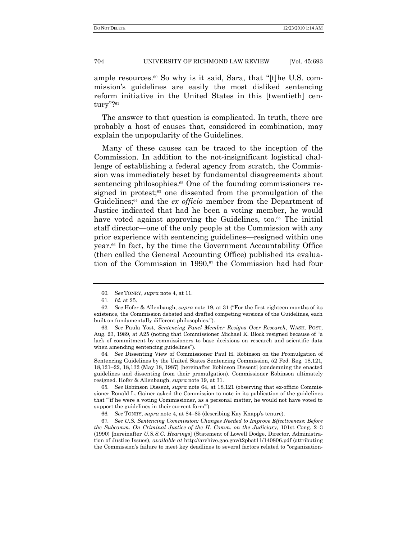ample resources.<sup>60</sup> So why is it said, Sara, that "[t]he U.S. commission's guidelines are easily the most disliked sentencing reform initiative in the United States in this [twentieth] century"?"1

The answer to that question is complicated. In truth, there are probably a host of causes that, considered in combination, may explain the unpopularity of the Guidelines.

Many of these causes can be traced to the inception of the Commission. In addition to the not-insignificant logistical challenge of establishing a federal agency from scratch, the Commission was immediately beset by fundamental disagreements about sentencing philosophies. $62$  One of the founding commissioners resigned in protest;<sup>63</sup> one dissented from the promulgation of the Guidelines;<sup>64</sup> and the *ex officio* member from the Department of Justice indicated that had he been a voting member, he would have voted against approving the Guidelines, too.<sup>65</sup> The initial staff director—one of the only people at the Commission with any prior experience with sentencing guidelines—resigned within one year.<sup>66</sup> In fact, by the time the Government Accountability Office (then called the General Accounting Office) published its evaluation of the Commission in 1990, $67$  the Commission had had four

64*. See* Dissenting View of Commissioner Paul H. Robinson on the Promulgation of Sentencing Guidelines by the United States Sentencing Commission, 52 Fed. Reg. 18,121, 18,121–22, 18,132 (May 18, 1987) [hereinafter Robinson Dissent] (condemning the enacted guidelines and dissenting from their promulgation). Commissioner Robinson ultimately resigned. Hofer & Allenbaugh, *supra* note 19, at 31.

65*. See* Robinson Dissent, *supra* note 64, at 18,121 (observing that ex-officio Commissioner Ronald L. Gainer asked the Commission to note in its publication of the guidelines that "if he were a voting Commissioner, as a personal matter, he would not have voted to support the guidelines in their current form".

67*. See U.S. Sentencing Commission: Changes Needed to Improve Effectiveness: Before the Subcomm. On Criminal Justice of the H. Comm. on the Judiciary*, 101st Cong. 2–3 (1990) [hereinafter *U.S.S.C. Hearings*] (Statement of Lowell Dodge, Director, Administration of Justice Issues), *available at* http://archive.gao.gov/t2pbat11/140806.pdf (attributing the Commission's failure to meet key deadlines to several factors related to "organization-

<sup>60</sup>*. See* TONRY, *supra* note 4, at 11.

<sup>61</sup>*. Id*. at 25.

<sup>62.</sup> See Hofer & Allenbaugh, *supra* note 19, at 31 ("For the first eighteen months of its existence, the Commission debated and drafted competing versions of the Guidelines, each built on fundamentally different philosophies.").

<sup>63</sup>*. See* Paula Yost, *Sentencing Panel Member Resigns Over Research*, WASH. POST, Aug. 23, 1989, at A25 (noting that Commissioner Michael K. Block resigned because of "a lack of commitment by commissioners to base decisions on research and scientific data when amending sentencing guidelines").

<sup>66</sup>*. See* TONRY, *supra* note 4, at 84–85 (describing Kay Knapp's tenure).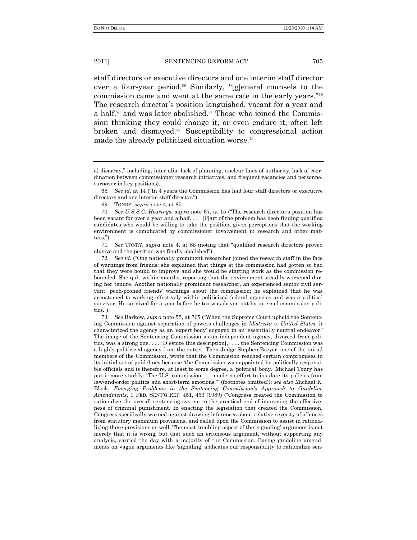staff directors or executive directors and one interim staff director over a four-year period.<sup>68</sup> Similarly, "[g]eneral counsels to the commission came and went at the same rate in the early years."<sup>69</sup> The research director's position languished, vacant for a year and a half,<sup>70</sup> and was later abolished.<sup>71</sup> Those who joined the Commission thinking they could change it, or even endure it, often left broken and dismayed.<sup>72</sup> Susceptibility to congressional action made the already politicized situation worse.<sup>73</sup>

68. *See id.* at 14 ("In 4 years the Commission has had four staff directors or executive directors and one interim staff director.").

69. TONRY, *supra* note 4, at 85.

70*. See U.S.S.C. Hearings, supra* note 67, at 15 ("The research director's position has been vacant for over a year and a half. . . . [P]art of the problem has been finding qualified candidates who would be willing to take the position, given perceptions that the working environment is complicated by commissioner involvement in research and other matters.").

71. *See* TONRY, *supra* note 4, at 85 (noting that "qualified research directors proved elusive and the position was finally abolished").

72. *See id.* ("One nationally prominent researcher joined the research staff in the face of warnings from friends; she explained that things at the commission had gotten so bad that they were bound to improve and she would be starting work as the commission rebounded. She quit within months, reporting that the environment steadily worsened during her tenure. Another nationally prominent researcher, an experienced senior civil servant, pooh-poohed friends' warnings about the commission; he explained that he was accustomed to working effectively within politicized federal agencies and was a political survivor. He survived for a year before he too was driven out by internal commission politics.").

73. *See* Barkow, *supra* note 55, at 765 ("When the Supreme Court upheld the Sentencing Commission against separation of powers challenges in *Mistretta v. United States*, it characterized the agency as an 'expert body' engaged in an 'essentially neutral endeavor.' The image of the Sentencing Commission as an independent agency, divorced from politics, was a strong one. . . . [D]espite this description[,] . . . the Sentencing Commission was a highly politicized agency from the outset. Then-Judge Stephen Breyer, one of the initial members of the Commission, wrote that the Commission reached certain compromises in its initial set of guidelines because 'the Commission was appointed by politically responsible officials and is therefore, at least to some degree, a 'political' body.' Michael Tonry has put it more starkly: 'The U.S. commission . . . made no effort to insulate its policies from law-and-order politics and short-term emotions."" (footnotes omitted)); see also Michael K. Block, *Emerging Problems in the Sentencing Commission"s Approach to Guideline Amendments*, 1 FED. SENT'G REP. 451, 453 (1989) ("Congress created the Commission to rationalize the overall sentencing system to the practical end of improving the effectiveness of criminal punishment. In enacting the legislation that created the Commission, Congress specifically warned against drawing inferences about relative severity of offenses from statutory maximum provisions, and called upon the Commission to assist in rationalizing those provisions as well. The most troubling aspect of the 'signaling' argument is not merely that it is wrong, but that such an erroneous argument, without supporting any analysis, carried the day with a majority of the Commission. Basing guideline amendments on vague arguments like 'signaling' abdicates our responsibility to rationalize sen-

al disarray," including, inter alia, lack of planning, unclear lines of authority, lack of coordination between commissioner research initiatives, and frequent vacancies and personnel turnover in key positions).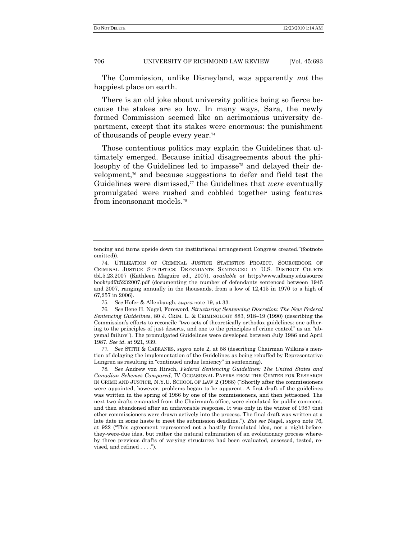The Commission, unlike Disneyland, was apparently *not* the happiest place on earth.

There is an old joke about university politics being so fierce because the stakes are so low. In many ways, Sara, the newly formed Commission seemed like an acrimonious university department, except that its stakes were enormous: the punishment of thousands of people every year.<sup>74</sup>

Those contentious politics may explain the Guidelines that ultimately emerged. Because initial disagreements about the philosophy of the Guidelines led to impasse<sup>75</sup> and delayed their development,<sup>76</sup> and because suggestions to defer and field test the Guidelines were dismissed,<sup>77</sup> the Guidelines that *were* eventually promulgated were rushed and cobbled together using features from inconsonant models.<sup>78</sup>

77*. See* STITH & CABRANES, *supra* note 2, at 58 (describing Chairman Wilkins's mention of delaying the implementation of the Guidelines as being rebuffed by Representative Lungren as resulting in "continued undue leniency" in sentencing).

tencing and turns upside down the institutional arrangement Congress created."(footnote omitted)).

<sup>74.</sup> UTILIZATION OF CRIMINAL JUSTICE STATISTICS PROJECT, SOURCEBOOK OF CRIMINAL JUSTICE STATISTICS: DEFENDANTS SENTENCED IN U.S. DISTRICT COURTS tbl.5.23.2007 (Kathleen Maguire ed., 2007), *available at* http://www.albany.edu/source book/pdf/t5232007.pdf (documenting the number of defendants sentenced between 1945 and 2007, ranging annually in the thousands, from a low of 12,415 in 1970 to a high of 67,257 in 2006).

<sup>75</sup>*. See* Hofer & Allenbaugh, *supra* note 19, at 33.

<sup>76</sup>*. See* Ilene H. Nagel, Foreword, *Structuring Sentencing Discretion: The New Federal Sentencing Guidelines*, 80 J. CRIM. L. & CRIMINOLOGY 883, 918–19 (1990) (describing the Commission's efforts to reconcile "two sets of theoretically orthodox guidelines: one adhering to the principles of just deserts, and one to the principles of crime control" as an "abysmal failure"). The promulgated Guidelines were developed between July 1986 and April 1987. *See id*. at 921, 939.

<sup>78</sup>*. See* Andrew von Hirsch, *Federal Sentencing Guidelines: The United States and Canadian Schemes Compared*, IV OCCASIONAL PAPERS FROM THE CENTER FOR RESEARCH IN CRIME AND JUSTICE, N.Y.U. SCHOOL OF LAW 2 (1988) ("Shortly after the commissioners were appointed, however, problems began to be apparent. A first draft of the guidelines was written in the spring of 1986 by one of the commissioners, and then jettisoned. The next two drafts emanated from the Chairman's office, were circulated for public comment, and then abandoned after an unfavorable response. It was only in the winter of 1987 that other commissioners were drawn actively into the process. The final draft was written at a late date in some haste to meet the submission deadline."). *But see* Nagel, *supra* note 76, at 922 ("This agreement represented not a hastily formulated idea, nor a night-beforethey-were-due idea, but rather the natural culmination of an evolutionary process whereby three previous drafts of varying structures had been evaluated, assessed, tested, revised, and refined  $\dots$ .").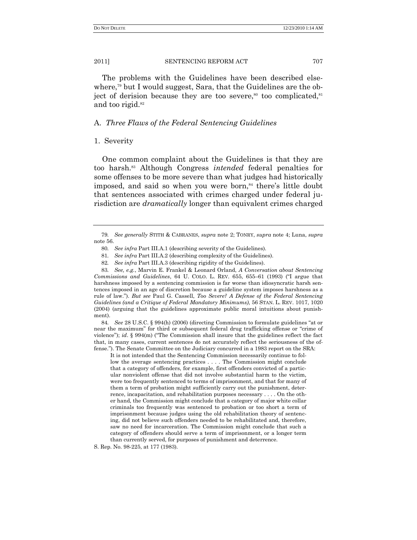The problems with the Guidelines have been described elsewhere,<sup>79</sup> but I would suggest, Sara, that the Guidelines are the object of derision because they are too severe,<sup>80</sup> too complicated,<sup>81</sup> and too rigid.<sup>82</sup>

## A. *Three Flaws of the Federal Sentencing Guidelines*

## 1. Severity

One common complaint about the Guidelines is that they are too harsh.<sup>83</sup> Although Congress *intended* federal penalties for some offenses to be more severe than what judges had historically imposed, and said so when you were born,<sup>84</sup> there's little doubt that sentences associated with crimes charged under federal jurisdiction are *dramatically* longer than equivalent crimes charged

84. *See* 28 U.S.C. § 994(h) (2006) (directing Commission to formulate guidelines "at or near the maximum" for third or subsequent federal drug trafficking offense or "crime of violence"); *id.*  $\S$  994(m) ("The Commission shall insure that the guidelines reflect the fact that, in many cases, current sentences do not accurately reflect the seriousness of the offense."). The Senate Committee on the Judiciary concurred in a 1983 report on the SRA:

It is not intended that the Sentencing Commission necessarily continue to follow the average sentencing practices . . . . The Commission might conclude that a category of offenders, for example, first offenders convicted of a particular nonviolent offense that did not involve substantial harm to the victim, were too frequently sentenced to terms of imprisonment, and that for many of them a term of probation might sufficiently carry out the punishment, deterrence, incapacitation, and rehabilitation purposes necessary . . . . On the other hand, the Commission might conclude that a category of major white collar criminals too frequently was sentenced to probation or too short a term of imprisonment because judges using the old rehabilitation theory of sentencing, did not believe such offenders needed to be rehabilitated and, therefore, saw no need for incarceration. The Commission might conclude that such a category of offenders should serve a term of imprisonment, or a longer term than currently served, for purposes of punishment and deterrence.

S. Rep. No. 98-225, at 177 (1983).

<sup>79</sup>*. See generally* STITH & CABRANES, *supra* note 2; TONRY, *supra* note 4; Luna, *supra* note 56.

<sup>80</sup>*. See infra* Part III.A.1 (describing severity of the Guidelines).

<sup>81</sup>*. See infra* Part III.A.2 (describing complexity of the Guidelines).

<sup>82</sup>*. See infra* Part III.A.3 (describing rigidity of the Guidelines).

<sup>83</sup>*. See, e.g.*, Marvin E. Frankel & Leonard Orland, *A Conversation about Sentencing Commissions and Guidelines*, 64 U. COLO. L. REV. 655, 655–61 (1993) ("I argue that harshness imposed by a sentencing commission is far worse than idiosyncratic harsh sentences imposed in an age of discretion because a guideline system imposes harshness as a rule of law.‖). *But see* Paul G. Cassell, *Too Severe? A Defense of the Federal Sentencing Guidelines (and a Critique of Federal Mandatory Minimums)*, 56 STAN. L. REV. 1017, 1020 (2004) (arguing that the guidelines approximate public moral intuitions about punishment).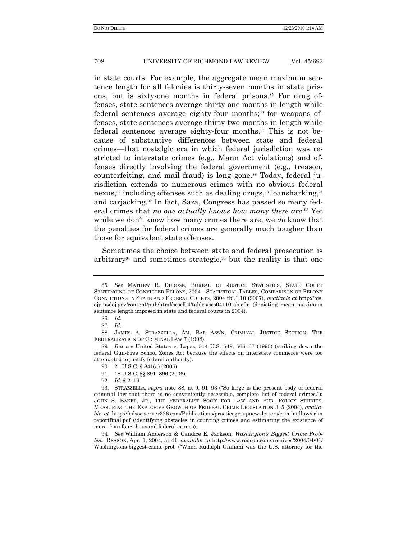in state courts. For example, the aggregate mean maximum sentence length for all felonies is thirty-seven months in state prisons, but is sixty-one months in federal prisons.<sup>85</sup> For drug offenses, state sentences average thirty-one months in length while federal sentences average eighty-four months;<sup>86</sup> for weapons offenses, state sentences average thirty-two months in length while federal sentences average eighty-four months.<sup>87</sup> This is not because of substantive differences between state and federal crimes—that nostalgic era in which federal jurisdiction was restricted to interstate crimes (e.g., Mann Act violations) and offenses directly involving the federal government (e.g., treason, counterfeiting, and mail fraud) is long gone.<sup>88</sup> Today, federal jurisdiction extends to numerous crimes with no obvious federal nexus,<sup>89</sup> including offenses such as dealing drugs,<sup>90</sup> loansharking,<sup>91</sup> and carjacking.<sup>92</sup> In fact, Sara, Congress has passed so many federal crimes that *no one actually knows how many there are*. <sup>93</sup> Yet while we don't know how many crimes there are, we *do* know that the penalties for federal crimes are generally much tougher than those for equivalent state offenses.

Sometimes the choice between state and federal prosecution is arbitrary<sup>94</sup> and sometimes strategic,<sup>95</sup> but the reality is that one

88. JAMES A. STRAZZELLA, AM. BAR ASS'N, CRIMINAL JUSTICE SECTION, THE FEDERALIZATION OF CRIMINAL LAW 7 (1998).

89*. But see* United States v. Lopez, 514 U.S. 549, 566–67 (1995) (striking down the federal Gun-Free School Zones Act because the effects on interstate commerce were too attenuated to justify federal authority).

94*. See* William Anderson & Candice E. Jackson, *Washington"s Biggest Crime Problem*, REASON, Apr. 1, 2004, at 41, *available at* http://www.reason.com/archives/2004/04/01/ Washingtons-biggest-crime-prob ("When Rudolph Giuliani was the U.S. attorney for the

<sup>85</sup>*. See* MATHEW R. DUROSE, BUREAU OF JUSTICE STATISTICS, STATE COURT SENTENCING OF CONVICTED FELONS, 2004—STATISTICAL TABLES, COMPARISON OF FELONY CONVICTIONS IN STATE AND FEDERAL COURTS, 2004 tbl.1.10 (2007), *available at* http://bjs. ojp.usdoj.gov/content/pub/html/scscf04/tables/scs04110tab.cfm (depicting mean maximum sentence length imposed in state and federal courts in 2004).

<sup>86</sup>*. Id*.

<sup>87</sup>*. Id*.

<sup>90.</sup> 21 U.S.C. § 841(a) (2006)

<sup>91.</sup> 18 U.S.C. §§ 891–896 (2006).

<sup>92.</sup> *Id*. § 2119.

<sup>93.</sup> STRAZZELLA, *supra* note 88, at 9, 91–93 ("So large is the present body of federal criminal law that there is no conveniently accessible, complete list of federal crimes."); JOHN S. BAKER, JR., THE FEDERALIST SOC'Y FOR LAW AND PUB. POLICY STUDIES, MEASURING THE EXPLOSIVE GROWTH OF FEDERAL CRIME LEGISLATION 3–5 (2004), *available at* http://fedsoc.server326.com/Publications/practicegroupnewsletters/criminallaw/crim reportfinal.pdf (identifying obstacles in counting crimes and estimating the existence of more than four thousand federal crimes).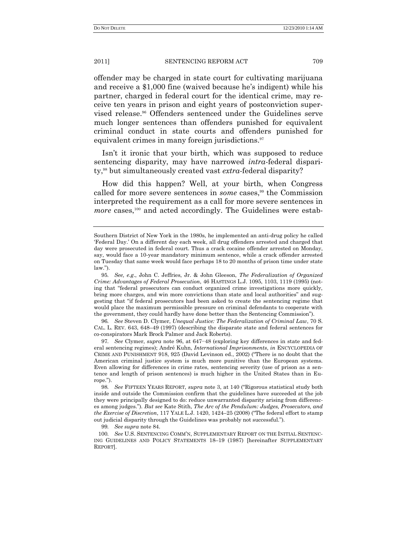offender may be charged in state court for cultivating marijuana and receive a \$1,000 fine (waived because he's indigent) while his partner, charged in federal court for the identical crime, may receive ten years in prison and eight years of postconviction supervised release.<sup>96</sup> Offenders sentenced under the Guidelines serve much longer sentences than offenders punished for equivalent criminal conduct in state courts and offenders punished for equivalent crimes in many foreign jurisdictions.<sup>97</sup>

Isn't it ironic that your birth, which was supposed to reduce sentencing disparity, may have narrowed *intra*-federal disparity,<sup>98</sup> but simultaneously created vast *extra*-federal disparity?

How did this happen? Well, at your birth, when Congress called for more severe sentences in *some* cases,<sup>99</sup> the Commission interpreted the requirement as a call for more severe sentences in *more* cases,<sup>100</sup> and acted accordingly. The Guidelines were estab-

96*. See* Steven D. Clymer, *Unequal Justice: The Federalization of Criminal Law*, 70 S. CAL. L. REV. 643, 648–49 (1997) (describing the disparate state and federal sentences for co-conspirators Mark Brock Palmer and Jack Roberts).

97*. See* Clymer, *supra* note 96, at 647−48 (exploring key differences in state and federal sentencing regimes); André Kuhn, *International Imprisonments*, *in* ENCYCLOPEDIA OF CRIME AND PUNISHMENT 918, 925 (David Levinson ed., 2002) ("There is no doubt that the American criminal justice system is much more punitive than the European systems. Even allowing for differences in crime rates, sentencing severity (use of prison as a sentence and length of prison sentences) is much higher in the United States than in Europe.").

99*. See supra* note 84.

Southern District of New York in the 1980s, he implemented an anti-drug policy he called ‗Federal Day.' On a different day each week, all drug offenders arrested and charged that day were prosecuted in federal court. Thus a crack cocaine offender arrested on Monday, say, would face a 10-year mandatory minimum sentence, while a crack offender arrested on Tuesday that same week would face perhaps 18 to 20 months of prison time under state  $law$ ).

<sup>95</sup>*. See, e.g*., John C. Jeffries, Jr. & John Gleeson, *The Federalization of Organized Crime: Advantages of Federal Prosecution*, 46 HASTINGS L.J. 1095, 1103, 1119 (1995) (noting that "federal prosecutors can conduct organized crime investigations more quickly, bring more charges, and win more convictions than state and local authorities" and suggesting that "if federal prosecutors had been asked to create the sentencing regime that would place the maximum permissible pressure on criminal defendants to cooperate with the government, they could hardly have done better than the Sentencing Commission".

<sup>98.</sup> *See* FIFTEEN YEARS REPORT, *supra* note 3, at 140 ("Rigorous statistical study both inside and outside the Commission confirm that the guidelines have succeeded at the job they were principally designed to do: reduce unwarranted disparity arising from differences among judges.‖). *But see* Kate Stith, *The Arc of the Pendulum: Judges, Prosecutors, and the Exercise of Discretion*, 117 YALE L.J. 1420, 1424–25 (2008) ("The federal effort to stamp out judicial disparity through the Guidelines was probably not successful.").

<sup>100</sup>*. See* U.S. SENTENCING COMM'N, SUPPLEMENTARY REPORT ON THE INITIAL SENTENC-ING GUIDELINES AND POLICY STATEMENTS 18–19 (1987) [hereinafter SUPPLEMENTARY REPORT].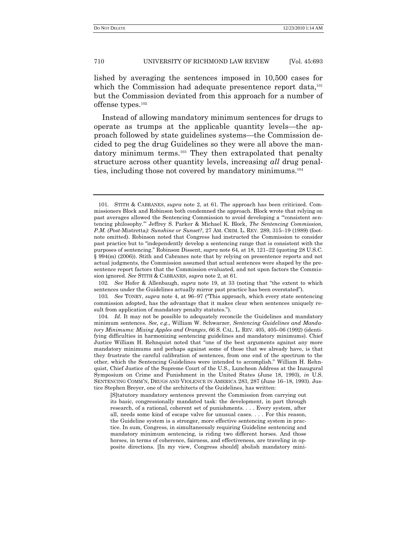lished by averaging the sentences imposed in 10,500 cases for which the Commission had adequate presentence report data,<sup>101</sup> but the Commission deviated from this approach for a number of offense types.<sup>102</sup>

Instead of allowing mandatory minimum sentences for drugs to operate as trumps at the applicable quantity levels—the approach followed by state guidelines systems—the Commission decided to peg the drug Guidelines so they were all above the mandatory minimum terms.<sup>103</sup> They then extrapolated that penalty structure across other quantity levels, increasing *all* drug penalties, including those not covered by mandatory minimums.<sup>104</sup>

102. *See* Hofer & Allenbaugh, *supra* note 19, at 33 (noting that "the extent to which sentences under the Guidelines actually mirror past practice has been overstated").

103. *See* TONRY, *supra* note 4, at 96–97 ("This approach, which every state sentencing commission adopted, has the advantage that it makes clear when sentences uniquely result from application of mandatory penalty statutes.").

[S]tatutory mandatory sentences prevent the Commission from carrying out its basic, congressionally mandated task: the development, in part through research, of a rational, coherent set of punishments. . . . Every system, after all, needs some kind of escape valve for unusual cases. . . . For this reason, the Guideline system is a stronger, more effective sentencing system in practice. In sum, Congress, in simultaneously requiring Guideline sentencing and mandatory minimum sentencing, is riding two different horses. And those horses, in terms of coherence, fairness, and effectiveness, are traveling in opposite directions. [In my view, Congress should] abolish mandatory mini-

<sup>101.</sup> STITH & CABRANES, *supra* note 2, at 61. The approach has been criticized. Commissioners Block and Robinson both condemned the approach. Block wrote that relying on past averages allowed the Sentencing Commission to avoid developing a "consistent sentencing philosophy.'‖ Jeffrey S. Parker & Michael K. Block, *The Sentencing Commission, P.M. (Post-*Mistretta*): Sunshine or Sunset?*, 27 AM. CRIM. L. REV. 289, 315–19 (1989) (footnote omitted). Robinson noted that Congress had instructed the Commission to consider past practice but to "independently develop a sentencing range that is consistent with the purposes of sentencing.‖ Robinson Dissent, *supra* note 64, at 18, 121–22 (quoting 28 U.S.C. § 994(m) (2006)). Stith and Cabranes note that by relying on presentence reports and not actual judgments, the Commission assumed that actual sentences were shaped by the presentence report factors that the Commission evaluated, and not upon factors the Commission ignored. *See* STITH & CABRANES, *supra* note 2, at 61.

<sup>104</sup>*. Id*. It may not be possible to adequately reconcile the Guidelines and mandatory minimum sentences. *See, e.g*., William W. Schwarzer, *Sentencing Guidelines and Mandatory Minimums: Mixing Apples and Oranges*, 66 S. CAL. L. REV. 405, 405–06 (1992) (identifying difficulties in harmonizing sentencing guidelines and mandatory minimums). Chief Justice William H. Rehnquist noted that "one of the best arguments against any more mandatory minimums and perhaps against some of those that we already have, is that they frustrate the careful calibration of sentences, from one end of the spectrum to the other, which the Sentencing Guidelines were intended to accomplish.‖ William H. Rehnquist, Chief Justice of the Supreme Court of the U.S., Luncheon Address at the Inaugural Symposium on Crime and Punishment in the United States (June 18, 1993), *in* U.S. SENTENCING COMM'N, DRUGS AND VIOLENCE IN AMERICA 283, 287 (June 16–18, 1993). Justice Stephen Breyer, one of the architects of the Guidelines, has written: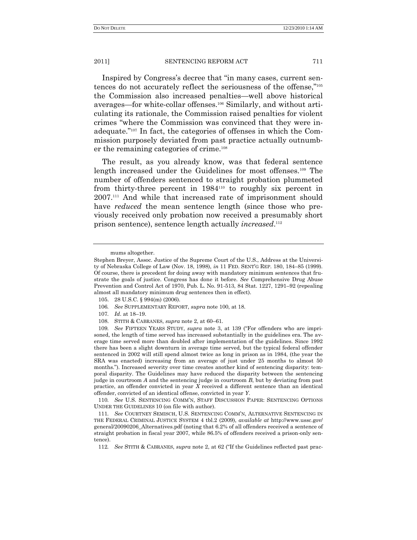Inspired by Congress's decree that "in many cases, current sentences do not accurately reflect the seriousness of the offense,"105 the Commission also increased penalties—well above historical averages—for white-collar offenses.<sup>106</sup> Similarly, and without articulating its rationale, the Commission raised penalties for violent crimes "where the Commission was convinced that they were inadequate."<sup>107</sup> In fact, the categories of offenses in which the Commission purposely deviated from past practice actually outnumber the remaining categories of crime.<sup>108</sup>

The result, as you already know, was that federal sentence length increased under the Guidelines for most offenses.<sup>109</sup> The number of offenders sentenced to straight probation plummeted from thirty-three percent in 1984<sup>110</sup> to roughly six percent in 2007.<sup>111</sup> And while that increased rate of imprisonment should have *reduced* the mean sentence length (since those who previously received only probation now received a presumably short prison sentence), sentence length actually *increased*.<sup>112</sup>

- 105. 28 U.S.C. § 994(m) (2006).
- 106*. See* SUPPLEMENTARY REPORT, *supra* note 100, at 18.
- 107*. Id*. at 18–19.
- 108. STITH & CABRANES, *supra* note 2, at 60–61.

110*. See* U.S. SENTENCING COMM'N, STAFF DISCUSSION PAPER: SENTENCING OPTIONS UNDER THE GUIDELINES 10 (on file with author).

111*. See* COURTNEY SEMISCH, U.S. SENTENCING COMM'N, ALTERNATIVE SENTENCING IN THE FEDERAL CRIMINAL JUSTICE SYSTEM 4 tbl.2 (2009), *available at* http://www.ussc.gov/ general/20090206\_Alternatives.pdf (noting that 6.2% of all offenders received a sentence of straight probation in fiscal year 2007, while 86.5% of offenders received a prison-only sentence).

112*. See* STITH & CABRANES, *supra* note 2, at 62 ("If the Guidelines reflected past prac-

mums altogether.

Stephen Breyer, Assoc. Justice of the Supreme Court of the U.S., Address at the University of Nebraska College of Law (Nov. 18, 1998), *in* 11 FED. SENT'G REP. 180, 184–85 (1999). Of course, there is precedent for doing away with mandatory minimum sentences that frustrate the goals of justice. Congress has done it before. *See* Comprehensive Drug Abuse Prevention and Control Act of 1970, Pub. L. No. 91-513, 84 Stat. 1227, 1291–92 (repealing almost all mandatory minimum drug sentences then in effect).

<sup>109.</sup> See FIFTEEN YEARS STUDY, *supra* note 3, at 139 ("For offenders who are imprisoned, the length of time served has increased substantially in the guidelines era. The average time served more than doubled after implementation of the guidelines. Since 1992 there has been a slight downturn in average time served, but the typical federal offender sentenced in 2002 will still spend almost twice as long in prison as in 1984, (the year the SRA was enacted) increasing from an average of just under 25 months to almost 50 months."). Increased severity over time creates another kind of sentencing disparity: temporal disparity. The Guidelines may have reduced the disparity between the sentencing judge in courtroom *A* and the sentencing judge in courtroom *B*, but by deviating from past practice, an offender convicted in year *X* received a different sentence than an identical offender, convicted of an identical offense, convicted in year *Y*.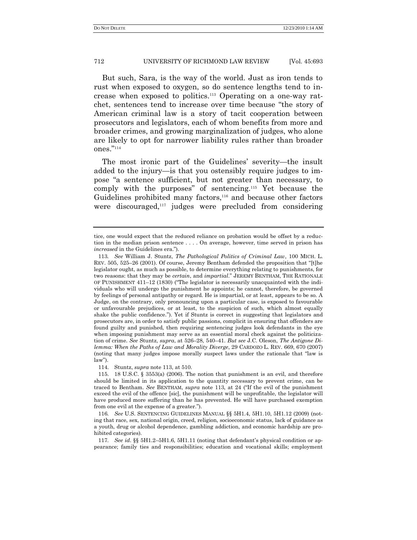But such, Sara, is the way of the world. Just as iron tends to rust when exposed to oxygen, so do sentence lengths tend to increase when exposed to politics.<sup>113</sup> Operating on a one-way ratchet, sentences tend to increase over time because "the story of American criminal law is a story of tacit cooperation between prosecutors and legislators, each of whom benefits from more and broader crimes, and growing marginalization of judges, who alone are likely to opt for narrower liability rules rather than broader ones." $^{\rm n_{114}}$ 

The most ironic part of the Guidelines' severity—the insult added to the injury—is that you ostensibly require judges to impose "a sentence sufficient, but not greater than necessary, to comply with the purposes" of sentencing.<sup>115</sup> Yet because the Guidelines prohibited many factors,<sup>116</sup> and because other factors were discouraged,<sup>117</sup> judges were precluded from considering

114. Stuntz, *supra* note 113, at 510.

tice, one would expect that the reduced reliance on probation would be offset by a reduction in the median prison sentence . . . . On average, however, time served in prison has *increased* in the Guidelines era.").

<sup>113</sup>*. See* William J. Stuntz, *The Pathological Politics of Criminal Law*, 100 MICH. L. REV.  $505, 525-26$  (2001). Of course, Jeremy Bentham defended the proposition that "[t]he legislator ought, as much as possible, to determine everything relating to punishments, for two reasons: that they may be *certain*, and *impartial*." JEREMY BENTHAM, THE RATIONALE OF PUNISHMENT  $411-12$  (1830) ("The legislator is necessarily unacquainted with the individuals who will undergo the punishment he appoints; he cannot, therefore, be governed by feelings of personal antipathy or regard. He is impartial, or at least, appears to be so. A Judge, on the contrary, only pronouncing upon a particular case, is exposed to favourable or unfavourable prejudices, or at least, to the suspicion of such, which almost equally shake the public confidence."). Yet if Stuntz is correct in suggesting that legislators and prosecutors are, in order to satisfy public passions, complicit in ensuring that offenders are found guilty and punished, then requiring sentencing judges look defendants in the eye when imposing punishment may serve as an essential moral check against the politicization of crime. *See* Stuntz, *supra*, at 526–28, 540–41. *But see* J.C. Oleson, *The Antigone Dilemma: When the Paths of Law and Morality Diverge*, 29 CARDOZO L. REV. 669, 670 (2007) (noting that many judges impose morally suspect laws under the rationale that "law is  $law$ ").

<sup>115.</sup> 18 U.S.C. § 3553(a) (2006). The notion that punishment is an evil, and therefore should be limited in its application to the quantity necessary to prevent crime, can be traced to Bentham. *See* BENTHAM, *supra* note 113, at 24 ("If the evil of the punishment exceed the evil of the offence [sic], the punishment will be unprofitable, the legislator will have produced more suffering than he has prevented. He will have purchased exemption from one evil at the expense of a greater.").

<sup>116</sup>*. See* U.S. SENTENCING GUIDELINES MANUAL §§ 5H1.4, 5H1.10, 5H1.12 (2009) (noting that race, sex, national origin, creed, religion, socioeconomic status, lack of guidance as a youth, drug or alcohol dependence, gambling addiction, and economic hardship are prohibited categories).

<sup>117</sup>*. See id*. §§ 5H1.2–5H1.6, 5H1.11 (noting that defendant's physical condition or appearance; family ties and responsibilities; education and vocational skills; employment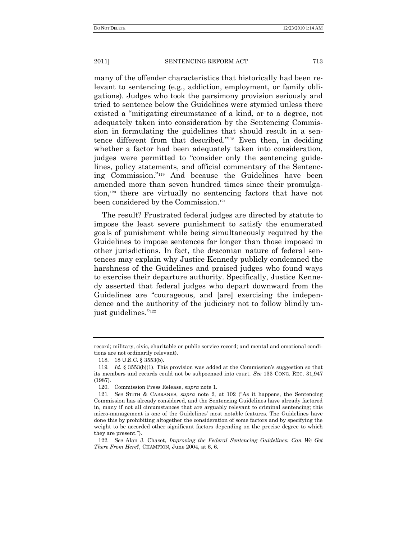many of the offender characteristics that historically had been relevant to sentencing (e.g., addiction, employment, or family obligations). Judges who took the parsimony provision seriously and tried to sentence below the Guidelines were stymied unless there existed a "mitigating circumstance of a kind, or to a degree, not adequately taken into consideration by the Sentencing Commission in formulating the guidelines that should result in a sentence different from that described."<sup>118</sup> Even then, in deciding whether a factor had been adequately taken into consideration, judges were permitted to "consider only the sentencing guidelines, policy statements, and official commentary of the Sentencing Commission."<sup>119</sup> And because the Guidelines have been amended more than seven hundred times since their promulgation,<sup>120</sup> there are virtually no sentencing factors that have not been considered by the Commission.<sup>121</sup>

The result? Frustrated federal judges are directed by statute to impose the least severe punishment to satisfy the enumerated goals of punishment while being simultaneously required by the Guidelines to impose sentences far longer than those imposed in other jurisdictions. In fact, the draconian nature of federal sentences may explain why Justice Kennedy publicly condemned the harshness of the Guidelines and praised judges who found ways to exercise their departure authority. Specifically, Justice Kennedy asserted that federal judges who depart downward from the Guidelines are "courageous, and [are] exercising the independence and the authority of the judiciary not to follow blindly unjust guidelines."<sup>122</sup>

record; military, civic, charitable or public service record; and mental and emotional conditions are not ordinarily relevant).

<sup>118.</sup> 18 U.S.C. § 3553(b).

<sup>119</sup>*. Id.* § 3553(b)(1). This provision was added at the Commission's suggestion so that its members and records could not be subpoenaed into court. *See* 133 CONG. REC. 31,947 (1987).

<sup>120.</sup> Commission Press Release, *supra* note 1.

<sup>121</sup>*. See* STITH & CABRANES, *supra* note 2, at 102 ("As it happens, the Sentencing Commission has already considered, and the Sentencing Guidelines have already factored in, many if not all circumstances that are arguably relevant to criminal sentencing; this micro-management is one of the Guidelines' most notable features. The Guidelines have done this by prohibiting altogether the consideration of some factors and by specifying the weight to be accorded other significant factors depending on the precise degree to which they are present.").

<sup>122</sup>*. See* Alan J. Chaset, *Improving the Federal Sentencing Guidelines: Can We Get There From Here?*, CHAMPION, June 2004, at 6, 6.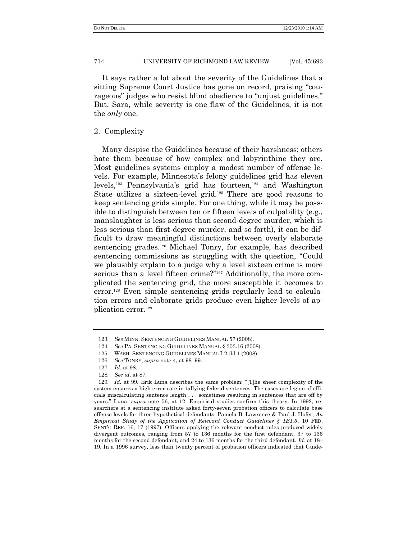It says rather a lot about the severity of the Guidelines that a sitting Supreme Court Justice has gone on record, praising "courageous" judges who resist blind obedience to "unjust guidelines." But, Sara, while severity is one flaw of the Guidelines, it is not the *only* one.

## 2. Complexity

Many despise the Guidelines because of their harshness; others hate them because of how complex and labyrinthine they are. Most guidelines systems employ a modest number of offense levels. For example, Minnesota's felony guidelines grid has eleven levels,<sup>123</sup> Pennsylvania's grid has fourteen,<sup>124</sup> and Washington State utilizes a sixteen-level grid.<sup>125</sup> There are good reasons to keep sentencing grids simple. For one thing, while it may be possible to distinguish between ten or fifteen levels of culpability (e.g., manslaughter is less serious than second-degree murder, which is less serious than first-degree murder, and so forth), it can be difficult to draw meaningful distinctions between overly elaborate sentencing grades.<sup>126</sup> Michael Tonry, for example, has described sentencing commissions as struggling with the question, "Could" we plausibly explain to a judge why a level sixteen crime is more serious than a level fifteen crime?"<sup>127</sup> Additionally, the more complicated the sentencing grid, the more susceptible it becomes to error.<sup>128</sup> Even simple sentencing grids regularly lead to calculation errors and elaborate grids produce even higher levels of application error.<sup>129</sup>

<sup>123</sup>*. See* MINN. SENTENCING GUIDELINES MANUAL 57 (2008).

<sup>124</sup>*. See* PA. SENTENCING GUIDELINES MANUAL § 303.16 (2008).

<sup>125.</sup> WASH. SENTENCING GUIDELINES MANUAL I-2 tbl.1 (2008).

<sup>126</sup>*. See* TONRY, *supra* note 4, at 98–99.

<sup>127</sup>*. Id*. at 98.

<sup>128</sup>*. See id*. at 87.

<sup>129.</sup> *Id.* at 99. Erik Luna describes the same problem: "[T]he sheer complexity of the system ensures a high error rate in tallying federal sentences. The cases are legion of officials miscalculating sentence length . . . sometimes resulting in sentences that are off by years.‖ Luna, *supra* note 56, at 12. Empirical studies confirm this theory. In 1992, researchers at a sentencing institute asked forty-seven probation officers to calculate base offense levels for three hypothetical defendants. Pamela B. Lawrence & Paul J. Hofer, *An Empirical Study of the Application of Relevant Conduct Guidelines § 1B1.3*, 10 FED. SENT'G REP. 16, 17 (1997). Officers applying the relevant conduct rules produced widely divergent outcomes, ranging from 57 to 136 months for the first defendant, 37 to 136 months for the second defendant, and 24 to 136 months for the third defendant. *Id.* at 18– 19. In a 1996 survey, less than twenty percent of probation officers indicated that Guide-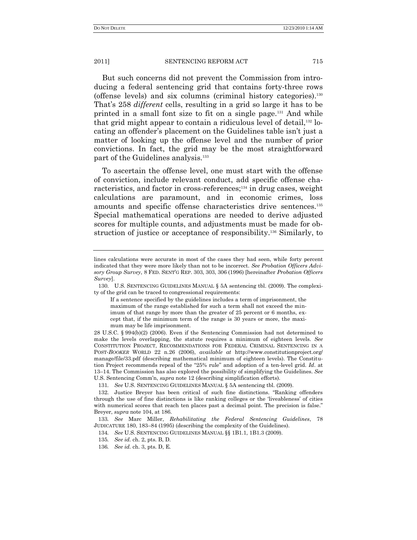But such concerns did not prevent the Commission from introducing a federal sentencing grid that contains forty-three rows (offense levels) and six columns (criminal history categories).<sup>130</sup> That's 258 *different* cells, resulting in a grid so large it has to be printed in a small font size to fit on a single page.<sup>131</sup> And while that grid might appear to contain a ridiculous level of detail, $132$  locating an offender's placement on the Guidelines table isn't just a matter of looking up the offense level and the number of prior convictions. In fact, the grid may be the most straightforward part of the Guidelines analysis.<sup>133</sup>

To ascertain the offense level, one must start with the offense of conviction, include relevant conduct, add specific offense characteristics, and factor in cross-references;<sup>134</sup> in drug cases, weight calculations are paramount, and in economic crimes, loss amounts and specific offense characteristics drive sentences.<sup>135</sup> Special mathematical operations are needed to derive adjusted scores for multiple counts, and adjustments must be made for obstruction of justice or acceptance of responsibility.<sup>136</sup> Similarly, to

lines calculations were accurate in most of the cases they had seen, while forty percent indicated that they were more likely than not to be incorrect. *See Probation Officers Advisory Group Survey*, 8 FED. SENT'G REP. 303, 303, 306 (1996) [hereinafter *Probation Officers Survey*].

<sup>130.</sup> U.S. SENTENCING GUIDELINES MANUAL § 5A sentencing tbl. (2009). The complexity of the grid can be traced to congressional requirements:

If a sentence specified by the guidelines includes a term of imprisonment, the maximum of the range established for such a term shall not exceed the minimum of that range by more than the greater of 25 percent or 6 months, except that, if the minimum term of the range is 30 years or more, the maximum may be life imprisonment.

<sup>28</sup> U.S.C. § 994(b)(2) (2006). Even if the Sentencing Commission had not determined to make the levels overlapping, the statute requires a minimum of eighteen levels. *See* CONSTITUTION PROJECT, RECOMMENDATIONS FOR FEDERAL CRIMINAL SENTENCING IN A POST-*BOOKER* WORLD 22 n.26 (2006), *available at* http://www.constitutionproject.org/ manage/file/33.pdf (describing mathematical minimum of eighteen levels). The Constitution Project recommends repeal of the "25% rule" and adoption of a ten-level grid. *Id.* at 13–14. The Commission has also explored the possibility of simplifying the Guidelines. *See* U.S. Sentencing Comm'n, *supra* note 12 (describing simplification efforts).

<sup>131</sup>*. See* U.S. SENTENCING GUIDELINES MANUAL § 5A sentencing tbl. (2009).

<sup>132.</sup> Justice Breyer has been critical of such fine distinctions. "Ranking offenders through the use of fine distinctions is like ranking colleges or the ‗liveableness' of cities with numerical scores that reach ten places past a decimal point. The precision is false." Breyer, *supra* note 104, at 186.

<sup>133</sup>*. See* Marc Miller, *Rehabilitating the Federal Sentencing Guidelines*, 78 JUDICATURE 180, 183–84 (1995) (describing the complexity of the Guidelines).

<sup>134</sup>*. See* U.S. SENTENCING GUIDELINES MANUAL §§ 1B1.1, 1B1.3 (2009).

<sup>135</sup>*. See id.* ch. 2, pts. B, D.

<sup>136</sup>*. See id.* ch. 3, pts. D, E.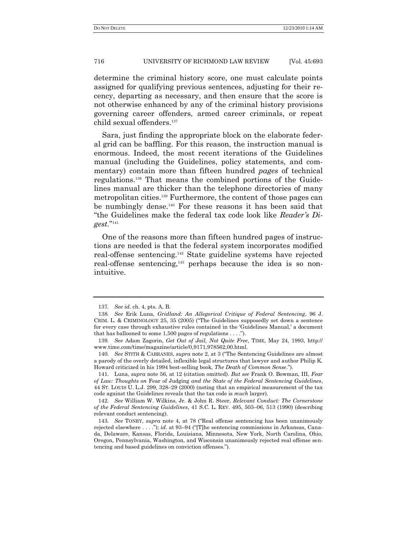determine the criminal history score, one must calculate points assigned for qualifying previous sentences, adjusting for their recency, departing as necessary, and then ensure that the score is not otherwise enhanced by any of the criminal history provisions governing career offenders, armed career criminals, or repeat child sexual offenders.<sup>137</sup>

Sara, just finding the appropriate block on the elaborate federal grid can be baffling. For this reason, the instruction manual is enormous. Indeed, the most recent iterations of the Guidelines manual (including the Guidelines, policy statements, and commentary) contain more than fifteen hundred *pages* of technical regulations.<sup>138</sup> That means the combined portions of the Guidelines manual are thicker than the telephone directories of many metropolitan cities.<sup>139</sup> Furthermore, the content of those pages can be numbingly dense.<sup>140</sup> For these reasons it has been said that ―the Guidelines make the federal tax code look like *Reader"s Digest*.‖ 141

One of the reasons more than fifteen hundred pages of instructions are needed is that the federal system incorporates modified real-offense sentencing.<sup>142</sup> State guideline systems have rejected real-offense sentencing,<sup>143</sup> perhaps because the idea is so nonintuitive.

<sup>137</sup>*. See id*. ch. 4, pts. A, B.

<sup>138</sup>*. See* Erik Luna, *Gridland: An Allegorical Critique of Federal Sentencing*, 96 J. CRIM. L. & CRIMINOLOGY 25, 35 (2005) ("The Guidelines supposedly set down a sentence for every case through exhaustive rules contained in the ‗Guidelines Manual,' a document that has ballooned to some 1,500 pages of regulations  $\dots$ .").

<sup>139</sup>*. See* Adam Zagorin, *Get Out of Jail, Not Quite Free*, TIME, May 24, 1993, http:// www.time.com/time/magazine/article/0,9171,978562,00.html.

<sup>140.</sup> *See* STITH & CABRANES, *supra* note 2, at 3 ("The Sentencing Guidelines are almost a parody of the overly detailed, inflexible legal structures that lawyer and author Philip K. Howard criticized in his 1994 best-selling book, *The Death of Common Sense*.").

<sup>141.</sup> Luna, *supra* note 56, at 12 (citation omitted). *But see* Frank O. Bowman, III, *Fear of Law: Thoughts on* Fear of Judging *and the State of the Federal Sentencing Guidelines*, 44 ST. LOUIS U. L.J. 299, 328–29 (2000) (noting that an empirical measurement of the tax code against the Guidelines reveals that the tax code is *much* larger).

<sup>142</sup>*. See* William W. Wilkins, Jr. & John R. Steer, *Relevant Conduct: The Cornerstone of the Federal Sentencing Guidelines*, 41 S.C. L. REV. 495, 503–06, 513 (1990) (describing relevant conduct sentencing).

<sup>143.</sup> *See* TONRY, *supra* note 4, at 78 ("Real offense sentencing has been unanimously rejected elsewhere . . . ."); *id*. at 93–94 ("[T]he sentencing commissions in Arkansas, Canada, Delaware, Kansas, Florida, Louisiana, Minnesota, New York, North Carolina, Ohio, Oregon, Pennsylvania, Washington, and Wisconsin unanimously rejected real offense sentencing and based guidelines on conviction offenses.").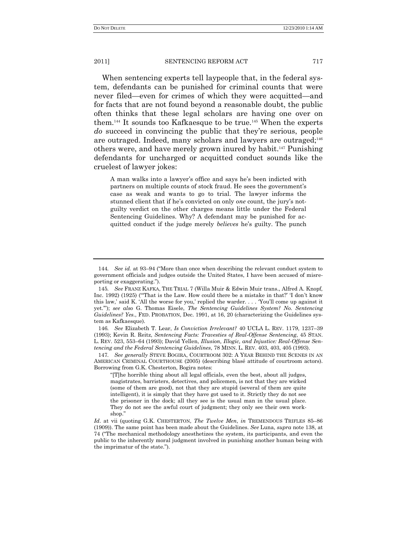When sentencing experts tell laypeople that, in the federal system, defendants can be punished for criminal counts that were never filed—even for crimes of which they were acquitted—and for facts that are not found beyond a reasonable doubt, the public often thinks that these legal scholars are having one over on them.<sup>144</sup> It sounds too Kafkaesque to be true.<sup>145</sup> When the experts *do* succeed in convincing the public that they're serious, people are outraged. Indeed, many scholars and lawyers are outraged;<sup>146</sup> others were, and have merely grown inured by habit.<sup>147</sup> Punishing defendants for uncharged or acquitted conduct sounds like the cruelest of lawyer jokes:

A man walks into a lawyer's office and says he's been indicted with partners on multiple counts of stock fraud. He sees the government's case as weak and wants to go to trial. The lawyer informs the stunned client that if he's convicted on only *one* count, the jury's notguilty verdict on the other charges means little under the Federal Sentencing Guidelines. Why? A defendant may be punished for acquitted conduct if the judge merely *believes* he's guilty. The punch

146*. See* Elizabeth T. Lear, *Is Conviction Irrelevant?* 40 UCLA L. REV. 1179, 1237–39 (1993); Kevin R. Reitz, *Sentencing Facts: Travesties of Real-Offense Sentencing*, 45 STAN. L. REV. 523, 553–64 (1993); David Yellen, *Illusion, Illogic, and Injustice: Real-Offense Sentencing and the Federal Sentencing Guidelines*, 78 MINN. L. REV. 403, 403, 405 (1993).

147*. See generally* STEVE BOGIRA, COURTROOM 302: A YEAR BEHIND THE SCENES IN AN AMERICAN CRIMINAL COURTHOUSE (2005) (describing blasé attitude of courtroom actors). Borrowing from G.K. Chesterton, Bogira notes:

<sup>144.</sup> *See id.* at 93–94 ("More than once when describing the relevant conduct system to government officials and judges outside the United States, I have been accused of misreporting or exaggerating.").

<sup>145</sup>*. See* FRANZ KAFKA, THE TRIAL 7 (Willa Muir & Edwin Muir trans., Alfred A. Knopf, Inc. 1992) (1925) ("That is the Law. How could there be a mistake in that?'  $I$  don't know this law,' said K. 'All the worse for you,' replied the warder. . . . 'You'll come up against it yet.""); see also G. Thomas Eisele, *The Sentencing Guidelines System? No. Sentencing Guidelines? Yes.*, FED. PROBATION, Dec. 1991, at 16, 20 (characterizing the Guidelines system as Kafkaesque).

<sup>―[</sup>T]he horrible thing about all legal officials, even the best, about all judges, magistrates, barristers, detectives, and policemen, is not that they are wicked (some of them are good), not that they are stupid (several of them are quite intelligent), it is simply that they have got used to it. Strictly they do not see the prisoner in the dock; all they see is the usual man in the usual place. They do not see the awful court of judgment; they only see their own workshop.

*Id*. at vii (quoting G.K. CHESTERTON, *The Twelve Men*, *in* TREMENDOUS TRIFLES 85–86 (1909)). The same point has been made about the Guidelines. *See* Luna, *supra* note 138, at 74 ("The mechanical methodology anesthetizes the system, its participants, and even the public to the inherently moral judgment involved in punishing another human being with the imprimatur of the state.").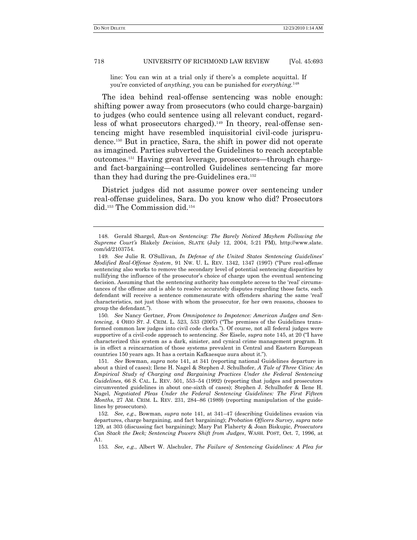line: You can win at a trial only if there's a complete acquittal. If you're convicted of *anything*, you can be punished for *everything.*<sup>148</sup>

The idea behind real-offense sentencing was noble enough: shifting power away from prosecutors (who could charge-bargain) to judges (who could sentence using all relevant conduct, regardless of what prosecutors charged).<sup>149</sup> In theory, real-offense sentencing might have resembled inquisitorial civil-code jurisprudence.<sup>150</sup> But in practice, Sara, the shift in power did not operate as imagined. Parties subverted the Guidelines to reach acceptable outcomes.<sup>151</sup> Having great leverage, prosecutors—through chargeand fact-bargaining—controlled Guidelines sentencing far more than they had during the pre-Guidelines era.<sup>152</sup>

District judges did not assume power over sentencing under real-offense guidelines, Sara. Do you know who did? Prosecutors did.<sup>153</sup> The Commission did.<sup>154</sup>

150*. See* Nancy Gertner, *From Omnipotence to Impotence: American Judges and Sentencing*, 4 OHIO ST. J. CRIM. L. 523, 533 (2007) ("The premises of the Guidelines transformed common law judges into civil code clerks."). Of course, not all federal judges were supportive of a civil-code approach to sentencing. *See* Eisele, *supra* note 145, at 20 ("I have characterized this system as a dark, sinister, and cynical crime management program. It is in effect a reincarnation of those systems prevalent in Central and Eastern European countries 150 years ago. It has a certain Kafkaesque aura about it.").

151*. See* Bowman, *supra* note 141, at 341 (reporting national Guidelines departure in about a third of cases); Ilene H. Nagel & Stephen J. Schulhofer, *A Tale of Three Cities: An Empirical Study of Charging and Bargaining Practices Under the Federal Sentencing Guidelines*, 66 S. CAL. L. REV. 501, 553–54 (1992) (reporting that judges and prosecutors circumvented guidelines in about one-sixth of cases); Stephen J. Schulhofer & Ilene H. Nagel, *Negotiated Pleas Under the Federal Sentencing Guidelines: The First Fifteen Months*, 27 AM. CRIM. L. REV. 231, 284–86 (1989) (reporting manipulation of the guidelines by prosecutors).

<sup>148.</sup> Gerald Shargel, *Run-on Sentencing: The Barely Noticed Mayhem Following the Supreme Court"s* Blakely *Decision*, SLATE (July 12, 2004, 5:21 PM), http://www.slate. com/id/2103754.

<sup>149</sup>*. See* Julie R. O'Sullivan, *In Defense of the United States Sentencing Guidelines" Modified Real-Offense System, 91 Nw. U. L. REV. 1342, 1347 (1997) ("Pure real-offense* sentencing also works to remove the secondary level of potential sentencing disparities by nullifying the influence of the prosecutor's choice of charge upon the eventual sentencing decision. Assuming that the sentencing authority has complete access to the 'real' circumstances of the offense and is able to resolve accurately disputes regarding those facts, each defendant will receive a sentence commensurate with offenders sharing the same 'real' characteristics, not just those with whom the prosecutor, for her own reasons, chooses to group the defendant.").

<sup>152</sup>*. See, e.g*., Bowman, *supra* note 141, at 341–47 (describing Guidelines evasion via departures, charge bargaining, and fact bargaining); *Probation Officers Survey*, *supra* note 129, at 303 (discussing fact bargaining); Mary Pat Flaherty & Joan Biskupic, *Prosecutors Can Stack the Deck; Sentencing Powers Shift from Judges*, WASH. POST, Oct. 7, 1996, at A1.

<sup>153</sup>*. See, e.g.*, Albert W. Alschuler, *The Failure of Sentencing Guidelines: A Plea for*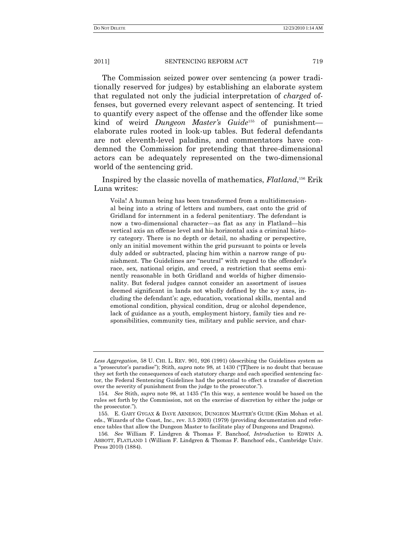The Commission seized power over sentencing (a power traditionally reserved for judges) by establishing an elaborate system that regulated not only the judicial interpretation of *charged* offenses, but governed every relevant aspect of sentencing. It tried to quantify every aspect of the offense and the offender like some kind of weird *Dungeon Master"s Guide*<sup>155</sup> of punishment elaborate rules rooted in look-up tables. But federal defendants are not eleventh-level paladins, and commentators have condemned the Commission for pretending that three-dimensional actors can be adequately represented on the two-dimensional world of the sentencing grid.

Inspired by the classic novella of mathematics, *Flatland*, <sup>156</sup> Erik Luna writes:

Voila! A human being has been transformed from a multidimensional being into a string of letters and numbers, cast onto the grid of Gridland for internment in a federal penitentiary. The defendant is now a two-dimensional character—as flat as any in Flatland—his vertical axis an offense level and his horizontal axis a criminal history category. There is no depth or detail, no shading or perspective, only an initial movement within the grid pursuant to points or levels duly added or subtracted, placing him within a narrow range of punishment. The Guidelines are "neutral" with regard to the offender's race, sex, national origin, and creed, a restriction that seems eminently reasonable in both Gridland and worlds of higher dimensionality. But federal judges cannot consider an assortment of issues deemed significant in lands not wholly defined by the x-y axes, including the defendant's: age, education, vocational skills, mental and emotional condition, physical condition, drug or alcohol dependence, lack of guidance as a youth, employment history, family ties and responsibilities, community ties, military and public service, and char-

*Less Aggregation*, 58 U. CHI. L. REV. 901, 926 (1991) (describing the Guidelines system as a "prosecutor's paradise"); Stith, *supra* note 98, at 1430 ("[T]here is no doubt that because they set forth the consequences of each statutory charge and each specified sentencing factor, the Federal Sentencing Guidelines had the potential to effect a transfer of discretion over the severity of punishment from the judge to the prosecutor.").

<sup>154.</sup> *See* Stith, *supra* note 98, at 1435 ("In this way, a sentence would be based on the rules set forth by the Commission, not on the exercise of discretion by either the judge or the prosecutor.").

<sup>155.</sup> E. GARY GYGAX & DAVE ARNESON, DUNGEON MASTER'S GUIDE (Kim Mohan et al. eds., Wizards of the Coast, Inc., rev. 3.5 2003) (1979) (providing documentation and reference tables that allow the Dungeon Master to facilitate play of Dungeons and Dragons).

<sup>156</sup>*. See* William F. Lindgren & Thomas F. Banchoof, *Introduction* to EDWIN A. ABBOTT, FLATLAND 1 (William F. Lindgren & Thomas F. Banchoof eds., Cambridge Univ. Press 2010) (1884).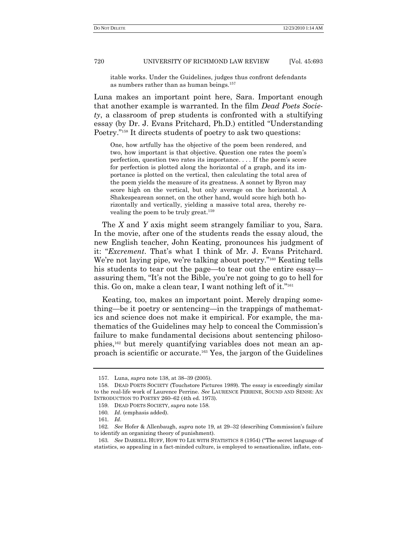itable works. Under the Guidelines, judges thus confront defendants as numbers rather than as human beings.<sup>157</sup>

Luna makes an important point here, Sara. Important enough that another example is warranted. In the film *Dead Poets Society*, a classroom of prep students is confronted with a stultifying essay (by Dr. J. Evans Pritchard, Ph.D.) entitled "Understanding" Poetry."<sup>158</sup> It directs students of poetry to ask two questions:

One, how artfully has the objective of the poem been rendered, and two, how important is that objective. Question one rates the poem's perfection, question two rates its importance. . . . If the poem's score for perfection is plotted along the horizontal of a graph, and its importance is plotted on the vertical, then calculating the total area of the poem yields the measure of its greatness. A sonnet by Byron may score high on the vertical, but only average on the horizontal. A Shakespearean sonnet, on the other hand, would score high both horizontally and vertically, yielding a massive total area, thereby revealing the poem to be truly great.<sup>159</sup>

The *X* and *Y* axis might seem strangely familiar to you, Sara. In the movie, after one of the students reads the essay aloud, the new English teacher, John Keating, pronounces his judgment of it: "Excrement. That's what I think of Mr. J. Evans Pritchard. We're not laying pipe, we're talking about poetry."<sup>160</sup> Keating tells his students to tear out the page—to tear out the entire essay assuring them, "It's not the Bible, you're not going to go to hell for this. Go on, make a clean tear, I want nothing left of it."<sup>161</sup>

Keating, too, makes an important point. Merely draping something—be it poetry or sentencing—in the trappings of mathematics and science does not make it empirical. For example, the mathematics of the Guidelines may help to conceal the Commission's failure to make fundamental decisions about sentencing philosophies,<sup>162</sup> but merely quantifying variables does not mean an approach is scientific or accurate.<sup>163</sup> Yes, the jargon of the Guidelines

<sup>157.</sup> Luna, *supra* note 138, at 38–39 (2005).

<sup>158.</sup> DEAD POETS SOCIETY (Touchstore Pictures 1989). The essay is exceedingly similar to the real-life work of Laurence Perrine. *See* LAURENCE PERRINE, SOUND AND SENSE: AN INTRODUCTION TO POETRY 260–62 (4th ed. 1973).

<sup>159.</sup> DEAD POETS SOCIETY, *supra* note 158.

<sup>160</sup>*. Id*. (emphasis added).

<sup>161</sup>*. Id*.

<sup>162</sup>*. See* Hofer & Allenbaugh, *supra* note 19, at 29–32 (describing Commission's failure to identify an organizing theory of punishment).

<sup>163.</sup> *See DARRELL HUFF, HOW TO LIE WITH STATISTICS 8 (1954)* ("The secret language of statistics, so appealing in a fact-minded culture, is employed to sensationalize, inflate, con-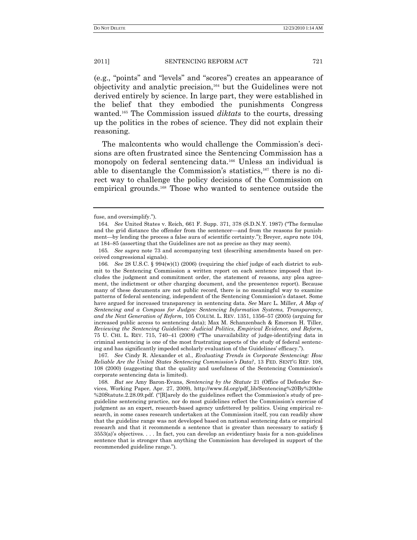(e.g., "points" and "levels" and "scores") creates an appearance of objectivity and analytic precision,<sup>164</sup> but the Guidelines were not derived entirely by science. In large part, they were established in the belief that they embodied the punishments Congress wanted.<sup>165</sup> The Commission issued *diktats* to the courts, dressing up the politics in the robes of science. They did not explain their reasoning.

The malcontents who would challenge the Commission's decisions are often frustrated since the Sentencing Commission has a monopoly on federal sentencing data.<sup>166</sup> Unless an individual is able to disentangle the Commission's statistics,<sup>167</sup> there is no direct way to challenge the policy decisions of the Commission on empirical grounds.<sup>168</sup> Those who wanted to sentence outside the

167*. See* Cindy R. Alexander et al., *Evaluating Trends in Corporate Sentencing: How Reliable Are the United States Sentencing Commission"s Data?*, 13 FED. SENT'G REP. 108, 108 (2000) (suggesting that the quality and usefulness of the Sentencing Commission's corporate sentencing data is limited).

fuse, and oversimplify.").

<sup>164.</sup> *See* United States v. Reich, 661 F. Supp. 371, 378 (S.D.N.Y. 1987) ("The formulae and the grid distance the offender from the sentencer—and from the reasons for punishment—by lending the process a false aura of scientific certainty.‖); Breyer, *supra* note 104, at 184–85 (asserting that the Guidelines are not as precise as they may seem).

<sup>165</sup>*. See supra* note 73 and accompanying text (describing amendments based on perceived congressional signals).

<sup>166</sup>*. See* 28 U.S.C. § 994(w)(1) (2006) (requiring the chief judge of each district to submit to the Sentencing Commission a written report on each sentence imposed that includes the judgment and commitment order, the statement of reasons, any plea agreement, the indictment or other charging document, and the presentence report). Because many of these documents are not public record, there is no meaningful way to examine patterns of federal sentencing, independent of the Sentencing Commission's dataset. Some have argued for increased transparency in sentencing data. *See* Marc L. Miller, *A Map of Sentencing and a Compass for Judges: Sentencing Information Systems, Transparency, and the Next Generation of Reform*, 105 COLUM. L. REV. 1351, 1356–57 (2005) (arguing for increased public access to sentencing data); Max M. Schanzenbach & Emerson H. Tiller, *Reviewing the Sentencing Guidelines: Judicial Politics, Empirical Evidence, and Reform*, 75 U. CHI. L. REV. 715, 740–41 (2008) ("The unavailability of judge-identifying data in criminal sentencing is one of the most frustrating aspects of the study of federal sentencing and has significantly impeded scholarly evaluation of the Guidelines' efficacy.").

<sup>168</sup>*. But see* Amy Baron-Evans, *Sentencing by the Statute* 21 (Office of Defender Services, Working Paper, Apr. 27, 2009), http://www.fd.org/pdf\_lib/Sentencing%20By%20the %20Statute.2.28.09.pdf. ("[R]arely do the guidelines reflect the Commission's study of preguideline sentencing practice, nor do most guidelines reflect the Commission's exercise of judgment as an expert, research-based agency unfettered by politics. Using empirical research, in some cases research undertaken at the Commission itself, you can readily show that the guideline range was not developed based on national sentencing data or empirical research and that it recommends a sentence that is greater than necessary to satisfy §  $3553(a)$ 's objectives.... In fact, you can develop an evidentiary basis for a non-guidelines sentence that is stronger than anything the Commission has developed in support of the recommended guideline range.").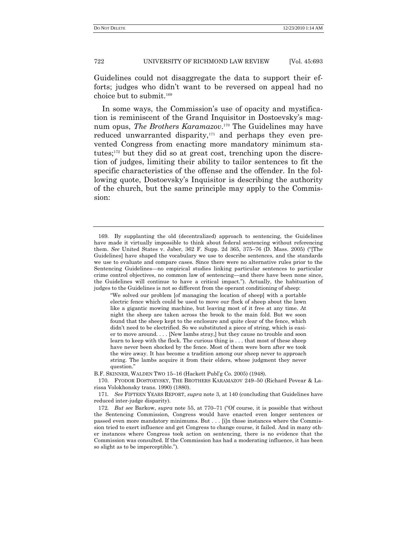Guidelines could not disaggregate the data to support their efforts; judges who didn't want to be reversed on appeal had no choice but to submit.<sup>169</sup>

In some ways, the Commission's use of opacity and mystification is reminiscent of the Grand Inquisitor in Dostoevsky's magnum opus, *The Brothers Karamazov*. <sup>170</sup> The Guidelines may have reduced unwarranted disparity, $171$  and perhaps they even prevented Congress from enacting more mandatory minimum statutes; <sup>172</sup> but they did so at great cost, trenching upon the discretion of judges, limiting their ability to tailor sentences to fit the specific characteristics of the offense and the offender. In the following quote, Dostoevsky's Inquisitor is describing the authority of the church, but the same principle may apply to the Commission:

B.F. SKINNER, WALDEN TWO 15–16 (Hackett Publ'g Co. 2005) (1948).

170. FYODOR DOSTOEVSKY, THE BROTHERS KARAMAZOV 249–50 (Richard Pevear & Larissa Volokhonsky trans. 1990) (1880).

171*. See* FIFTEEN YEARS REPORT, *supra* note 3, at 140 (concluding that Guidelines have reduced inter-judge disparity).

<sup>169.</sup> By supplanting the old (decentralized) approach to sentencing, the Guidelines have made it virtually impossible to think about federal sentencing without referencing them. *See* United States v. Jaber, 362 F. Supp. 2d 365, 375–76 (D. Mass. 2005) ("[The Guidelines] have shaped the vocabulary we use to describe sentences, and the standards we use to evaluate and compare cases. Since there were no alternative rules prior to the Sentencing Guidelines—no empirical studies linking particular sentences to particular crime control objectives, no common law of sentencing—and there have been none since, the Guidelines will continue to have a critical impact.‖). Actually, the habituation of judges to the Guidelines is not so different from the operant conditioning of sheep:

<sup>―</sup>We solved our problem [of managing the location of sheep] with a portable electric fence which could be used to move our flock of sheep about the lawn like a gigantic mowing machine, but leaving most of it free at any time. At night the sheep are taken across the brook to the main fold. But we soon found that the sheep kept to the enclosure and quite clear of the fence, which didn't need to be electrified. So we substituted a piece of string, which is easier to move around. . . . [New lambs stray,] but they cause no trouble and soon learn to keep with the flock. The curious thing is . . . that most of these sheep have never been shocked by the fence. Most of them were born after we took the wire away. It has become a tradition among our sheep never to approach string. The lambs acquire it from their elders, whose judgment they never question."

<sup>172.</sup> *But see* Barkow, *supra* note 55, at 770–71 ("Of course, it is possible that without the Sentencing Commission, Congress would have enacted even longer sentences or passed even more mandatory minimums. But . . . [i]n those instances where the Commission tried to exert influence and get Congress to change course, it failed. And in many other instances where Congress took action on sentencing, there is no evidence that the Commission was consulted. If the Commission has had a moderating influence, it has been so slight as to be imperceptible.").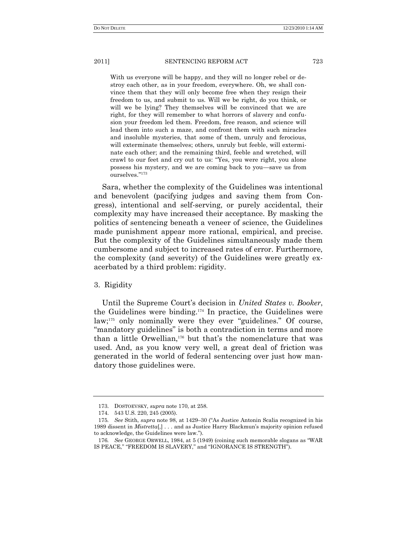With us everyone will be happy, and they will no longer rebel or destroy each other, as in your freedom, everywhere. Oh, we shall convince them that they will only become free when they resign their freedom to us, and submit to us. Will we be right, do you think, or will we be lying? They themselves will be convinced that we are right, for they will remember to what horrors of slavery and confusion your freedom led them. Freedom, free reason, and science will lead them into such a maze, and confront them with such miracles and insoluble mysteries, that some of them, unruly and ferocious, will exterminate themselves; others, unruly but feeble, will exterminate each other; and the remaining third, feeble and wretched, will crawl to our feet and cry out to us: "Yes, you were right, you alone possess his mystery, and we are coming back to you—save us from ourselves."<sup>173</sup>

Sara, whether the complexity of the Guidelines was intentional and benevolent (pacifying judges and saving them from Congress), intentional and self-serving, or purely accidental, their complexity may have increased their acceptance. By masking the politics of sentencing beneath a veneer of science, the Guidelines made punishment appear more rational, empirical, and precise. But the complexity of the Guidelines simultaneously made them cumbersome and subject to increased rates of error. Furthermore, the complexity (and severity) of the Guidelines were greatly exacerbated by a third problem: rigidity.

## 3. Rigidity

Until the Supreme Court's decision in *United States v. Booker*, the Guidelines were binding.<sup>174</sup> In practice, the Guidelines were  $\lambda$ law;<sup>175</sup> only nominally were they ever "guidelines." Of course, "mandatory guidelines" is both a contradiction in terms and more than a little Orwellian,<sup>176</sup> but that's the nomenclature that was used. And, as you know very well, a great deal of friction was generated in the world of federal sentencing over just how mandatory those guidelines were.

<sup>173.</sup> DOSTOEVSKY, *supra* note 170, at 258.

<sup>174.</sup> 543 U.S. 220, 245 (2005).

<sup>175.</sup> See Stith, *supra* note 98, at 1429–30 ("As Justice Antonin Scalia recognized in his 1989 dissent in *Mistretta*[,] . . . and as Justice Harry Blackmun's majority opinion refused to acknowledge, the Guidelines were law.").

<sup>176.</sup> *See* GEORGE ORWELL, 1984, at 5 (1949) (coining such memorable slogans as "WAR IS PEACE," "FREEDOM IS SLAVERY," and "IGNORANCE IS STRENGTH").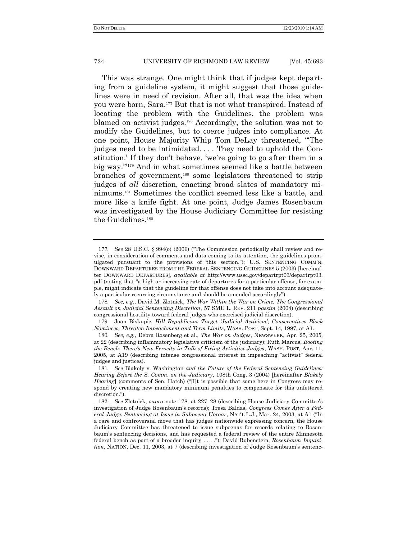This was strange. One might think that if judges kept departing from a guideline system, it might suggest that those guidelines were in need of revision. After all, that was the idea when you were born, Sara.<sup>177</sup> But that is not what transpired. Instead of locating the problem with the Guidelines, the problem was blamed on activist judges.<sup>178</sup> Accordingly, the solution was not to modify the Guidelines, but to coerce judges into compliance. At one point, House Majority Whip Tom DeLay threatened, "The judges need to be intimidated. . . . They need to uphold the Constitution.' If they don't behave, 'we're going to go after them in a big way."<sup>179</sup> And in what sometimes seemed like a battle between branches of government,<sup>180</sup> some legislators threatened to strip judges of *all* discretion, enacting broad slates of mandatory minimums.<sup>181</sup> Sometimes the conflict seemed less like a battle, and more like a knife fight. At one point, Judge James Rosenbaum was investigated by the House Judiciary Committee for resisting the Guidelines.<sup>182</sup>

<sup>177</sup>*. See* 28 U.S.C. § 994(o) (2006) ("The Commission periodically shall review and revise, in consideration of comments and data coming to its attention, the guidelines promulgated pursuant to the provisions of this section."); U.S. SENTENCING COMM'N, DOWNWARD DEPARTURES FROM THE FEDERAL SENTENCING GUIDELINES 5 (2003) [hereinafter DOWNWARD DEPARTURES], *available at* http://www.ussc.gov/departrpt03/departrpt03. pdf (noting that "a high or increasing rate of departures for a particular offense, for example, might indicate that the guideline for that offense does not take into account adequately a particular recurring circumstance and should be amended accordingly").

<sup>178</sup>*. See, e.g*., David M. Zlotnick, *The War Within the War on Crime: The Congressional Assault on Judicial Sentencing Discretion*, 57 SMU L. REV. 211 *passim* (2004) (describing congressional hostility toward federal judges who exercised judicial discretion).

<sup>179.</sup> Joan Biskupic, *Hill Republicans Target "Judicial Activism"; Conservatives Block Nominees, Threaten Impeachment and Term Limits*, WASH. POST, Sept. 14, 1997, at A1.

<sup>180</sup>*. See, e.g.*, Debra Rosenberg et al., *The War on Judges*, NEWSWEEK, Apr. 25, 2005, at 22 (describing inflammatory legislative criticism of the judiciary); Ruth Marcus, *Booting the Bench*; *There"s New Ferocity in Talk of Firing Activitist Judges*, WASH. POST, Apr. 11, 2005, at A19 (describing intense congressional interest in impeaching "activist" federal judges and justices).

<sup>181</sup>*. See* Blakely v. Washington *and the Future of the Federal Sentencing Guidelines: Hearing Before the S. Comm. on the Judiciary*, 108th Cong. 3 (2004) [hereinafter *Blakely Hearing*] (comments of Sen. Hatch) (" $\Pi$ t is possible that some here in Congress may respond by creating new mandatory minimum penalties to compensate for this unfettered discretion.").

<sup>182</sup>*. See* Zlotnick, *supra* note 178, at 227–28 (describing House Judiciary Committee's investigation of Judge Rosenbaum's records); Tresa Baldas, *Congress Comes After a Federal Judge: Sentencing at Issue in Subpoena Uproar*, NAT'L L.J., Mar. 24, 2003, at A1 ("In a rare and controversial move that has judges nationwide expressing concern, the House Judiciary Committee has threatened to issue subpoenas for records relating to Rosenbaum's sentencing decisions, and has requested a federal review of the entire Minnesota federal bench as part of a broader inquiry . . . .‖); David Rubenstein, *Rosenbaum Inquisition*, NATION, Dec. 11, 2003, at 7 (describing investigation of Judge Rosenbaum's sentenc-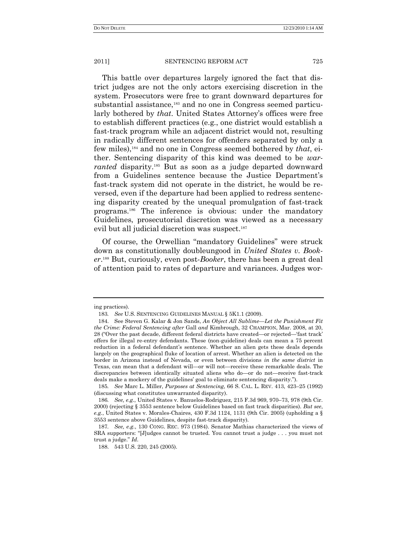This battle over departures largely ignored the fact that district judges are not the only actors exercising discretion in the system. Prosecutors were free to grant downward departures for substantial assistance,<sup>183</sup> and no one in Congress seemed particularly bothered by *that*. United States Attorney's offices were free to establish different practices (e.g., one district would establish a fast-track program while an adjacent district would not, resulting in radically different sentences for offenders separated by only a few miles),<sup>184</sup> and no one in Congress seemed bothered by *that*, either. Sentencing disparity of this kind was deemed to be *warranted* disparity.<sup>185</sup> But as soon as a judge departed downward from a Guidelines sentence because the Justice Department's fast-track system did not operate in the district, he would be reversed, even if the departure had been applied to redress sentencing disparity created by the unequal promulgation of fast-track programs.<sup>186</sup> The inference is obvious: under the mandatory Guidelines, prosecutorial discretion was viewed as a necessary evil but all judicial discretion was suspect.<sup>187</sup>

Of course, the Orwellian "mandatory Guidelines" were struck down as constitutionally doubleungood in *United States v. Booker*. <sup>188</sup> But, curiously, even post-*Booker*, there has been a great deal of attention paid to rates of departure and variances. Judges wor-

ing practices).

<sup>183</sup>*. See* U.S. SENTENCING GUIDELINES MANUAL § 5K1.1 (2009).

<sup>184.</sup> See Steven G. Kalar & Jon Sands, *An Object All Sublime—Let the Punishment Fit the Crime: Federal Sentencing after* Gall *and* Kimbrough, 32 CHAMPION, Mar. 2008, at 20, 28 ("Over the past decade, different federal districts have created—or rejected—'fast track' offers for illegal re-entry defendants. These (non-guideline) deals can mean a 75 percent reduction in a federal defendant's sentence. Whether an alien gets these deals depends largely on the geographical fluke of location of arrest. Whether an alien is detected on the border in Arizona instead of Nevada, or even between divisions *in the same district* in Texas, can mean that a defendant will—or will not—receive these remarkable deals. The discrepancies between identically situated aliens who do—or do not—receive fast-track deals make a mockery of the guidelines' goal to eliminate sentencing disparity.").

<sup>185</sup>*. See* Marc L. Miller, *Purposes at Sentencing*, 66 S. CAL. L. REV. 413, 423–25 (1992) (discussing what constitutes unwarranted disparity).

<sup>186</sup>*. See, e.g.*, United States v. Banuelos-Rodriguez, 215 F.3d 969, 970–73, 978 (9th Cir. 2000) (rejecting § 3553 sentence below Guidelines based on fast track disparities). *But see*, *e.g*., United States v. Morales-Chaires, 430 F.3d 1124, 1131 (9th Cir. 2005) (upholding a § 3553 sentence above Guidelines, despite fast-track disparity).

<sup>187</sup>*. See, e.g*., 130 CONG. REC. 973 (1984). Senator Mathias characterized the views of SRA supporters: "[J]udges cannot be trusted. You cannot trust a judge . . . you must not trust a judge.‖ *Id*.

<sup>188.</sup> 543 U.S. 220, 245 (2005).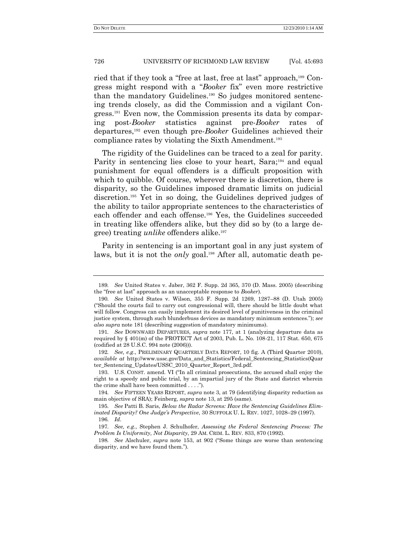ried that if they took a "free at last, free at last" approach,<sup>189</sup> Congress might respond with a "Booker fix" even more restrictive than the mandatory Guidelines.<sup>190</sup> So judges monitored sentencing trends closely, as did the Commission and a vigilant Congress.<sup>191</sup> Even now, the Commission presents its data by comparing post-*Booker* statistics against pre-*Booker* rates of departures,<sup>192</sup> even though pre-*Booker* Guidelines achieved their compliance rates by violating the Sixth Amendment.<sup>193</sup>

The rigidity of the Guidelines can be traced to a zeal for parity. Parity in sentencing lies close to your heart, Sara;<sup>194</sup> and equal punishment for equal offenders is a difficult proposition with which to quibble. Of course, wherever there is discretion, there is disparity, so the Guidelines imposed dramatic limits on judicial discretion.<sup>195</sup> Yet in so doing, the Guidelines deprived judges of the ability to tailor appropriate sentences to the characteristics of each offender and each offense.<sup>196</sup> Yes, the Guidelines succeeded in treating like offenders alike, but they did so by (to a large degree) treating *unlike* offenders alike.<sup>197</sup>

Parity in sentencing is an important goal in any just system of laws, but it is not the *only* goal.<sup>198</sup> After all, automatic death pe-

<sup>189</sup>*. See* United States v. Jaber, 362 F. Supp. 2d 365, 370 (D. Mass. 2005) (describing the "free at last" approach as an unacceptable response to *Booker*).

<sup>190</sup>*. See* United States v. Wilson, 355 F. Supp. 2d 1269, 1287–88 (D. Utah 2005) (―Should the courts fail to carry out congressional will, there should be little doubt what will follow. Congress can easily implement its desired level of punitiveness in the criminal justice system, through such blunderbuss devices as mandatory minimum sentences.‖); *see also supra* note 181 (describing suggestion of mandatory minimums).

<sup>191</sup>*. See* DOWNWARD DEPARTURES, *supra* note 177, at 1 (analyzing departure data as required by § 401(m) of the PROTECT Act of 2003, Pub. L. No. 108-21, 117 Stat. 650, 675 (codified at 28 U.S.C. 994 note (2006))).

<sup>192</sup>*. See, e.g*., PRELIMINARY QUARTERLY DATA REPORT, 10 fig. A (Third Quarter 2010), *available at* http://www.ussc.gov/Data\_and\_Statistics/Federal\_Sentencing\_Statistics(Quar ter\_Sentencing\_Updates/USSC\_2010\_Quarter\_Report\_3rd.pdf.

<sup>193.</sup> U.S. CONST. amend. VI ("In all criminal prosecutions, the accused shall enjoy the right to a speedy and public trial, by an impartial jury of the State and district wherein the crime shall have been committed  $\dots$ .").

<sup>194</sup>*. See* FIFTEEN YEARS REPORT, *supra* note 3, at 79 (identifying disparity reduction as main objective of SRA); Feinberg, *supra* note 13, at 295 (same).

<sup>195</sup>*. See* Patti B. Saris, *Below the Radar Screens: Have the Sentencing Guidelines Eliminated Disparity? One Judge"s Perspective*, 30 SUFFOLK U. L. REV. 1027, 1028–29 (1997).

<sup>196</sup>*. Id*.

<sup>197</sup>*. See, e.g*., Stephen J. Schulhofer, *Assessing the Federal Sentencing Process: The Problem Is Uniformity, Not Disparity*, 29 AM. CRIM. L. REV. 833, 870 (1992).

<sup>198</sup>*. See* Alschuler, *supra* note 153, at 902 ("Some things are worse than sentencing disparity, and we have found them.").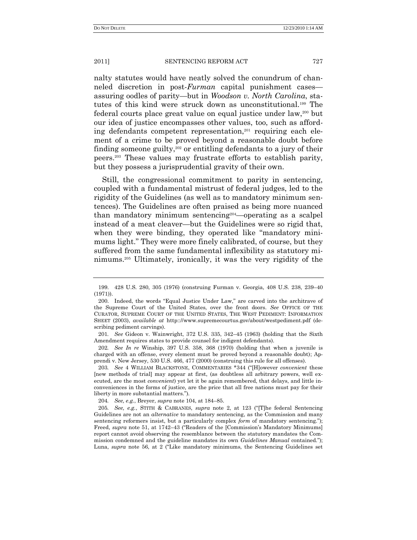nalty statutes would have neatly solved the conundrum of channeled discretion in post-*Furman* capital punishment cases assuring oodles of parity—but in *Woodson v. North Carolina*, statutes of this kind were struck down as unconstitutional.<sup>199</sup> The federal courts place great value on equal justice under law,<sup>200</sup> but our idea of justice encompasses other values, too, such as affording defendants competent representation,<sup>201</sup> requiring each element of a crime to be proved beyond a reasonable doubt before finding someone guilty,<sup>202</sup> or entitling defendants to a jury of their peers.<sup>203</sup> These values may frustrate efforts to establish parity, but they possess a jurisprudential gravity of their own.

Still, the congressional commitment to parity in sentencing, coupled with a fundamental mistrust of federal judges, led to the rigidity of the Guidelines (as well as to mandatory minimum sentences). The Guidelines are often praised as being more nuanced than mandatory minimum sentencing204—operating as a scalpel instead of a meat cleaver—but the Guidelines were so rigid that, when they were binding, they operated like "mandatory minimums light." They were more finely calibrated, of course, but they suffered from the same fundamental inflexibility as statutory minimums.<sup>205</sup> Ultimately, ironically, it was the very rigidity of the

202*. See In re* Winship, 397 U.S. 358, 368 (1970) (holding that when a juvenile is charged with an offense, every element must be proved beyond a reasonable doubt); Apprendi v. New Jersey, 530 U.S. 466, 477 (2000) (construing this rule for all offenses).

203. See 4 WILLIAM BLACKSTONE, COMMENTARIES \*344 ("H]owever *convenient* these [new methods of trial] may appear at first, (as doubtless all arbitrary powers, well executed, are the most *convenient*) yet let it be again remembered, that delays, and little inconveniences in the forms of justice, are the price that all free nations must pay for their liberty in more substantial matters.").

204*. See, e.g.*, Breyer, *supra* note 104, at 184–85.

205*. See, e.g.*, STITH & CABRANES, *supra* note 2, at 123 ("[T]he federal Sentencing Guidelines are not an *alternative* to mandatory sentencing, as the Commission and many sentencing reformers insist, but a particularly complex *form* of mandatory sentencing."); Freed, *supra* note 51, at 1742–43 ("Readers of the [Commission's Mandatory Minimums] report cannot avoid observing the resemblance between the statutory mandates the Commission condemned and the guideline mandates its own *Guidelines Manual* contained."); Luna, *supra* note 56, at 2 ("Like mandatory minimums, the Sentencing Guidelines set

<sup>199.</sup> 428 U.S. 280, 305 (1976) (construing Furman v. Georgia, 408 U.S. 238, 239–40  $(1971)$ .

<sup>200.</sup> Indeed, the words "Equal Justice Under Law," are carved into the architrave of the Supreme Court of the United States, over the front doors. *See* OFFICE OF THE CURATOR, SUPREME COURT OF THE UNITED STATES, THE WEST PEDIMENT: INFORMATION SHEET (2003), *available at* http:://www.supremecourtus.gov/about/westpediment.pdf (describing pediment carvings).

<sup>201</sup>*. See* Gideon v. Wainwright, 372 U.S. 335, 342–45 (1963) (holding that the Sixth Amendment requires states to provide counsel for indigent defendants).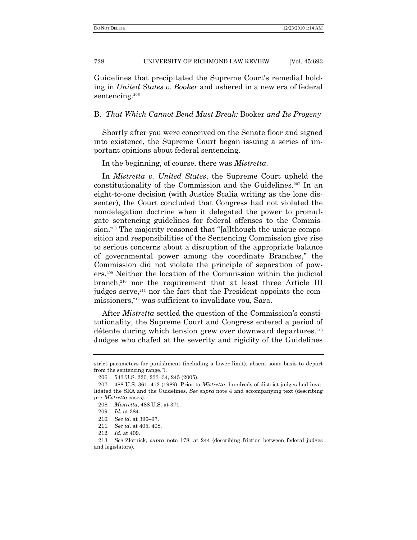Guidelines that precipitated the Supreme Court's remedial holding in *United States v. Booker* and ushered in a new era of federal sentencing.<sup>206</sup>

## B. *That Which Cannot Bend Must Break:* Booker *and Its Progeny*

Shortly after you were conceived on the Senate floor and signed into existence, the Supreme Court began issuing a series of important opinions about federal sentencing.

In the beginning, of course, there was *Mistretta*.

In *Mistretta v. United States*, the Supreme Court upheld the constitutionality of the Commission and the Guidelines.<sup>207</sup> In an eight-to-one decision (with Justice Scalia writing as the lone dissenter), the Court concluded that Congress had not violated the nondelegation doctrine when it delegated the power to promulgate sentencing guidelines for federal offenses to the Commission.<sup>208</sup> The majority reasoned that "[a]lthough the unique composition and responsibilities of the Sentencing Commission give rise to serious concerns about a disruption of the appropriate balance of governmental power among the coordinate Branches," the Commission did not violate the principle of separation of powers.<sup>209</sup> Neither the location of the Commission within the judicial branch,<sup>210</sup> nor the requirement that at least three Article III judges serve,<sup>211</sup> nor the fact that the President appoints the commissioners,<sup>212</sup> was sufficient to invalidate you, Sara.

After *Mistretta* settled the question of the Commission's constitutionality, the Supreme Court and Congress entered a period of détente during which tension grew over downward departures.<sup>213</sup> Judges who chafed at the severity and rigidity of the Guidelines

strict parameters for punishment (including a lower limit), absent some basis to depart from the sentencing range.").

<sup>206.</sup> 543 U.S. 220, 233–34, 245 (2005).

<sup>207.</sup> 488 U.S. 361, 412 (1989). Prior to *Mistretta*, hundreds of district judges had invalidated the SRA and the Guidelines. *See supra* note 4 and accompanying text (describing pre-*Mistretta* cases).

<sup>208</sup>*. Mistretta*, 488 U.S. at 371.

<sup>209</sup>*. Id*. at 384.

<sup>210</sup>*. See id*. at 396–97.

<sup>211</sup>*. See id*. at 405, 408.

<sup>212</sup>*. Id*. at 409.

<sup>213</sup>*. See* Zlotnick, *supra* note 178, at 244 (describing friction between federal judges and legislators).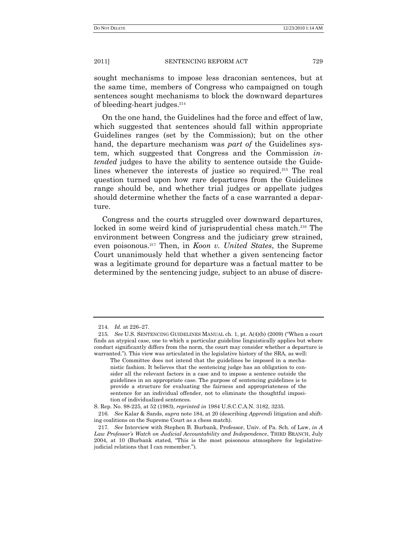sought mechanisms to impose less draconian sentences, but at the same time, members of Congress who campaigned on tough sentences sought mechanisms to block the downward departures of bleeding-heart judges.<sup>214</sup>

On the one hand, the Guidelines had the force and effect of law, which suggested that sentences should fall within appropriate Guidelines ranges (set by the Commission); but on the other hand, the departure mechanism was *part of* the Guidelines system, which suggested that Congress and the Commission *intended* judges to have the ability to sentence outside the Guidelines whenever the interests of justice so required.<sup>215</sup> The real question turned upon how rare departures from the Guidelines range should be, and whether trial judges or appellate judges should determine whether the facts of a case warranted a departure.

Congress and the courts struggled over downward departures, locked in some weird kind of jurisprudential chess match.<sup>216</sup> The environment between Congress and the judiciary grew strained, even poisonous.<sup>217</sup> Then, in *Koon v. United States*, the Supreme Court unanimously held that whether a given sentencing factor was a legitimate ground for departure was a factual matter to be determined by the sentencing judge, subject to an abuse of discre-

<sup>214</sup>*. Id.* at 226–27.

<sup>215.</sup> See U.S. SENTENCING GUIDELINES MANUAL ch. 1, pt. A(4)(b) (2009) ("When a court finds an atypical case, one to which a particular guideline linguistically applies but where conduct significantly differs from the norm, the court may consider whether a departure is warranted."). This view was articulated in the legislative history of the SRA, as well:

The Committee does not intend that the guidelines be imposed in a mechanistic fashion. It believes that the sentencing judge has an obligation to consider all the relevant factors in a case and to impose a sentence outside the guidelines in an appropriate case. The purpose of sentencing guidelines is to provide a structure for evaluating the fairness and appropriateness of the sentence for an individual offender, not to eliminate the thoughtful imposition of individualized sentences.

S. Rep. No. 98-225, at 52 (1983), *reprinted in* 1984 U.S.C.C.A.N. 3182, 3235.

<sup>216</sup>*. See* Kalar & Sands, *supra* note 184, at 20 (describing *Apprendi* litigation and shifting coalitions on the Supreme Court as a chess match).

<sup>217</sup>*. See* Interview with Stephen B. Burbank, Professor, Univ. of Pa. Sch. of Law, *in A Law Professor"s Watch on Judicial Accountability and Independence*, THIRD BRANCH, July  $2004$ , at 10 (Burbank stated, "This is the most poisonous atmosphere for legislativejudicial relations that I can remember.").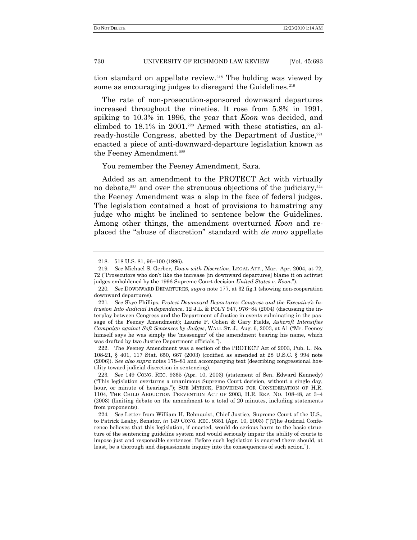tion standard on appellate review.<sup>218</sup> The holding was viewed by some as encouraging judges to disregard the Guidelines.<sup>219</sup>

The rate of non-prosecution-sponsored downward departures increased throughout the nineties. It rose from 5.8% in 1991, spiking to 10.3% in 1996, the year that *Koon* was decided, and climbed to  $18.1\%$  in  $2001.^{220}$  Armed with these statistics, an already-hostile Congress, abetted by the Department of Justice, $221$ enacted a piece of anti-downward-departure legislation known as the Feeney Amendment.<sup>222</sup>

You remember the Feeney Amendment, Sara.

Added as an amendment to the PROTECT Act with virtually no debate, $223$  and over the strenuous objections of the judiciary, $224$ the Feeney Amendment was a slap in the face of federal judges. The legislation contained a host of provisions to hamstring any judge who might be inclined to sentence below the Guidelines. Among other things, the amendment overturned *Koon* and replaced the "abuse of discretion" standard with *de novo* appellate

<sup>218.</sup> 518 U.S. 81, 96−100 (1996).

<sup>219</sup>*. See* Michael S. Gerber, *Down with Discretion*, LEGAL AFF., Mar.–Apr. 2004, at 72, 72 ("Prosecutors who don't like the increase [in downward departures] blame it on activist judges emboldened by the 1996 Supreme Court decision *United States v. Koon.*").

<sup>220</sup>*. See* DOWNWARD DEPARTURES, *supra* note 177, at 32 fig.1 (showing non-cooperation downward departures).

<sup>221</sup>*. See* Skye Phillips, *Protect Downward Departures: Congress and the Executive"s Intrusion Into Judicial Independence*, 12 J.L. & POL'Y 947, 976−84 (2004) (discussing the interplay between Congress and the Department of Justice in events culminating in the passage of the Feeney Amendment); Laurie P. Cohen & Gary Fields, *Ashcroft Intensifies Campaign against Soft Sentences by Judges, WALL ST. J., Aug. 6, 2003, at A1 ("Mr. Feeney* himself says he was simply the 'messenger' of the amendment bearing his name, which was drafted by two Justice Department officials.").

<sup>222.</sup> The Feeney Amendment was a section of the PROTECT Act of 2003, Pub. L. No. 108-21, § 401, 117 Stat. 650, 667 (2003) (codified as amended at 28 U.S.C. § 994 note (2006)). *See also supra* notes 178–81 and accompanying text (describing congressional hostility toward judicial discretion in sentencing).

<sup>223</sup>*. See* 149 CONG. REC. 9365 (Apr. 10, 2003) (statement of Sen. Edward Kennedy) (―This legislation overturns a unanimous Supreme Court decision, without a single day, hour, or minute of hearings."); SUE MYRICK, PROVIDING FOR CONSIDERATION OF H.R. 1104, THE CHILD ABDUCTION PREVENTION ACT OF 2003, H.R. REP. NO. 108-48, at 3–4 (2003) (limiting debate on the amendment to a total of 20 minutes, including statements from proponents).

<sup>224</sup>*. See* Letter from William H. Rehnquist, Chief Justice, Supreme Court of the U.S., to Patrick Leahy, Senator, *in* 149 CONG. REC. 9351 (Apr. 10, 2003) ("T]he Judicial Conference believes that this legislation, if enacted, would do serious harm to the basic structure of the sentencing guideline system and would seriously impair the ability of courts to impose just and responsible sentences. Before such legislation is enacted there should, at least, be a thorough and dispassionate inquiry into the consequences of such action.").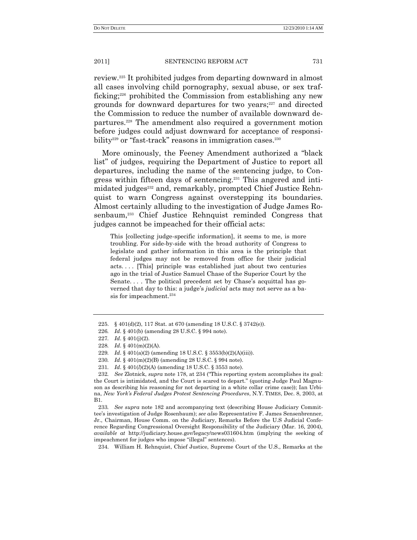review.<sup>225</sup> It prohibited judges from departing downward in almost all cases involving child pornography, sexual abuse, or sex trafficking;<sup>226</sup> prohibited the Commission from establishing any new grounds for downward departures for two years;<sup>227</sup> and directed the Commission to reduce the number of available downward departures.<sup>228</sup> The amendment also required a government motion before judges could adjust downward for acceptance of responsibility<sup>229</sup> or "fast-track" reasons in immigration cases.<sup>230</sup>

More ominously, the Feeney Amendment authorized a "black list" of judges, requiring the Department of Justice to report all departures, including the name of the sentencing judge, to Congress within fifteen days of sentencing.<sup>231</sup> This angered and intimidated judges<sup>232</sup> and, remarkably, prompted Chief Justice Rehnquist to warn Congress against overstepping its boundaries. Almost certainly alluding to the investigation of Judge James Rosenbaum,<sup>233</sup> Chief Justice Rehnquist reminded Congress that judges cannot be impeached for their official acts:

This [collecting judge-specific information], it seems to me, is more troubling. For side-by-side with the broad authority of Congress to legislate and gather information in this area is the principle that federal judges may not be removed from office for their judicial acts. . . . [This] principle was established just about two centuries ago in the trial of Justice Samuel Chase of the Superior Court by the Senate. . . . The political precedent set by Chase's acquittal has governed that day to this: a judge's *judicial* acts may not serve as a basis for impeachment.<sup>234</sup>

233*. See supra* note 182 and accompanying text (describing House Judiciary Committee's investigation of Judge Rosenbaum); *see also* Representative F. James Sensenbrenner, Jr., Chairman, House Comm. on the Judiciary, Remarks Before the U.S Judicial Conference Regarding Congressional Oversight Responsibility of the Judiciary (Mar. 16, 2004), *available at* http://judiciary.house.gov/legacy/news031604.htm (implying the seeking of impeachment for judges who impose "illegal" sentences).

234. William H. Rehnquist, Chief Justice, Supreme Court of the U.S., Remarks at the

<sup>225.</sup> § 401(d)(2), 117 Stat. at 670 (amending 18 U.S.C. § 3742(e)).

<sup>226</sup>*. Id*. § 401(b) (amending 28 U.S.C. § 994 note).

<sup>227</sup>*. Id*. § 401(j)(2).

<sup>228</sup>*. Id*. § 401(m)(2)(A).

<sup>229</sup>*. Id*. § 401(a)(2) (amending 18 U.S.C. § 3553(b)(2)(A)(iii)).

<sup>230</sup>*. Id*. § 401(m)(2)(B) (amending 28 U.S.C. § 994 note).

<sup>231</sup>*. Id*. § 401(*l*)(2)(A) (amending 18 U.S.C. § 3553 note).

<sup>232.</sup> See Zlotnick, *supra* note 178, at 234 ("This reporting system accomplishes its goal: the Court is intimidated, and the Court is scared to depart." (quoting Judge Paul Magnuson as describing his reasoning for not departing in a white collar crime case)); Ian Urbina, *New York"s Federal Judges Protest Sentencing Procedures*, N.Y. TIMES, Dec. 8, 2003, at B1.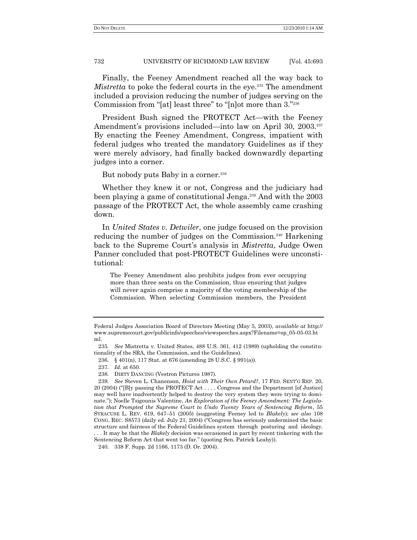Finally, the Feeney Amendment reached all the way back to *Mistretta* to poke the federal courts in the eye.<sup>235</sup> The amendment included a provision reducing the number of judges serving on the Commission from "[at] least three" to "[n]ot more than 3."236

President Bush signed the PROTECT Act—with the Feeney Amendment's provisions included—into law on April 30, 2003.<sup>237</sup> By enacting the Feeney Amendment, Congress, impatient with federal judges who treated the mandatory Guidelines as if they were merely advisory, had finally backed downwardly departing judges into a corner.

But nobody puts Baby in a corner.<sup>238</sup>

Whether they knew it or not, Congress and the judiciary had been playing a game of constitutional Jenga.<sup>239</sup> And with the 2003 passage of the PROTECT Act, the whole assembly came crashing down.

In *United States v. Detwiler*, one judge focused on the provision reducing the number of judges on the Commission.<sup>240</sup> Harkening back to the Supreme Court's analysis in *Mistretta*, Judge Owen Panner concluded that post-PROTECT Guidelines were unconstitutional:

The Feeney Amendment also prohibits judges from ever occupying more than three seats on the Commission, thus ensuring that judges will never again comprise a majority of the voting membership of the Commission. When selecting Commission members, the President

Federal Judges Association Board of Directors Meeting (May 5, 2003), *available at* http:// www.supremecourt.gov/publicinfo/speeches/viewspeeches.aspx?Filename=sp\_05-05-03.ht ml.

<sup>235</sup>*. See* Mistretta v. United States, 488 U.S. 361, 412 (1989) (upholding the constitutionality of the SRA, the Commission, and the Guidelines).

<sup>236.</sup> § 401(n), 117 Stat. at 676 (amending 28 U.S.C. § 991(a)).

<sup>237</sup>*. Id.* at 650.

<sup>238.</sup> DIRTY DANCING (Vestron Pictures 1987).

<sup>239</sup>*. See* Steven L. Chanenson, *Hoist with Their Own Petard?*, 17 FED. SENT'G REP. 20, 20 (2004) ("[B]y passing the PROTECT Act . . . . Congress and the Department [of Justice] may well have inadvertently helped to destroy the very system they were trying to dominate."); Noelle Tsigounis Valentine, *An Exploration of the Feeney Amendment: The Legislation that Prompted the Supreme Court to Undo Twenty Years of Sentencing Reform*, 55 SYRACUSE L. REV. 619, 647–51 (2005) (suggesting Feeney led to *Blakely*); *see also* 108 CONG. REC. S8573 (daily ed. July 21, 2004) ("Congress has seriously undermined the basic structure and fairness of the Federal Guidelines system through posturing and ideology. . . . It may be that the *Blakely* decision was occasioned in part by recent tinkering with the Sentencing Reform Act that went too far." (quoting Sen. Patrick Leahy)).

<sup>240.</sup> 338 F. Supp. 2d 1166, 1173 (D. Or. 2004).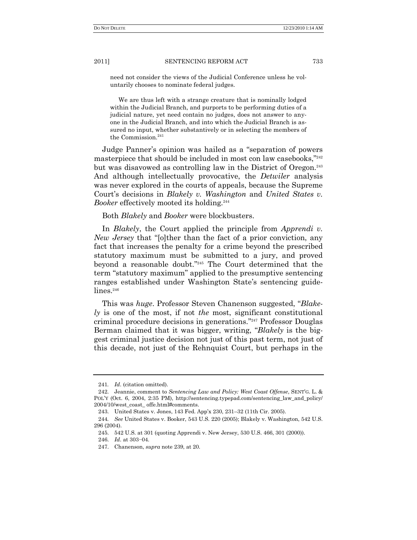need not consider the views of the Judicial Conference unless he voluntarily chooses to nominate federal judges.

We are thus left with a strange creature that is nominally lodged within the Judicial Branch, and purports to be performing duties of a judicial nature, yet need contain no judges, does not answer to anyone in the Judicial Branch, and into which the Judicial Branch is assured no input, whether substantively or in selecting the members of the Commission.<sup>241</sup>

Judge Panner's opinion was hailed as a "separation of powers" masterpiece that should be included in most con law casebooks,"242 but was disavowed as controlling law in the District of Oregon.<sup>243</sup> And although intellectually provocative, the *Detwiler* analysis was never explored in the courts of appeals, because the Supreme Court's decisions in *Blakely v. Washington* and *United States v. Booker* effectively mooted its holding.<sup>244</sup>

Both *Blakely* and *Booker* were blockbusters.

In *Blakely*, the Court applied the principle from *Apprendi v. New Jersey* that "[o]ther than the fact of a prior conviction, any fact that increases the penalty for a crime beyond the prescribed statutory maximum must be submitted to a jury, and proved beyond a reasonable doubt."<sup>245</sup> The Court determined that the term "statutory maximum" applied to the presumptive sentencing ranges established under Washington State's sentencing guidelines.<sup>246</sup>

This was *huge*. Professor Steven Chanenson suggested, "Blake*ly* is one of the most, if not *the* most, significant constitutional criminal procedure decisions in generations."<sup>247</sup> Professor Douglas Berman claimed that it was bigger, writing, "*Blakely* is the biggest criminal justice decision not just of this past term, not just of this decade, not just of the Rehnquist Court, but perhaps in the

<sup>241</sup>*. Id*. (citation omitted).

<sup>242.</sup> Jeannie, comment to *Sentencing Law and Policy: West Coast Offense*, SENT'G. L. & POL'Y (Oct. 6, 2004, 2:35 PM), http://sentencing.typepad.com/sentencing\_law\_and\_policy/ 2004/10/west\_coast\_ offe.html#comments.

<sup>243.</sup> United States v. Jones, 143 Fed. App'x 230, 231–32 (11th Cir. 2005).

<sup>244</sup>*. See* United States v. Booker, 543 U.S. 220 (2005); Blakely v. Washington, 542 U.S. 296 (2004).

<sup>245.</sup> 542 U.S. at 301 (quoting Apprendi v. New Jersey, 530 U.S. 466, 301 (2000)).

<sup>246.</sup> *Id*. at 303−04.

<sup>247.</sup> Chanenson, *supra* note 239, at 20.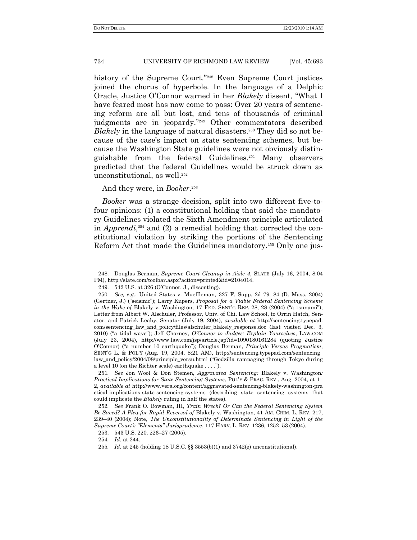history of the Supreme Court."<sup>248</sup> Even Supreme Court justices joined the chorus of hyperbole. In the language of a Delphic Oracle, Justice O'Connor warned in her *Blakely* dissent, "What I have feared most has now come to pass: Over 20 years of sentencing reform are all but lost, and tens of thousands of criminal judgments are in jeopardy."<sup>249</sup> Other commentators described *Blakely* in the language of natural disasters.<sup>250</sup> They did so not because of the case's impact on state sentencing schemes, but because the Washington State guidelines were not obviously distinguishable from the federal Guidelines.<sup>251</sup> Many observers predicted that the federal Guidelines would be struck down as unconstitutional, as well.<sup>252</sup>

## And they were, in *Booker*. 253

*Booker* was a strange decision, split into two different five-tofour opinions: (1) a constitutional holding that said the mandatory Guidelines violated the Sixth Amendment principle articulated in *Apprendi*, <sup>254</sup> and (2) a remedial holding that corrected the constitutional violation by striking the portions of the Sentencing Reform Act that made the Guidelines mandatory.<sup>255</sup> Only one jus-

<sup>248.</sup> Douglas Berman, *Supreme Court Cleanup in Aisle 4*, SLATE (July 16, 2004, 8:04 PM), http://slate.com/toolbar.aspx?action=printed&id=2104014.

<sup>249.</sup> 542 U.S. at 326 (O'Connor, J., dissenting).

<sup>250</sup>*. See, e.g.*, United States v. Mueffleman, 327 F. Supp. 2d 79, 84 (D. Mass. 2004) (Gertner, J.) ("seismic"); Larry Kupers, *Proposal for a Viable Federal Sentencing Scheme in the Wake of Blakely v. Washington, 17 FED. SENT'G REP. 28, 28 (2004) ("a tsunami")*; Letter from Albert W. Alschuler, Professor, Univ. of Chi. Law School, to Orrin Hatch, Senator, and Patrick Leahy, Senator (July 19, 2004), *available at* http://sentencing.typepad. com/sentencing\_law\_and\_policy/files/alschuler\_blakely\_response.doc (last visited Dec. 3, 2010) ("a tidal wave"); Jeff Chorney, *O'Connor to Judges: Explain Yourselves*, LAW.COM (July 23, 2004), http://www.law.com/jsp/article.jsp?id=1090180161284 (quoting Justice O'Connor) ("a number 10 earthquake"); Douglas Berman, *Principle Versus Pragmatism*, SENTG L. & POL'Y (Aug. 19, 2004, 8:21 AM), http://sentencing.typepad.com/sentencing law\_and\_policy/2004/08/principle\_versu.html ("Godzilla rampaging through Tokyo during a level 10 (on the Richter scale) earthquake  $\dots$ .").

<sup>251</sup>*. See* Jon Wool & Don Stemen, *Aggravated Sentencing:* Blakely v. Washington*: Practical Implications for State Sentencing Systems*, POL'Y & PRAC. REV., Aug. 2004, at 1– 2, *available at* http://www.vera.org/content/aggravated-sentencing-blakely-washington-pra ctical-implications-state-sentencing-systems (describing state sentencing systems that could implicate the *Blakely* ruling in half the states).

<sup>252</sup>*. See* Frank O. Bowman, III, *Train Wreck? Or Can the Federal Sentencing System Be Saved? A Plea for Rapid Reversal of* Blakely v. Washington, 41 AM. CRIM. L. REV. 217, 239–40 (2004); Note, *The Unconstitutionality of Determinate Sentencing in Light of the Supreme Court"s "Elements" Jurisprudence*, 117 HARV. L. REV. 1236, 1252–53 (2004).

<sup>253.</sup> 543 U.S. 220, 226–27 (2005).

<sup>254</sup>*. Id*. at 244.

<sup>255</sup>*. Id*. at 245 (holding 18 U.S.C. §§ 3553(b)(1) and 3742(e) unconstitutional).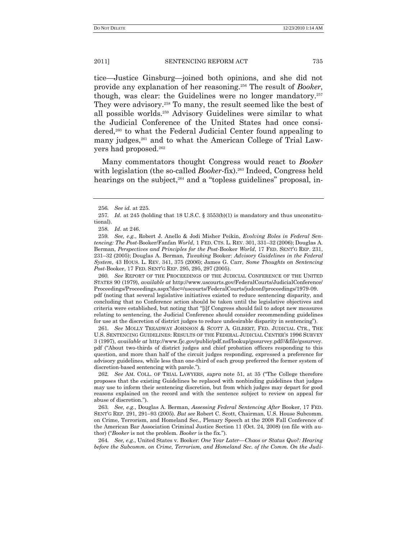tice—Justice Ginsburg—joined both opinions, and she did not provide any explanation of her reasoning.<sup>256</sup> The result of *Booker*, though, was clear: the Guidelines were no longer mandatory.<sup>257</sup> They were advisory.<sup>258</sup> To many, the result seemed like the best of all possible worlds.<sup>259</sup> Advisory Guidelines were similar to what the Judicial Conference of the United States had once considered,<sup>260</sup> to what the Federal Judicial Center found appealing to many judges,<sup>261</sup> and to what the American College of Trial Lawyers had proposed.<sup>262</sup>

Many commentators thought Congress would react to *Booker* with legislation (the so-called *Booker*-fix).<sup>263</sup> Indeed, Congress held hearings on the subject,<sup>264</sup> and a "topless guidelines" proposal, in-

258*. Id*. at 246.

260*. See* REPORT OF THE PROCEEDINGS OF THE JUDICIAL CONFERENCE OF THE UNITED STATES 90 (1979), *available at* http://www.uscourts.gov/FederalCourts/JudicialConference/ Proceedings/Proceedings.aspx?doc=/uscourts/FederalCourts/judconf/proceedings/1979-09. pdf (noting that several legislative initiatives existed to reduce sentencing disparity, and concluding that no Conference action should be taken until the legislative objectives and criteria were established, but noting that "[i]f Congress should fail to adopt new measures

relating to sentencing, the Judicial Conference should consider recommending guidelines for use at the discretion of district judges to reduce undesirable disparity in sentencing").

261*. See* MOLLY TREADWAY JOHNSON & SCOTT A. GILBERT, FED. JUDICIAL CTR., THE U.S. SENTENCING GUIDELINES: RESULTS OF THE FEDERAL JUDICIAL CENTER'S 1996 SURVEY 3 (1997), *available at* http://www.fjc.gov/public/pdf.nsf/lookup/gssurvey.pdf//&file/gssurvey. pdf ("About two-thirds of district judges and chief probation officers responding to this question, and more than half of the circuit judges responding, expressed a preference for advisory guidelines, while less than one-third of each group preferred the former system of discretion-based sentencing with parole.").

262. See AM. COLL. OF TRIAL LAWYERS, *supra* note 51, at 35 ("The College therefore proposes that the existing Guidelines be replaced with nonbinding guidelines that judges may use to inform their sentencing discretion, but from which judges may depart for good reasons explained on the record and with the sentence subject to review on appeal for abuse of discretion.").

263*. See, e.g.*, Douglas A. Berman, *Assessing Federal Sentencing After* Booker, 17 FED. SENT'G REP. 291, 291–93 (2005). *But see* Robert C. Scott, Chairman, U.S. House Subcomm. on Crime, Terrorism, and Homeland Sec., Plenary Speech at the 2008 Fall Conference of the American Bar Association Criminal Justice Section 11 (Oct. 24, 2008) (on file with author) ("Booker is not the problem. *Booker* is the fix.").

264*. See, e.g.*, United States v. Booker: *One Year Later—Chaos or Status Quo?: Hearing before the Subcomm. on Crime, Terrorism, and Homeland Sec. of the Comm. On the Judi-*

<sup>256</sup>*. See id.* at 225.

<sup>257</sup>*. Id*. at 245 (holding that 18 U.S.C. § 3553(b)(1) is mandatory and thus unconstitutional).

<sup>259</sup>*. See, e.g.*, Robert J. Anello & Jodi Misher Peikin, *Evolving Roles in Federal Sentencing: The Post*-Booker/Fanfan *World*, 1 FED. CTS. L. REV. 301, 331–32 (2006); Douglas A. Berman, *Perspectives and Principles for the Post*-Booker *World*, 17 FED. SENT'G REP. 231, 231–32 (2005); Douglas A. Berman, *Tweaking* Booker: *Advisory Guidelines in the Federal System*, 43 HOUS. L. REV. 341, 375 (2006); James G. Carr, *Some Thoughts on Sentencing Post*-Booker, 17 FED. SENT'G REP. 295, 295, 297 (2005).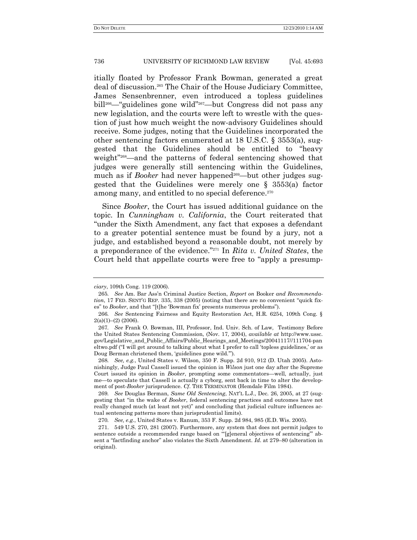itially floated by Professor Frank Bowman, generated a great deal of discussion.<sup>265</sup> The Chair of the House Judiciary Committee, James Sensenbrenner, even introduced a topless guidelines bill<sup>266</sup>— "guidelines gone wild"<sup>267</sup>—but Congress did not pass any new legislation, and the courts were left to wrestle with the question of just how much weight the now-advisory Guidelines should receive. Some judges, noting that the Guidelines incorporated the other sentencing factors enumerated at 18 U.S.C. § 3553(a), suggested that the Guidelines should be entitled to "heavy weight"<sup>268</sup>—and the patterns of federal sentencing showed that judges were generally still sentencing within the Guidelines, much as if *Booker* had never happened<sup>269</sup>—but other judges suggested that the Guidelines were merely one § 3553(a) factor among many, and entitled to no special deference.<sup>270</sup>

Since *Booker*, the Court has issued additional guidance on the topic. In *Cunningham v. California*, the Court reiterated that "under the Sixth Amendment, any fact that exposes a defendant to a greater potential sentence must be found by a jury, not a judge, and established beyond a reasonable doubt, not merely by a preponderance of the evidence.<sup>"271</sup> In *Rita v. United States*, the Court held that appellate courts were free to "apply a presump-

*ciary*, 109th Cong. 119 (2006).

<sup>265</sup>*. See* Am. Bar Ass'n Criminal Justice Section, *Report on* Booker *and Recommendation*, 17 FED. SENT'G REP. 335, 338 (2005) (noting that there are no convenient "quick fixes" to *Booker*, and that "[t]he 'Bowman fix' presents numerous problems").

<sup>266</sup>*. See* Sentencing Fairness and Equity Restoration Act, H.R. 6254, 109th Cong. §  $2(a)(1)–(2)$  (2006).

<sup>267</sup>*. See* Frank O. Bowman, III, Professor, Ind. Univ. Sch. of Law, Testimony Before the United States Sentencing Commission, (Nov. 17, 2004), *available at* http://www.ussc. gov/Legislative\_and\_Public\_Affairs/Public\_Hearings\_and\_Meetings/20041117//111704-pan eltwo.pdf ("I will get around to talking about what I prefer to call 'topless guidelines,' or as Doug Berman christened them, 'guidelines gone wild.").

<sup>268</sup>*. See, e.g.*, United States v. Wilson, 350 F. Supp. 2d 910, 912 (D. Utah 2005). Astonishingly, Judge Paul Cassell issued the opinion in *Wilson* just one day after the Supreme Court issued its opinion in *Booker*, prompting some commentators—well, actually, just me—to speculate that Cassell is actually a cyborg, sent back in time to alter the development of post-*Booker* jurisprudence. *Cf*. THE TERMINATOR (Hemdale Film 1984).

<sup>269</sup>*. See* Douglas Berman, *Same Old Sentencing*, NAT'L L.J., Dec. 26, 2005, at 27 (suggesting that "in the wake of *Booker*, federal sentencing practices and outcomes have not really changed much (at least not yet)" and concluding that judicial culture influences actual sentencing patterns more than jurisprudential limits).

<sup>270</sup>*. See, e.g.*, United States v. Ranum, 353 F. Supp. 2d 984, 985 (E.D. Wis. 2005).

<sup>271.</sup> 549 U.S. 270, 281 (2007). Furthermore, any system that does not permit judges to sentence outside a recommended range based on "[g]eneral objectives of sentencing" absent a "factfinding anchor" also violates the Sixth Amendment. *Id.* at 279–80 (alteration in original).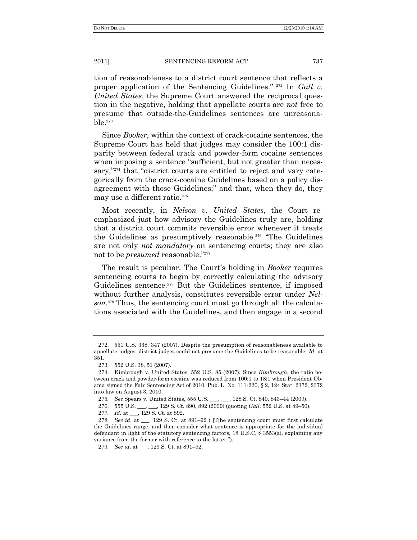tion of reasonableness to a district court sentence that reflects a proper application of the Sentencing Guidelines."<sup>272</sup> In *Gall v*. *United States*, the Supreme Court answered the reciprocal question in the negative, holding that appellate courts are *not* free to presume that outside-the-Guidelines sentences are unreasona $ble.$ <sup>273</sup>

Since *Booker*, within the context of crack-cocaine sentences, the Supreme Court has held that judges may consider the 100:1 disparity between federal crack and powder-form cocaine sentences when imposing a sentence "sufficient, but not greater than necessary;"<sup>274</sup> that "district courts are entitled to reject and vary categorically from the crack-cocaine Guidelines based on a policy disagreement with those Guidelines;" and that, when they do, they may use a different ratio.<sup>275</sup>

Most recently, in *Nelson v. United States*, the Court reemphasized just how advisory the Guidelines truly are, holding that a district court commits reversible error whenever it treats the Guidelines as presumptively reasonable.<sup>276</sup> "The Guidelines" are not only *not mandatory* on sentencing courts; they are also not to be *presumed* reasonable."<sup>277</sup>

The result is peculiar. The Court's holding in *Booker* requires sentencing courts to begin by correctly calculating the advisory Guidelines sentence.<sup>278</sup> But the Guidelines sentence, if imposed without further analysis, constitutes reversible error under *Nelson*. <sup>279</sup> Thus, the sentencing court must go through all the calculations associated with the Guidelines, and then engage in a second

<sup>272.</sup> 551 U.S. 338, 347 (2007). Despite the presumption of reasonableness available to appellate judges, district judges could not presume the Guidelines to be reasonable. *Id.* at 351.

<sup>273.</sup> 552 U.S. 38, 51 (2007).

<sup>274.</sup> Kimbrough v. United States, 552 U.S. 85 (2007). Since *Kimbrough*, the ratio between crack and powder-form cocaine was reduced from 100:1 to 18:1 when President Obama signed the Fair Sentencing Act of 2010, Pub. L. No. 111-220, § 2, 124 Stat. 2372, 2372 into law on August 3, 2010.

<sup>275</sup>*. See* Spears v. United States, 555 U.S. \_\_\_, \_\_\_, 128 S. Ct. 840, 843–44 (2009).

<sup>276.</sup> 555 U.S. \_\_\_, \_\_\_, 129 S. Ct. 890, 892 (2009) (quoting *Gall*, 552 U.S. at 49–50).

<sup>277</sup>*. Id*. at \_\_\_, 129 S. Ct. at 892.

<sup>278.</sup> *See id.* at \_\_, 129 S. Ct. at 891-92 ("[T]he sentencing court must first calculate the Guidelines range, and then consider what sentence is appropriate for the individual defendant in light of the statutory sentencing factors, 18 U.S.C. § 3553(a), explaining any variance from the former with reference to the latter.").

<sup>279</sup>*. See id*. at \_\_\_, 129 S. Ct. at 891–92.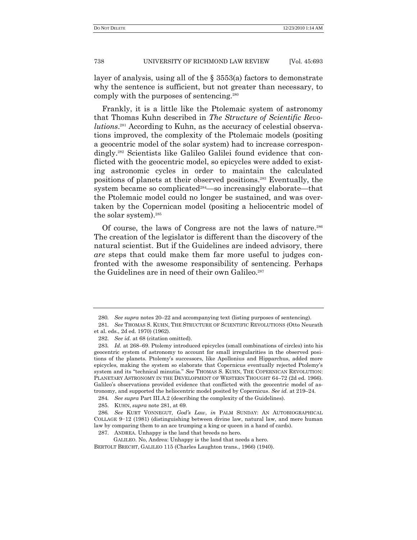layer of analysis, using all of the § 3553(a) factors to demonstrate why the sentence is sufficient, but not greater than necessary, to comply with the purposes of sentencing.<sup>280</sup>

Frankly, it is a little like the Ptolemaic system of astronomy that Thomas Kuhn described in *The Structure of Scientific Revolutions*. <sup>281</sup> According to Kuhn, as the accuracy of celestial observations improved, the complexity of the Ptolemaic models (positing a geocentric model of the solar system) had to increase correspondingly.<sup>282</sup> Scientists like Galileo Galilei found evidence that conflicted with the geocentric model, so epicycles were added to existing astronomic cycles in order to maintain the calculated positions of planets at their observed positions.<sup>283</sup> Eventually, the system became so complicated<sup>284</sup>—so increasingly elaborate—that the Ptolemaic model could no longer be sustained, and was overtaken by the Copernican model (positing a heliocentric model of the solar system).<sup>285</sup>

Of course, the laws of Congress are not the laws of nature.<sup>286</sup> The creation of the legislator is different than the discovery of the natural scientist. But if the Guidelines are indeed advisory, there *are* steps that could make them far more useful to judges confronted with the awesome responsibility of sentencing. Perhaps the Guidelines are in need of their own Galileo.<sup>287</sup>

284*. See supra* Part III.A.2 (describing the complexity of the Guidelines).

287. ANDREA. Unhappy is the land that breeds no hero.

GALILEO. No, Andrea: Unhappy is the land that needs a hero. BERTOLT BRECHT, GALILEO 115 (Charles Laughton trans., 1966) (1940).

<sup>280</sup>*. See supra* notes [20](#page-4-0)–22 and accompanying text (listing purposes of sentencing).

<sup>281</sup>*. See* THOMAS S. KUHN, THE STRUCTURE OF SCIENTIFIC REVOLUTIONS (Otto Neurath et al. eds., 2d ed. 1970) (1962).

<sup>282.</sup> *See id.* at 68 (citation omitted).

<sup>283</sup>*. Id.* at 268–69. Ptolemy introduced epicycles (small combinations of circles) into his geocentric system of astronomy to account for small irregularities in the observed positions of the planets. Ptolemy's successors, like Apollonius and Hipparchus, added more epicycles, making the system so elaborate that Copernicus eventually rejected Ptolemy's system and its "technical minutia." See THOMAS S. KUHN, THE COPERNICAN REVOLUTION: PLANETARY ASTRONOMY IN THE DEVELOPMENT OF WESTERN THOUGHT 64–72 (2d ed. 1966). Galileo's observations provided evidence that conflicted with the geocentric model of astronomy, and supported the heliocentric model posited by Copernicus. *See id.* at 219–24.

<sup>285.</sup> KUHN, *supra* note 281, at 69.

<sup>286</sup>*. See* KURT VONNEGUT, *God"s Law*, *in* PALM SUNDAY: AN AUTOBIOGRAPHICAL COLLAGE 9−12 (1981) (distinguishing between divine law, natural law, and mere human law by comparing them to an ace trumping a king or queen in a hand of cards).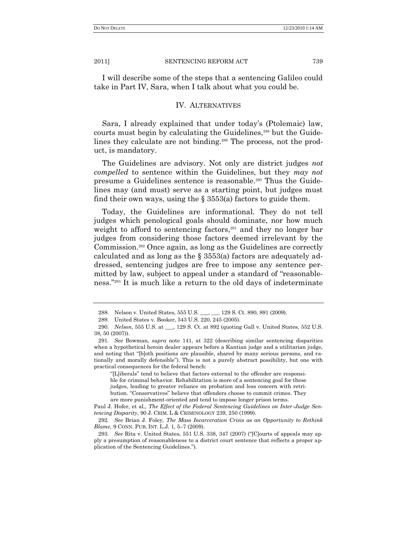I will describe some of the steps that a sentencing Galileo could take in Part IV, Sara, when I talk about what you could be.

## IV. ALTERNATIVES

Sara, I already explained that under today's (Ptolemaic) law, courts must begin by calculating the Guidelines,<sup>288</sup> but the Guidelines they calculate are not binding.<sup>289</sup> The process, not the product, is mandatory.

The Guidelines are advisory. Not only are district judges *not compelled* to sentence within the Guidelines, but they *may not* presume a Guidelines sentence is reasonable.<sup>290</sup> Thus the Guidelines may (and must) serve as a starting point, but judges must find their own ways, using the  $\S$  3553(a) factors to guide them.

Today, the Guidelines are informational. They do not tell judges which penological goals should dominate, nor how much weight to afford to sentencing factors,<sup>291</sup> and they no longer bar judges from considering those factors deemed irrelevant by the Commission.<sup>292</sup> Once again, as long as the Guidelines are correctly calculated and as long as the § 3553(a) factors are adequately addressed, sentencing judges are free to impose any sentence permitted by law, subject to appeal under a standard of "reasonableness."<sup>293</sup> It is much like a return to the old days of indeterminate

―[L]iberals‖ tend to believe that factors external to the offender are responsible for criminal behavior. Rehabilitation is more of a sentencing goal for these judges, leading to greater reliance on probation and less concern with retribution. "Conservatives" believe that offenders choose to commit crimes. They are more punishment-oriented and tend to impose longer prison terms.

<sup>288.</sup> Nelson v. United States, 555 U.S. \_\_\_, \_\_\_ 129 S. Ct. 890, 891 (2009).

<sup>289.</sup> United States v. Booker, 543 U.S. 220, 245 (2005).

<sup>290</sup>*. Nelson*, 555 U.S. at \_\_\_, 129 S. Ct. at 892 (quoting Gall v. United States, 552 U.S. 38, 50 (2007)).

<sup>291</sup>*. See* Bowman, *supra* note 141, at 322 (describing similar sentencing disparities when a hypothetical heroin dealer appears before a Kantian judge and a utilitarian judge, and noting that "[b]oth positions are plausible, shared by many serious persons, and rationally and morally defensible"). This is not a purely abstract possibility, but one with practical consequences for the federal bench:

Paul J. Hofer, et al., *The Effect of the Federal Sentencing Guidelines on Inter-Judge Sentencing Disparity*, 90 J. CRIM. L & CRIMINOLOGY 239, 250 (1999).

<sup>292</sup>*. See* Brian J. Foley, *The Mass Incarceration Crisis as an Opportunity to Rethink Blame*, 9 CONN. PUB. INT. L.J. 1, 5–7 (2009).

<sup>293</sup>*. See* Rita v. United States, 551 U.S. 338, 347 (2007) ("[C]ourts of appeals may apply a presumption of reasonableness to a district court sentence that reflects a proper application of the Sentencing Guidelines.‖).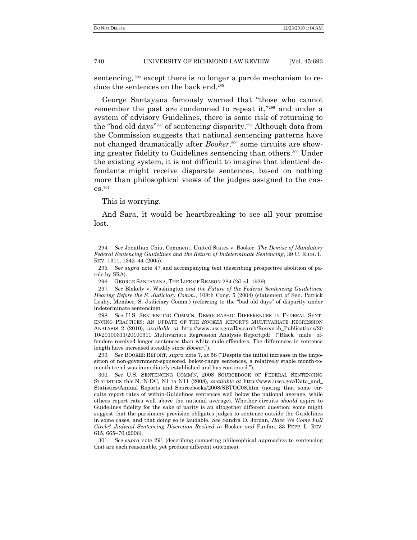sentencing, <sup>294</sup> except there is no longer a parole mechanism to reduce the sentences on the back end.<sup>295</sup>

George Santayana famously warned that "those who cannot" remember the past are condemned to repeat it,"296 and under a system of advisory Guidelines, there is some risk of returning to the "bad old days"<sup>297</sup> of sentencing disparity.<sup>298</sup> Although data from the Commission suggests that national sentencing patterns have not changed dramatically after *Booker*, <sup>299</sup> some circuits are showing greater fidelity to Guidelines sentencing than others.<sup>300</sup> Under the existing system, it is not difficult to imagine that identical defendants might receive disparate sentences, based on nothing more than philosophical views of the judges assigned to the cases.<sup>301</sup>

This is worrying.

And Sara, it would be heartbreaking to see all your promise lost.

301*. See supra* note 291 (describing competing philosophical approaches to sentencing that are each reasonable, yet produce different outcomes).

<sup>294</sup>*. See* Jonathan Chiu, Comment, United States v. Booker: *The Demise of Mandatory Federal Sentencing Guidelines and the Return of Indeterminate Sentencing*, 39 U. RICH. L. REV. 1311, 1342–44 (2005).

<sup>295</sup>*. See supra* note 47 and accompanying text (describing prospective abolition of parole by SRA).

<sup>296.</sup> GEORGE SANTAYANA, THE LIFE OF REASON 284 (2d ed. 1929).

<sup>297</sup>*. See* Blakely v. Washington *and the Future of the Federal Sentencing Guidelines: Hearing Before the S. Judiciary Comm.*, 108th Cong. 5 (2004) (statement of Sen. Patrick Leahy, Member, S. Judiciary Comm.) (referring to the "bad old days" of disparity under indeterminate sentencing).

<sup>298</sup>*. See* U.S. SENTENCING COMM'N, DEMOGRAPHIC DIFFERENCES IN FEDERAL SENT-ENCING PRACTICES: AN UPDATE OF THE *BOOKER* REPORT'S MULTIVARIATE REGRESSION ANALYSIS 2 (2010), *available at* http://www.ussc.gov/Research/Research\_Publications/20 10/20100311/20100311\_Multivariate\_Regression\_Analysis\_Report.pdf (―Black male offenders received longer sentences than white male offenders. The differences in sentence length have increased steadily since *Booker*.‖).

<sup>299.</sup> *See* BOOKER REPORT, *supra* note 7, at 58 ("Despite the initial increase in the imposition of non-government-sponsored, below-range sentences, a relatively stable month-tomonth trend was immediately established and has continued.").

<sup>300</sup>*. See* U.S. SENTENCING COMM'N, 2008 SOURCEBOOK OF FEDERAL SENTENCING STATISTICS tbls.N, N-DC, N1 to N11 (2008), *available at* http://www.ussc.gov/Data\_and\_ Statistics/Annual\_Reports\_and\_Sourcebooks/2008/SBTOC08.htm (noting that some circuits report rates of within-Guidelines sentences well below the national average, while others report rates well above the national average). Whether circuits *should* aspire to Guidelines fidelity for the sake of parity is an altogether different question; some might suggest that the parsimony provision obligates judges to sentence outside the Guidelines in some cases, and that doing so is laudable. *See* Sandra D. Jordan, *Have We Come Full Circle? Judicial Sentencing Discretion Revived in* Booker *and* Fanfan, 33 PEPP. L. REV. 615, 665–70 (2006).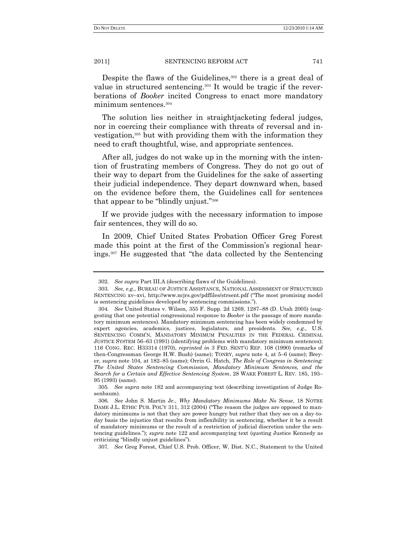Despite the flaws of the Guidelines,<sup>302</sup> there is a great deal of value in structured sentencing.<sup>303</sup> It would be tragic if the reverberations of *Booker* incited Congress to enact more mandatory minimum sentences.<sup>304</sup>

The solution lies neither in straightjacketing federal judges, nor in coercing their compliance with threats of reversal and investigation,<sup>305</sup> but with providing them with the information they need to craft thoughtful, wise, and appropriate sentences.

After all, judges do not wake up in the morning with the intention of frustrating members of Congress. They do not go out of their way to depart from the Guidelines for the sake of asserting their judicial independence. They depart downward when, based on the evidence before them, the Guidelines call for sentences that appear to be "blindly unjust."<sup>306</sup>

If we provide judges with the necessary information to impose fair sentences, they will do so.

In 2009, Chief United States Probation Officer Greg Forest made this point at the first of the Commission's regional hearings.<sup>307</sup> He suggested that "the data collected by the Sentencing

<sup>302</sup>*. See supra* Part III.A (describing flaws of the Guidelines).

<sup>303</sup>*. See, e.g*., BUREAU OF JUSTICE ASSISTANCE, NATIONAL ASSESSMENT OF STRUCTURED SENTENCING xv-xvi, http://www.ncjrs.gov/pdffiles/strsent.pdf ("The most promising model is sentencing guidelines developed by sentencing commissions.").

<sup>304</sup>*. See* United States v. Wilson, 355 F. Supp. 2d 1269, 1287–88 (D. Utah 2005) (suggesting that one potential congressional response to *Booker* is the passage of more mandatory minimum sentences). Mandatory minimum sentencing has been widely condemned by expert agencies, academics, justices, legislators, and presidents. *See, e.g*., U.S. SENTENCING COMM'N, MANDATORY MINIMUM PENALTIES IN THE FEDERAL CRIMINAL JUSTICE SYSTEM 56–63 (1991) (identifying problems with mandatory minimum sentences); 116 CONG. REC. H33314 (1970), *reprinted in* 3 FED. SENT'G REP. 108 (1990) (remarks of then-Congressman George H.W. Bush) (same); TONRY, *supra* note 4, at 5–6 (same); Breyer, *supra* note 104, at 182–85 (same); Orrin G. Hatch, *The Role of Congress in Sentencing: The United States Sentencing Commission, Mandatory Minimum Sentences, and the Search for a Certain and Effective Sentencing System*, 28 WAKE FOREST L. REV. 185, 193– 95 (1993) (same).

<sup>305</sup>*. See supra* note 182 and accompanying text (describing investigation of Judge Rosenbaum).

<sup>306</sup>*. See* John S. Martin Jr., *Why Mandatory Minimums Make No Sense*, 18 NOTRE DAME J.L. ETHIC PUB. POL'Y 311, 312 (2004) ("The reason the judges are opposed to mandatory minimums is not that they are power hungry but rather that they see on a day-today basis the injustice that results from inflexibility in sentencing, whether it be a result of mandatory minimums or the result of a restriction of judicial discretion under the sentencing guidelines.‖); *supra* note 122 and accompanying text (quoting Justice Kennedy as criticizing "blindly unjust guidelines").

<sup>307</sup>*. See* Greg Forest, Chief U.S. Prob. Officer, W. Dist. N.C., Statement to the United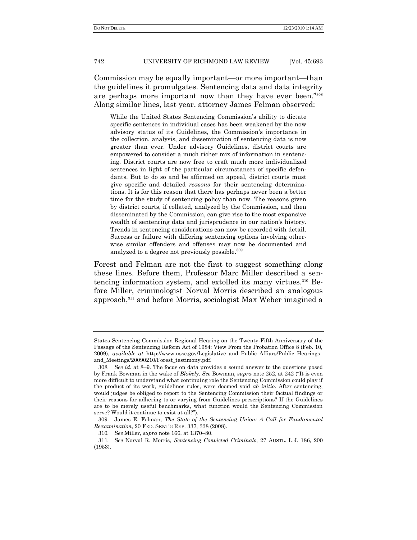Commission may be equally important—or more important—than the guidelines it promulgates. Sentencing data and data integrity are perhaps more important now than they have ever been."308 Along similar lines, last year, attorney James Felman observed:

While the United States Sentencing Commission's ability to dictate specific sentences in individual cases has been weakened by the now advisory status of its Guidelines, the Commission's importance in the collection, analysis, and dissemination of sentencing data is now greater than ever. Under advisory Guidelines, district courts are empowered to consider a much richer mix of information in sentencing. District courts are now free to craft much more individualized sentences in light of the particular circumstances of specific defendants. But to do so and be affirmed on appeal, district courts must give specific and detailed *reasons* for their sentencing determinations. It is for this reason that there has perhaps never been a better time for the study of sentencing policy than now. The reasons given by district courts, if collated, analyzed by the Commission, and then disseminated by the Commission, can give rise to the most expansive wealth of sentencing data and jurisprudence in our nation's history. Trends in sentencing considerations can now be recorded with detail. Success or failure with differing sentencing options involving otherwise similar offenders and offenses may now be documented and analyzed to a degree not previously possible.<sup>309</sup>

Forest and Felman are not the first to suggest something along these lines. Before them, Professor Marc Miller described a sentencing information system, and extolled its many virtues.<sup>310</sup> Before Miller, criminologist Norval Morris described an analogous approach,<sup>311</sup> and before Morris, sociologist Max Weber imagined a

States Sentencing Commission Regional Hearing on the Twenty-Fifth Anniversary of the Passage of the Sentencing Reform Act of 1984: View From the Probation Office 8 (Feb. 10, 2009), *available at* http://www.ussc.gov/Legislative\_and\_Public\_Affiars/Public\_Hearings\_ and\_Meetings/20090210/Forest\_testimony.pdf.

<sup>308</sup>*. See id.* at 8–9. The focus on data provides a sound answer to the questions posed by Frank Bowman in the wake of *Blakely*. See Bowman, *supra* note 252, at 242 ("It is even more difficult to understand what continuing role the Sentencing Commission could play if the product of its work, guidelines rules, were deemed void *ab initio*. After sentencing, would judges be obliged to report to the Sentencing Commission their factual findings or their reasons for adhering to or varying from Guidelines prescriptions? If the Guidelines are to be merely useful benchmarks, what function would the Sentencing Commission serve? Would it continue to exist at all?").

<sup>309.</sup> James E. Felman, *The State of the Sentencing Union: A Call for Fundamental Reexamination*, 20 FED. SENT'G REP. 337, 338 (2008).

<sup>310</sup>*. See* Miller, *supra* note 166, at 1370–80.

<sup>311</sup>*. See* Norval R. Morris, *Sentencing Convicted Criminals*, 27 AUSTL. L.J. 186, 200 (1953).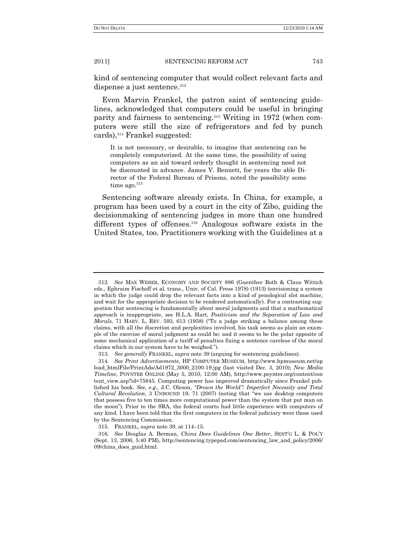kind of sentencing computer that would collect relevant facts and dispense a just sentence.<sup>312</sup>

Even Marvin Frankel, the patron saint of sentencing guidelines, acknowledged that computers could be useful in bringing parity and fairness to sentencing.<sup>313</sup> Writing in 1972 (when computers were still the size of refrigerators and fed by punch cards),<sup>314</sup> Frankel suggested:

It is not necessary, or desirable, to imagine that sentencing can be completely computerized. At the same time, the possibility of using computers as an aid toward orderly thought in sentencing need not be discounted in advance. James V. Bennett, for years the able Director of the Federal Bureau of Prisons, noted the possibility some time ago. $315$ 

Sentencing software already exists. In China, for example, a program has been used by a court in the city of Zibo, guiding the decisionmaking of sentencing judges in more than one hundred different types of offenses.<sup>316</sup> Analogous software exists in the United States, too. Practitioners working with the Guidelines at a

<sup>312</sup>*. See* MAX WEBER, ECONOMY AND SOCIETY 886 (Guenther Roth & Claus Wittich eds., Ephraim Fischoff et al. trans., Univ. of Cal. Press 1978) (1913) (envisioning a system in which the judge could drop the relevant facts into a kind of penological slot machine, and wait for the appropriate decision to be rendered automatically). For a contrasting suggestion that sentencing is fundamentally about moral judgments and that a mathematical approach is inappropriate, see H.L.A. Hart, *Positivism and the Separation of Law and Morals*, 71 HARV. L. REV. 593, 613 (1958) ("To a judge striking a balance among these claims, with all the discretion and perplexities involved, his task seems as plain an example of the exercise of moral judgment as could be; and it seems to be the polar opposite of some mechanical application of a tariff of penalties fixing a sentence careless of the moral claims which in our system have to be weighed.‖).

<sup>313</sup>*. See generally* FRANKEL, *supra* note 39 (arguing for sentencing guidelines).

<sup>314</sup>*. See Print Advertisements*, HP COMPUTER MUSEUM, http://www.hpmuseum.net/up load\_htmlFile/PrintAds/Ad1972\_3000\_2100-19.jpg (last visited Dec. 3, 2010); *New Media Timeline*, POYNTER ONLINE (May 5, 2010, 12:00 AM), http://www.poynter.org/content/con tent\_view.asp?id=75845. Computing power has improved dramatically since Frankel published his book. *See, e.g*., J.C. Oleson, *"Drown the World": Imperfect Necessity and Total Cultural Revolution*, 3 UNBOUND 19, 71 (2007) (noting that "we use desktop computers that possess five to ten times more computational power than the system that put man on the moon‖). Prior to the SRA, the federal courts had little experience with computers of any kind. I have been told that the first computers in the federal judiciary were those used by the Sentencing Commission.

<sup>315.</sup> FRANKEL, *supra* note 39, at 114–15.

<sup>316</sup>*. See* Douglas A. Berman, *China Does Guidelines One Better*, SENT'G L. & POL'Y (Sept. 13, 2006, 5:40 PM), http://sentencing.typepad.com/sentencing\_law\_and\_policy/2006/ 09/china\_does\_guid.html.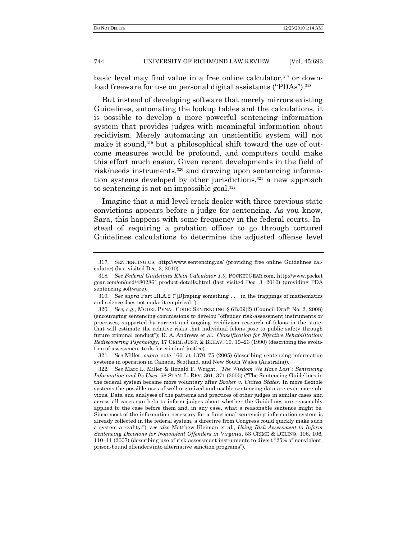basic level may find value in a free online calculator,<sup>317</sup> or download freeware for use on personal digital assistants ("PDAs").<sup>318</sup>

But instead of developing software that merely mirrors existing Guidelines, automating the lookup tables and the calculations, it is possible to develop a more powerful sentencing information system that provides judges with meaningful information about recidivism. Merely automating an unscientific system will not make it sound,<sup>319</sup> but a philosophical shift toward the use of outcome measures would be profound, and computers could make this effort much easier. Given recent developments in the field of risk/needs instruments,<sup>320</sup> and drawing upon sentencing information systems developed by other jurisdictions, $321$  a new approach to sentencing is not an impossible goal.<sup>322</sup>

Imagine that a mid-level crack dealer with three previous state convictions appears before a judge for sentencing. As you know, Sara, this happens with some frequency in the federal courts. Instead of requiring a probation officer to go through tortured Guidelines calculations to determine the adjusted offense level

321*. See* Miller, *supra* note 166, at 1370–75 (2005) (describing sentencing information systems in operation in Canada, Scotland, and New South Wales (Australia)).

<sup>317.</sup> SENTENCING.US, http://www.sentencing.us/ (providing free online Guidelines calculator) (last visited Dec. 3, 2010).

<sup>318</sup>*. See Federal Guidelines Klein Calculator 1.0*, POCKETGEAR.com, http://www.pocket gear.com/en/usd/4802861,product-details.html (last visited Dec. 3, 2010) (providing PDA sentencing software).

<sup>319.</sup> *See supra* Part III.A.2 ("D)raping something . . . in the trappings of mathematics and science does not make it empirical.").

<sup>320</sup>*. See, e.g*., MODEL PENAL CODE: SENTENCING § 6B.09(2) (Council Draft No. 2, 2008) (encouraging sentencing commissions to develop ―offender risk-assessment instruments or processes, supported by current and ongoing recidivism research of felons in the state, that will estimate the relative risks that individual felons pose to public safety through future criminal conduct"); D. A. Andrews et al., *Classification for Effective Rehabilitation*: *Rediscovering Psychology*, 17 CRIM. JUST. & BEHAV. 19, 19–23 (1990) (describing the evolution of assessment tools for criminal justice).

<sup>322</sup>*. See* Marc L. Miller & Ronald F. Wright, *"The Wisdom We Have Lost": Sentencing Information and Its Uses*, 58 STAN. L. REV. 361, 371 (2005) ("The Sentencing Guidelines in the federal system became more voluntary after *Booker v. United States*. In more flexible systems the possible uses of well-organized and usable sentencing data are even more obvious. Data and analyses of the patterns and practices of other judges in similar cases and across all cases can help to inform judges about whether the Guidelines are reasonably applied to the case before them and, in any case, what a reasonable sentence might be. Since most of the information necessary for a functional sentencing information system is already collected in the federal system, a directive from Congress could quickly make such a system a reality.‖); *see also* Matthew Kleiman et al., *Using Risk Assessment to Inform Sentencing Decisions for Nonviolent Offenders in Virginia*, 53 CRIME & DELINQ. 106, 106,  $110-11$  (2007) (describing use of risk assessment instruments to divert  $25\%$  of nonviolent, prison-bound offenders into alternative sanction programs").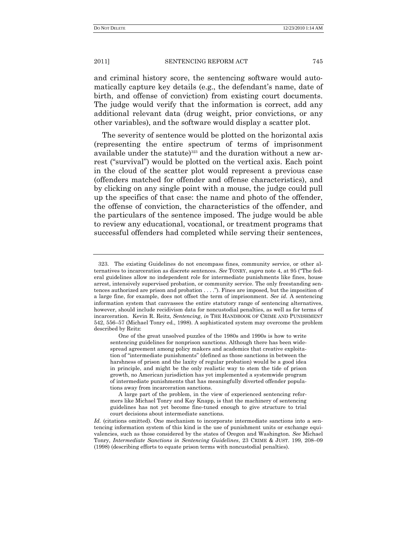and criminal history score, the sentencing software would automatically capture key details (e.g., the defendant's name, date of birth, and offense of conviction) from existing court documents. The judge would verify that the information is correct, add any additional relevant data (drug weight, prior convictions, or any other variables), and the software would display a scatter plot.

The severity of sentence would be plotted on the horizontal axis (representing the entire spectrum of terms of imprisonment available under the statute)<sup>323</sup> and the duration without a new arrest ("survival") would be plotted on the vertical axis. Each point in the cloud of the scatter plot would represent a previous case (offenders matched for offender and offense characteristics), and by clicking on any single point with a mouse, the judge could pull up the specifics of that case: the name and photo of the offender, the offense of conviction, the characteristics of the offender, and the particulars of the sentence imposed. The judge would be able to review any educational, vocational, or treatment programs that successful offenders had completed while serving their sentences,

<sup>323.</sup> The existing Guidelines do not encompass fines, community service, or other alternatives to incarceration as discrete sentences. *See* TONRY, *supra* note 4, at 95 ("The federal guidelines allow no independent role for intermediate punishments like fines, house arrest, intensively supervised probation, or community service. The only freestanding sentences authorized are prison and probation  $\dots$ ."). Fines are imposed, but the imposition of a large fine, for example, does not offset the term of imprisonment. *See id.* A sentencing information system that canvasses the entire statutory range of sentencing alternatives, however, should include recidivism data for noncustodial penalties, as well as for terms of incarceration. Kevin R. Reitz, *Sentencing*, *in* THE HANDBOOK OF CRIME AND PUNISHMENT 542, 556–57 (Michael Tonry ed., 1998). A sophisticated system may overcome the problem described by Reitz:

One of the great unsolved puzzles of the 1980s and 1990s is how to write sentencing guidelines for nonprison sanctions. Although there has been widespread agreement among policy makers and academics that creative exploitation of "intermediate punishments" (defined as those sanctions in between the harshness of prison and the laxity of regular probation) would be a good idea in principle, and might be the only realistic way to stem the tide of prison growth, no American jurisdiction has yet implemented a systemwide program of intermediate punishments that has meaningfully diverted offender populations away from incarceration sanctions.

A large part of the problem, in the view of experienced sentencing reformers like Michael Tonry and Kay Knapp, is that the machinery of sentencing guidelines has not yet become fine-tuned enough to give structure to trial court decisions about intermediate sanctions.

Id. (citations omitted). One mechanism to incorporate intermediate sanctions into a sentencing information system of this kind is the use of punishment units or exchange equivalencies, such as those considered by the states of Oregon and Washington. *See* Michael Tonry, *Intermediate Sanctions in Sentencing Guidelines*, 23 CRIME & JUST. 199, 208–09 (1998) (describing efforts to equate prison terms with noncustodial penalties).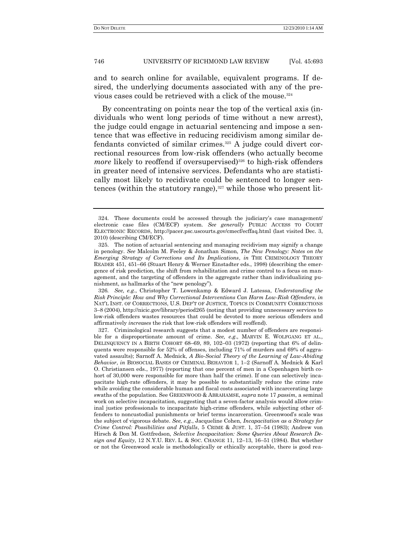and to search online for available, equivalent programs. If desired, the underlying documents associated with any of the previous cases could be retrieved with a click of the mouse.<sup>324</sup>

By concentrating on points near the top of the vertical axis (individuals who went long periods of time without a new arrest), the judge could engage in actuarial sentencing and impose a sentence that was effective in reducing recidivism among similar defendants convicted of similar crimes.<sup>325</sup> A judge could divert correctional resources from low-risk offenders (who actually become *more* likely to reoffend if oversupervised)<sup>326</sup> to high-risk offenders in greater need of intensive services. Defendants who are statistically most likely to recidivate could be sentenced to longer sentences (within the statutory range), $327$  while those who present lit-

<sup>324.</sup> These documents could be accessed through the judiciary's case management/ electronic case files (CM/ECF) system. *See generally* PUBLIC ACCESS TO COURT ELECTRONIC RECORDS, http://pacer.psc.uscourts.gov/cmecf/ecffaq.html (last visited Dec. 3, 2010) (describing CM/ECF).

<sup>325.</sup> The notion of actuarial sentencing and managing recidivism may signify a change in penology. *See* Malcolm M. Feeley & Jonathan Simon, *The New Penology: Notes on the Emerging Strategy of Corrections and Its Implications*, *in* THE CRIMINOLOGY THEORY READER 451, 451–66 (Stuart Henry & Werner Einstadter eds., 1998) (describing the emergence of risk prediction, the shift from rehabilitation and crime control to a focus on management, and the targeting of offenders in the aggregate rather than individualizing punishment, as hallmarks of the "new penology").

<sup>326</sup>*. See, e.g*., Christopher T. Lowenkamp & Edward J. Latessa, *Understanding the Risk Principle: How and Why Correctional Interventions Can Harm Low-Risk Offenders*, *in* NAT'L INST. OF CORRECTIONS, U.S. DEP'T OF JUSTICE, TOPICS IN COMMUNITY CORRECTIONS 3–8 (2004), <http://nicic.gov/library/period265> (noting that providing unnecessary services to low-risk offenders wastes resources that could be devoted to more serious offenders and affirmatively *increases* the risk that low-risk offenders will reoffend).

<sup>327.</sup> Criminological research suggests that a modest number of offenders are responsible for a disproportionate amount of crime. *See, e.g*., MARVIN E. WOLFGANG ET AL., DELINQUENCY IN A BIRTH COHORT 68–69, 89, 102–03 (1972) (reporting that 6% of delinquents were responsible for 52% of offenses, including 71% of murders and 69% of aggravated assaults); Sarnoff A. Mednick, *A Bio-Social Theory of the Learning of Law-Abiding Behavior*, *in* BIOSOCIAL BASES OF CRIMINAL BEHAVIOR 1, 1–2 (Sarnoff A. Mednick & Karl O. Christiansen eds., 1977) (reporting that one percent of men in a Copenhagen birth cohort of 30,000 were responsible for more than half the crime). If one can selectively incapacitate high-rate offenders, it may be possible to substantially reduce the crime rate while avoiding the considerable human and fiscal costs associated with incarcerating large swaths of the population. See GREENWOOD & ABRAHAMSE, *supra* note 17 *passim*, a seminal work on selective incapacitation, suggesting that a seven-factor analysis would allow criminal justice professionals to incapacitate high-crime offenders, while subjecting other offenders to noncustodial punishments or brief terms incarceration. Greenwood's scale was the subject of vigorous debate. *See, e.g.*, Jacqueline Cohen, *Incapacitation as a Strategy for Crime Control: Possibilities and Pitfalls*, 5 CRIME & JUST. 1, 37–54 (1983); Andrew von Hirsch & Don M. Gottfredson, *Selective Incapacitation: Some Queries About Research Design and Equity*, 12 N.Y.U. REV. L. & SOC. CHANGE 11, 12–13, 16–51 (1984). But whether or not the Greenwood scale is methodologically or ethically acceptable, there is good rea-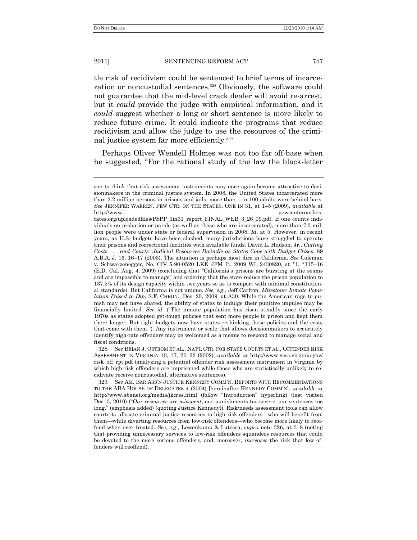tle risk of recidivism could be sentenced to brief terms of incarceration or noncustodial sentences.<sup>328</sup> Obviously, the software could not guarantee that the mid-level crack dealer will avoid re-arrest, but it *could* provide the judge with empirical information, and it *could* suggest whether a long or short sentence is more likely to reduce future crime. It could indicate the programs that reduce recidivism and allow the judge to use the resources of the criminal justice system far more efficiently.<sup>329</sup>

Perhaps Oliver Wendell Holmes was not too far off-base when he suggested, "For the rational study of the law the black-letter

328*. See* BRIAN J. OSTROM ET AL., NAT'L CTR. FOR STATE COURTS ET AL., OFFENDER RISK ASSESSMENT IN VIRGINIA 10, 17, 20–22 (2002), *available at* http://www.vcsc.virginia.gov/ risk\_off\_rpt.pdf (analyzing a potential offender risk assessment instrument in Virginia by which high-risk offenders are imprisoned while those who are statistically unlikely to recidivate receive noncustodial, alternative sentences).

329*. See* AM. BAR ASS'N JUSTICE KENNEDY COMM'N, REPORTS WITH RECOMMENDATIONS TO THE ABA HOUSE OF DELEGATES 4 (2004) [hereinafter KENNEDY COMM'N], *available at* http://www.abanet.org/media/jkcres.html (follow "Introduction" hyperlink) (last visited Dec. 3, 2010) ("Our *resources are misspent*, our punishments too severe, our sentences too long." (emphasis added) (quoting Justice Kennedy)). Risk/needs assessment tools can allow courts to allocate criminal justice resources to high-risk offenders—who will benefit from them—while diverting resources from low-risk offenders—who become more likely to reoffend when over-treated. *See, e.g*., Lowenkamp & Latessa, *supra* note 326, at 3–8 (noting that providing unnecessary services to low-risk offenders squanders resources that could be devoted to the more serious offenders, and, moreover, *increases* the risk that low offenders will reoffend).

son to think that risk-assessment instruments may once again become attractive to decisionmakers in the criminal justice system. In 2008, the United States incarcerated more than 2.2 million persons in prisons and jails; more than 1-in-100 adults were behind bars. *See* JENNIFER WARREN, PEW CTR. ON THE STATES, ONE IN 31, at 1–5 (2009), *available* at http://www. pewcenteronthes-

tates.org/uploadedfiles/PSPP\_1in31\_report\_FINAL\_WEB\_3\_26\_09.pdf. If one counts individuals on probation or parole (as well as those who are incarcerated), more than 7.3 million people were under state or federal supervision in 2008. *Id*. at 5. However, in recent years, as U.S. budgets have been slashed, many jurisdictions have struggled to operate their prisons and correctional facilities with available funds. David L. Hudson, Jr., *Cutting Costs . . . and Courts: Judicial Resources Dwindle as States Cope with Budget Crises*, 89 A.B.A. J. 16, 16–17 (2003). The situation is perhaps most dire in California. *See* Coleman v. Schwarzenegger, No. CIV 5-90-0520 LKK JFM P., 2009 WL 2430820, at \*1, \*115–16 (E.D. Cal. Aug. 4, 2009) (concluding that "California's prisons are bursting at the seams and are impossible to manage" and ordering that the state reduce the prison population to 137.5% of its design capacity within two years so as to comport with minimal constitutional standards). But California is not unique. *See, e.g.*, Jeff Carlton, *Milestone: Inmate Population Poised to Dip*, S.F. CHRON., Dec. 20, 2009, at A30. While the American rage to punish may not have abated, the ability of states to indulge their punitive impulse may be financially limited. *See id.* ("The inmate population has risen steadily since the early 1970s as states adopted get-tough policies that sent more people to prison and kept them there longer. But tight budgets now have states rethinking these policies and the costs that come with them."). Any instrument or scale that allows decisionmakers to accurately identify high-rate offenders may be welcomed as a means to respond to manage social and fiscal conditions.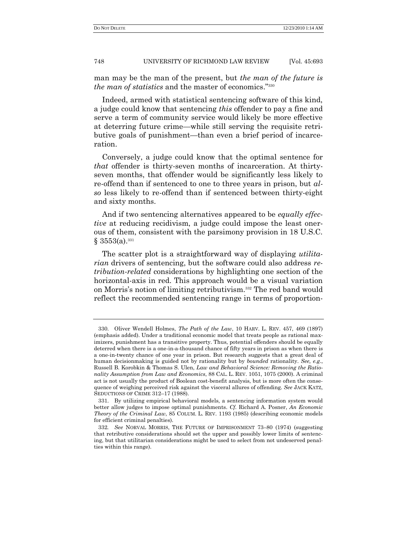man may be the man of the present, but *the man of the future is the man of statistics* and the master of economics."<sup>330</sup>

Indeed, armed with statistical sentencing software of this kind, a judge could know that sentencing *this* offender to pay a fine and serve a term of community service would likely be more effective at deterring future crime—while still serving the requisite retributive goals of punishment—than even a brief period of incarceration.

Conversely, a judge could know that the optimal sentence for *that* offender is thirty-seven months of incarceration. At thirtyseven months, that offender would be significantly less likely to re-offend than if sentenced to one to three years in prison, but *also* less likely to re-offend than if sentenced between thirty-eight and sixty months.

And if two sentencing alternatives appeared to be *equally effective* at reducing recidivism, a judge could impose the least onerous of them, consistent with the parsimony provision in 18 U.S.C.  $§$  3553(a).<sup>331</sup>

The scatter plot is a straightforward way of displaying *utilitarian* drivers of sentencing, but the software could also address *retribution-related* considerations by highlighting one section of the horizontal-axis in red. This approach would be a visual variation on Morris's notion of limiting retributivism.<sup>332</sup> The red band would reflect the recommended sentencing range in terms of proportion-

<sup>330.</sup> Oliver Wendell Holmes, *The Path of the Law*, 10 HARV. L. REV. 457, 469 (1897) (emphasis added). Under a traditional economic model that treats people as rational maximizers, punishment has a transitive property. Thus, potential offenders should be equally deterred when there is a one-in-a-thousand chance of fifty years in prison as when there is a one-in-twenty chance of one year in prison. But research suggests that a great deal of human decisionmaking is guided not by rationality but by *bounded* rationality. *See, e.g*., Russell B. Korobkin & Thomas S. Ulen, *Law and Behavioral Science: Removing the Rationality Assumption from Law and Economics*, 88 CAL. L. REV. 1051, 1075 (2000). A criminal act is not usually the product of Boolean cost-benefit analysis, but is more often the consequence of weighing perceived risk against the visceral allures of offending. *See* JACK KATZ, SEDUCTIONS OF CRIME 312–17 (1988).

<sup>331.</sup> By utilizing empirical behavioral models, a sentencing information system would better allow judges to impose optimal punishments. *Cf.* Richard A. Posner, *An Economic Theory of the Criminal Law*, 85 COLUM. L. REV. 1193 (1985) (describing economic models for efficient criminal penalties).

<sup>332</sup>*. See* NORVAL MORRIS, THE FUTURE OF IMPRISONMENT 73–80 (1974) (suggesting that retributive considerations should set the upper and possibly lower limits of sentencing, but that utilitarian considerations might be used to select from not undeserved penalties within this range).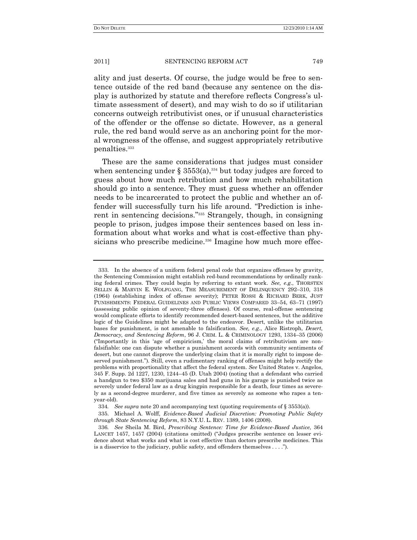ality and just deserts. Of course, the judge would be free to sentence outside of the red band (because any sentence on the display is authorized by statute and therefore reflects Congress's ultimate assessment of desert), and may wish to do so if utilitarian concerns outweigh retributivist ones, or if unusual characteristics of the offender or the offense so dictate. However, as a general rule, the red band would serve as an anchoring point for the moral wrongness of the offense, and suggest appropriately retributive penalties.<sup>333</sup>

These are the same considerations that judges must consider when sentencing under § 3553(a),<sup>334</sup> but today judges are forced to guess about how much retribution and how much rehabilitation should go into a sentence. They must guess whether an offender needs to be incarcerated to protect the public and whether an offender will successfully turn his life around. "Prediction is inherent in sentencing decisions."<sup>335</sup> Strangely, though, in consigning people to prison, judges impose their sentences based on less information about what works and what is cost-effective than physicians who prescribe medicine.<sup>336</sup> Imagine how much more effec-

<sup>333.</sup> In the absence of a uniform federal penal code that organizes offenses by gravity, the Sentencing Commission might establish red-band recommendations by ordinally ranking federal crimes. They could begin by referring to extant work. *See, e.g*., THORSTEN SELLIN & MARVIN E. WOLFGANG, THE MEASUREMENT OF DELINQUENCY 292–310, 318 (1964) (establishing index of offense severity); PETER ROSSI & RICHARD BERK, JUST PUNISHMENTS: FEDERAL GUIDELINES AND PUBLIC VIEWS COMPARED 33–54, 63–71 (1997) (assessing public opinion of seventy-three offenses). Of course, real-offense sentencing would complicate efforts to identify recommended desert-based sentences, but the additive logic of the Guidelines might be adapted to the endeavor. Desert, unlike the utilitarian bases for punishment, is not amenable to falsification. *See, e.g*., Alice Ristroph, *Desert, Democracy, and Sentencing Reform*, 96 J. CRIM. L. & CRIMINOLOGY 1293, 1334–35 (2006) (―Importantly in this ‗age of empiricism,' the moral claims of retributivism are nonfalsifiable: one can dispute whether a punishment accords with community sentiments of desert, but one cannot disprove the underlying claim that it is morally right to impose deserved punishment."). Still, even a rudimentary ranking of offenses might help rectify the problems with proportionality that affect the federal system. *See* United States v. Angelos, 345 F. Supp. 2d 1227, 1230, 1244–45 (D. Utah 2004) (noting that a defendant who carried a handgun to two \$350 marijuana sales and had guns in his garage is punished twice as severely under federal law as a drug kingpin responsible for a death, four times as severely as a second-degree murderer, and five times as severely as someone who rapes a tenyear-old).

<sup>334</sup>*. See supra* note 20 and accompanying text (quoting requirements of § 3553(a)).

<sup>335.</sup> Michael A. Wolff, *Evidence-Based Judicial Discretion: Promoting Public Safety through State Sentencing Reform*, 83 N.Y.U. L. REV. 1389, 1406 (2008).

<sup>336</sup>*. See* Sheila M. Bird, *Prescribing Sentence: Time for Evidence-Based Justice*, 364 LANCET 1457, 1457 (2004) (citations omitted) ("Judges prescribe sentence on lesser evidence about what works and what is cost effective than doctors prescribe medicines. This is a disservice to the judiciary, public safety, and offenders themselves . . . .").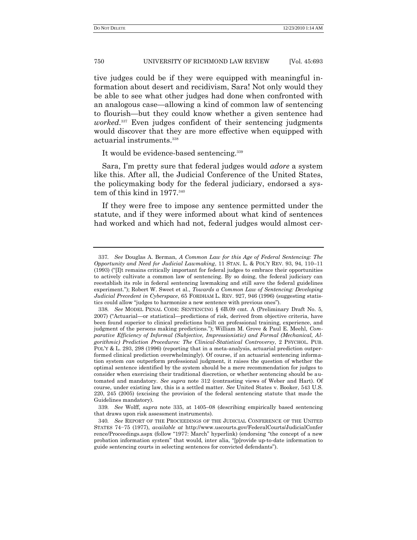tive judges could be if they were equipped with meaningful information about desert and recidivism, Sara! Not only would they be able to see what other judges had done when confronted with an analogous case—allowing a kind of common law of sentencing to flourish—but they could know whether a given sentence had *worked*. <sup>337</sup> Even judges confident of their sentencing judgments would discover that they are more effective when equipped with actuarial instruments.<sup>338</sup>

It would be evidence-based sentencing.<sup>339</sup>

Sara, I'm pretty sure that federal judges would *adore* a system like this. After all, the Judicial Conference of the United States, the policymaking body for the federal judiciary, endorsed a system of this kind in 1977.<sup>340</sup>

If they were free to impose any sentence permitted under the statute, and if they were informed about what kind of sentences had worked and which had not, federal judges would almost cer-

339*. See* Wolff, *supra* note 335, at 1405–08 (describing empirically based sentencing that draws upon risk assessment instruments).

<sup>337</sup>*. See* Douglas A. Berman, *A Common Law for this Age of Federal Sentencing: The Opportunity and Need for Judicial Lawmaking*, 11 STAN. L. & POL'Y REV. 93, 94, 110–11  $(1993)$  ("II]t remains critically important for federal judges to embrace their opportunities to actively cultivate a common law of sentencing. By so doing, the federal judiciary can reestablish its role in federal sentencing lawmaking and still save the federal guidelines experiment."); Robert W. Sweet et al., *Towards a Common Law of Sentencing: Developing Judicial Precedent in Cyberspace*, 65 FORDHAM L. REV. 927, 946 (1996) (suggesting statistics could allow "judges to harmonize a new sentence with previous ones").

<sup>338</sup>*. See* MODEL PENAL CODE: SENTENCING § 6B.09 cmt. A (Preliminary Draft No. 5, 2007) ("Actuarial—or statistical—predictions of risk, derived from objective criteria, have been found superior to clinical predictions built on professional training, experience, and judgment of the persons making predictions.‖); William M. Grove & Paul E. Meehl, *Comparative Efficiency of Informal (Subjective, Impressionistic) and Formal (Mechanical, Algorithmic) Prediction Procedures: The Clinical-Statistical Controversy*, 2 PSYCHOL. PUB. POL'Y & L. 293, 298 (1996) (reporting that in a meta-analysis, actuarial prediction outperformed clinical prediction overwhelmingly). Of course, if an actuarial sentencing information system *can* outperform professional judgment, it raises the question of whether the optimal sentence identified by the system should be a mere recommendation for judges to consider when exercising their traditional discretion, or whether sentencing should be automated and mandatory. *See supra* note 312 (contrasting views of Weber and Hart). Of course, under existing law, this is a settled matter. *See* United States v. Booker, 543 U.S. 220, 245 (2005) (excising the provision of the federal sentencing statute that made the Guidelines mandatory).

<sup>340</sup>*. See* REPORT OF THE PROCEEDINGS OF THE JUDICIAL CONFERENCE OF THE UNITED STATES 74−75 (1977), *available at* http://www.uscourts.gov/FederalCourts/JudicialConfer rence/Proceedings.aspx (follow "1977: March" hyperlink) (endorsing "the concept of a new probation information system" that would, inter alia, "[p]rovide up-to-date information to guide sentencing courts in selecting sentences for convicted defendants‖).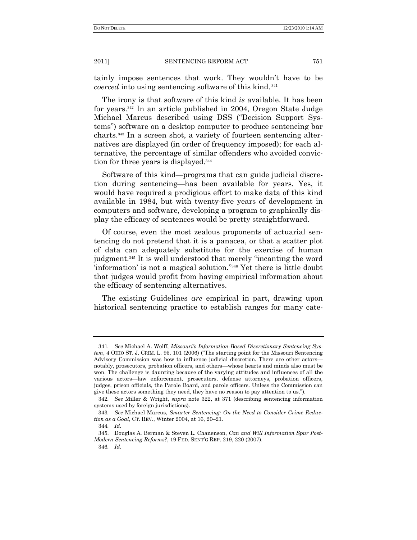tainly impose sentences that work. They wouldn't have to be *coerced* into using sentencing software of this kind. <sup>341</sup>

The irony is that software of this kind *is* available. It has been for years.<sup>342</sup> In an article published in 2004, Oregon State Judge Michael Marcus described using DSS ("Decision Support Systems") software on a desktop computer to produce sentencing bar charts.<sup>343</sup> In a screen shot, a variety of fourteen sentencing alternatives are displayed (in order of frequency imposed); for each alternative, the percentage of similar offenders who avoided conviction for three years is displayed.<sup>344</sup>

Software of this kind—programs that can guide judicial discretion during sentencing—has been available for years. Yes, it would have required a prodigious effort to make data of this kind available in 1984, but with twenty-five years of development in computers and software, developing a program to graphically display the efficacy of sentences would be pretty straightforward.

Of course, even the most zealous proponents of actuarial sentencing do not pretend that it is a panacea, or that a scatter plot of data can adequately substitute for the exercise of human judgment.<sup>345</sup> It is well understood that merely "incanting the word 'information' is not a magical solution."<sup>346</sup> Yet there is little doubt that judges would profit from having empirical information about the efficacy of sentencing alternatives.

The existing Guidelines *are* empirical in part, drawing upon historical sentencing practice to establish ranges for many cate-

<sup>341</sup>*. See* Michael A. Wolff, *Missouri"s Information-Based Discretionary Sentencing System*, 4 OHIO ST. J. CRIM. L. 95, 101 (2006) ("The starting point for the Missouri Sentencing Advisory Commission was how to influence judicial discretion. There are other actors notably, prosecutors, probation officers, and others—whose hearts and minds also must be won. The challenge is daunting because of the varying attitudes and influences of all the various actors—law enforcement, prosecutors, defense attorneys, probation officers, judges, prison officials, the Parole Board, and parole officers. Unless the Commission can give these actors something they need, they have no reason to pay attention to us.").

<sup>342</sup>*. See* Miller & Wright, *supra* note 322, at 371 (describing sentencing information systems used by foreign jurisdictions).

<sup>343</sup>*. See* Michael Marcus, *Smarter Sentencing: On the Need to Consider Crime Reduction as a Goal*, CT. REV., Winter 2004, at 16, 20–21.

<sup>344</sup>*. Id*.

<sup>345.</sup> Douglas A. Berman & Steven L. Chanenson, *Can and Will Information Spur Post-Modern Sentencing Reforms?*, 19 FED. SENT'G REP. 219, 220 (2007).

<sup>346</sup>*. Id*.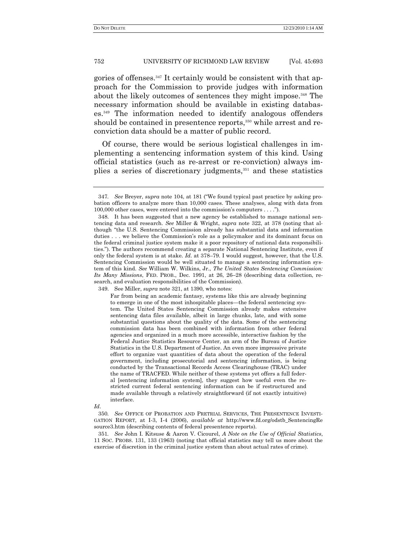gories of offenses.<sup>347</sup> It certainly would be consistent with that approach for the Commission to provide judges with information about the likely outcomes of sentences they might impose.<sup>348</sup> The necessary information should be available in existing databases.<sup>349</sup> The information needed to identify analogous offenders should be contained in presentence reports,<sup>350</sup> while arrest and reconviction data should be a matter of public record.

Of course, there would be serious logistical challenges in implementing a sentencing information system of this kind. Using official statistics (such as re-arrest or re-conviction) always implies a series of discretionary judgments,<sup>351</sup> and these statistics

349. See Miller, *supra* note 321, at 1390, who notes:

Far from being an academic fantasy, systems like this are already beginning to emerge in one of the most inhospitable places—the federal sentencing system. The United States Sentencing Commission already makes extensive sentencing data files available, albeit in large chunks, late, and with some substantial questions about the quality of the data. Some of the sentencing commission data has been combined with information from other federal agencies and organized in a much more accessible, interactive fashion by the Federal Justice Statistics Resource Center, an arm of the Bureau of Justice Statistics in the U.S. Department of Justice. An even more impressive private effort to organize vast quantities of data about the operation of the federal government, including prosecutorial and sentencing information, is being conducted by the Transactional Records Access Clearinghouse (TRAC) under the name of TRACFED. While neither of these systems yet offers a full federal [sentencing information system], they suggest how useful even the restricted current federal sentencing information can be if restructured and made available through a relatively straightforward (if not exactly intuitive) interface.

*Id*.

350*. See* OFFICE OF PROBATION AND PRETRIAL SERVICES, THE PRESENTENCE INVESTI-GATION REPORT, at I-3, I-4 (2006), *available at* http://www.fd.org/odstb\_SentencingRe source3.htm (describing contents of federal presentence reports).

351*. See* John I. Kitsuse & Aaron V. Cicourel, *A Note on the Use of Official Statistics*, 11 SOC. PROBS. 131, 133 (1963) (noting that official statistics may tell us more about the exercise of discretion in the criminal justice system than about actual rates of crime).

<sup>347.</sup> *See Brever, supra* note 104, at 181 ("We found typical past practice by asking probation officers to analyze more than 10,000 cases. These analyses, along with data from 100,000 other cases, were entered into the commission's computers . . . .").

<sup>348.</sup> It has been suggested that a new agency be established to manage national sentencing data and research. *See* Miller & Wright, *supra* note 322, at 378 (noting that although "the U.S. Sentencing Commission already has substantial data and information duties . . . we believe the Commission's role as a policymaker and its dominant focus on the federal criminal justice system make it a poor repository of national data responsibilities.‖). The authors recommend creating a separate National Sentencing Institute, even if only the federal system is at stake. *Id*. at 378–79. I would suggest, however, that the U.S. Sentencing Commission would be well situated to manage a sentencing information system of this kind. *See* William W. Wilkins, Jr., *The United States Sentencing Commission: Its Many Missions*, FED. PROB., Dec. 1991, at 26, 26–28 (describing data collection, research, and evaluation responsibilities of the Commission).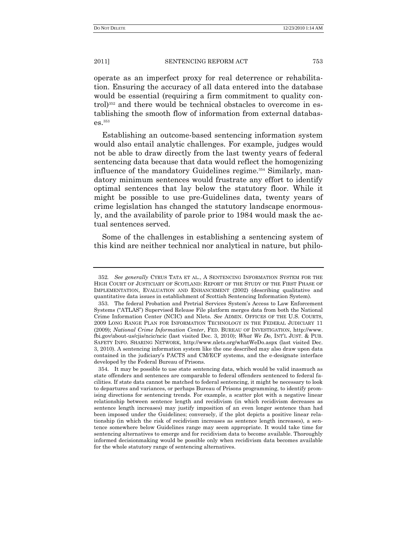operate as an imperfect proxy for real deterrence or rehabilitation. Ensuring the accuracy of all data entered into the database would be essential (requiring a firm commitment to quality control) <sup>352</sup> and there would be technical obstacles to overcome in establishing the smooth flow of information from external databases.<sup>353</sup>

Establishing an outcome-based sentencing information system would also entail analytic challenges. For example, judges would not be able to draw directly from the last twenty years of federal sentencing data because that data would reflect the homogenizing influence of the mandatory Guidelines regime.<sup>354</sup> Similarly, mandatory minimum sentences would frustrate any effort to identify optimal sentences that lay below the statutory floor. While it might be possible to use pre-Guidelines data, twenty years of crime legislation has changed the statutory landscape enormously, and the availability of parole prior to 1984 would mask the actual sentences served.

Some of the challenges in establishing a sentencing system of this kind are neither technical nor analytical in nature, but philo-

<sup>352</sup>*. See generally* CYRUS TATA ET AL., A SENTENCING INFORMATION SYSTEM FOR THE HIGH COURT OF JUSTICIARY OF SCOTLAND: REPORT OF THE STUDY OF THE FIRST PHASE OF IMPLEMENTATION, EVALUATION AND ENHANCEMENT (2002) (describing qualitative and quantitative data issues in establishment of Scottish Sentencing Information System).

<sup>353.</sup> The federal Probation and Pretrial Services System's Access to Law Enforcement Systems ("ATLAS") Supervised Release File platform merges data from both the National Crime Information Center (NCIC) and Nlets. *See* ADMIN. OFFICES OF THE U.S. COURTS, 2009 LONG RANGE PLAN FOR INFORMATION TECHNOLOGY IN THE FEDERAL JUDICIARY 11 (2009); *National Crime Information Center*, FED. BUREAU OF INVESTIGATION, http://www. fbi.gov/about-us/cjis/ncic/ncic (last visited Dec. 3, 2010); *What We Do*, INT'L JUST. & PUB. SAFETY INFO. SHARING NETWORK, http://www.nlets.org/whatWeDo.aspx (last visited Dec. 3, 2010). A sentencing information system like the one described may also draw upon data contained in the judiciary's PACTS and CM/ECF systems, and the e-designate interface developed by the Federal Bureau of Prisons.

<sup>354.</sup> It may be possible to use state sentencing data, which would be valid inasmuch as state offenders and sentences are comparable to federal offenders sentenced to federal facilities. If state data cannot be matched to federal sentencing, it might be necessary to look to departures and variances, or perhaps Bureau of Prisons programming, to identify promising directions for sentencing trends. For example, a scatter plot with a negative linear relationship between sentence length and recidivism (in which recidivism decreases as sentence length increases) may justify imposition of an even longer sentence than had been imposed under the Guidelines; conversely, if the plot depicts a positive linear relationship (in which the risk of recidivism increases as sentence length increases), a sentence somewhere below Guidelines range may seem appropriate. It would take time for sentencing alternatives to emerge and for recidivism data to become available. Thoroughly informed decisionmaking would be possible only when recidivism data becomes available for the whole statutory range of sentencing alternatives.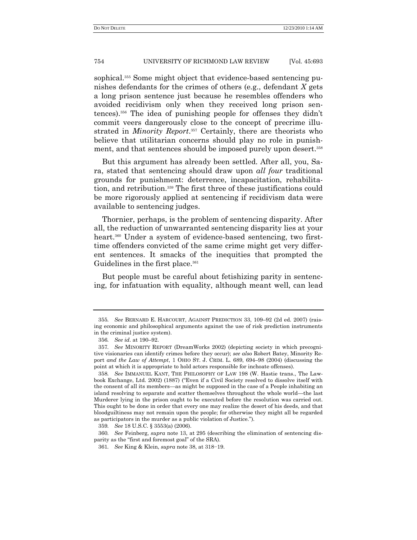sophical.<sup>355</sup> Some might object that evidence-based sentencing punishes defendants for the crimes of others (e.g., defendant *X* gets a long prison sentence just because he resembles offenders who avoided recidivism only when they received long prison sentences).<sup>356</sup> The idea of punishing people for offenses they didn't commit veers dangerously close to the concept of precrime illustrated in *Minority Report*. <sup>357</sup> Certainly, there are theorists who believe that utilitarian concerns should play no role in punishment, and that sentences should be imposed purely upon desert.<sup>358</sup>

But this argument has already been settled. After all, you, Sara, stated that sentencing should draw upon *all four* traditional grounds for punishment: deterrence, incapacitation, rehabilitation, and retribution.<sup>359</sup> The first three of these justifications could be more rigorously applied at sentencing if recidivism data were available to sentencing judges.

Thornier, perhaps, is the problem of sentencing disparity. After all, the reduction of unwarranted sentencing disparity lies at your heart.<sup>360</sup> Under a system of evidence-based sentencing, two firsttime offenders convicted of the same crime might get very different sentences. It smacks of the inequities that prompted the Guidelines in the first place.<sup>361</sup>

But people must be careful about fetishizing parity in sentencing, for infatuation with equality, although meant well, can lead

<sup>355</sup>*. See* BERNARD E. HARCOURT, AGAINST PREDICTION 33, 109–92 (2d ed. 2007) (raising economic and philosophical arguments against the use of risk prediction instruments in the criminal justice system).

<sup>356</sup>*. See id*. at 190–92.

<sup>357</sup>*. See* MINORITY REPORT (DreamWorks 2002) (depicting society in which precognitive visionaries can identify crimes before they occur); *see also* Robert Batey, Minority Report *and the Law of Attempt*, 1 OHIO ST. J. CRIM. L. 689, 694–98 (2004) (discussing the point at which it is appropriate to hold actors responsible for inchoate offenses).

<sup>358</sup>*. See* IMMANUEL KANT, THE PHILOSOPHY OF LAW 198 (W. Hastie trans., The Lawbook Exchange, Ltd. 2002) (1887) ("Even if a Civil Society resolved to dissolve itself with the consent of all its members—as might be supposed in the case of a People inhabiting an island resolving to separate and scatter themselves throughout the whole world—the last Murderer lying in the prison ought to be executed before the resolution was carried out. This ought to be done in order that every one may realize the desert of his deeds, and that bloodguiltiness may not remain upon the people; for otherwise they might all be regarded as participators in the murder as a public violation of Justice.").

<sup>359</sup>*. See* 18 U.S.C. § 3553(a) (2006).

<sup>360</sup>*. See* Feinberg, *supra* note 13, at 295 (describing the elimination of sentencing disparity as the "first and foremost goal" of the SRA).

<sup>361</sup>*. See* King & Klein, *supra* note 38, at 318−19.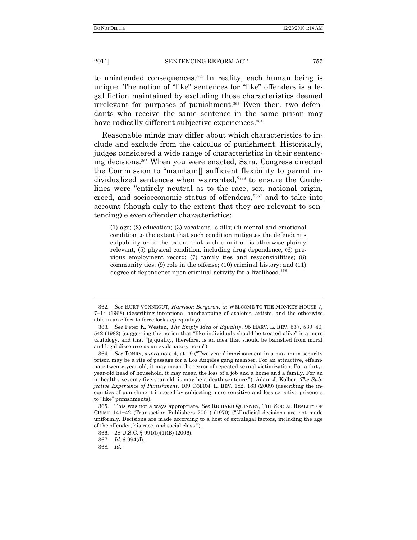to unintended consequences.<sup>362</sup> In reality, each human being is unique. The notion of "like" sentences for "like" offenders is a legal fiction maintained by excluding those characteristics deemed irrelevant for purposes of punishment.<sup>363</sup> Even then, two defendants who receive the same sentence in the same prison may have radically different subjective experiences.<sup>364</sup>

Reasonable minds may differ about which characteristics to include and exclude from the calculus of punishment. Historically, judges considered a wide range of characteristics in their sentencing decisions.<sup>365</sup> When you were enacted, Sara, Congress directed the Commission to "maintain $\parallel$  sufficient flexibility to permit individualized sentences when warranted,"<sup>366</sup> to ensure the Guidelines were "entirely neutral as to the race, sex, national origin, creed, and socioeconomic status of offenders,"<sup>367</sup> and to take into account (though only to the extent that they are relevant to sentencing) eleven offender characteristics:

(1) age; (2) education; (3) vocational skills; (4) mental and emotional condition to the extent that such condition mitigates the defendant's culpability or to the extent that such condition is otherwise plainly relevant; (5) physical condition, including drug dependence; (6) previous employment record; (7) family ties and responsibilities; (8) community ties; (9) role in the offense; (10) criminal history; and (11) degree of dependence upon criminal activity for a livelihood.<sup>368</sup>

<sup>362</sup>*. See* KURT VONNEGUT, *Harrison Bergeron*, *in* WELCOME TO THE MONKEY HOUSE 7, 7−14 (1968) (describing intentional handicapping of athletes, artists, and the otherwise able in an effort to force lockstep equality).

<sup>363</sup>*. See* Peter K. Westen, *The Empty Idea of Equality*, 95 HARV. L. REV. 537, 539−40,  $542$  (1982) (suggesting the notion that "like individuals should be treated alike" is a mere tautology, and that "[e]quality, therefore, is an idea that should be banished from moral and legal discourse as an explanatory norm").

<sup>364.</sup> *See* TONRY, *supra* note 4, at 19 ("Two years' imprisonment in a maximum security prison may be a rite of passage for a Los Angeles gang member. For an attractive, effeminate twenty-year-old, it may mean the terror of repeated sexual victimization. For a fortyyear-old head of household, it may mean the loss of a job and a home and a family. For an unhealthy seventy-five-year-old, it may be a death sentence."); Adam J. Kolber, *The Subjective Experience of Punishment*, 109 COLUM. L. REV. 182, 183 (2009) (describing the inequities of punishment imposed by subjecting more sensitive and less sensitive prisoners to "like" punishments).

<sup>365.</sup> This was not always appropriate. *See* RICHARD QUINNEY, THE SOCIAL REALITY OF CRIME  $141-42$  (Transaction Publishers 2001) (1970) ("[J]udicial decisions are not made uniformly. Decisions are made according to a host of extralegal factors, including the age of the offender, his race, and social class.‖).

 <sup>366.</sup> 28 U.S.C. § 991(b)(1)(B) (2006).

<sup>367.</sup> *Id*. § 994(d).

<sup>368</sup>*. Id*.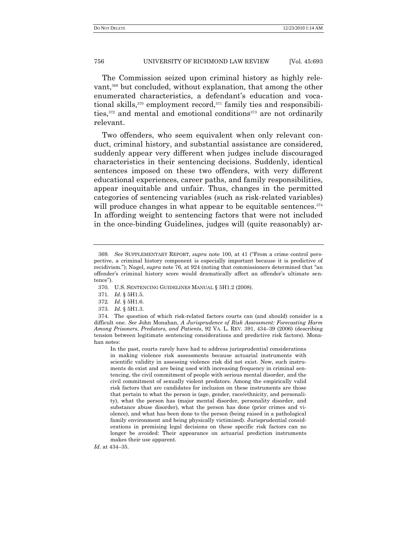The Commission seized upon criminal history as highly relevant,<sup>369</sup> but concluded, without explanation, that among the other enumerated characteristics, a defendant's education and vocational skills,<sup>370</sup> employment record,<sup>371</sup> family ties and responsibilities,<sup>372</sup> and mental and emotional conditions<sup>373</sup> are not ordinarily relevant.

Two offenders, who seem equivalent when only relevant conduct, criminal history, and substantial assistance are considered, suddenly appear very different when judges include discouraged characteristics in their sentencing decisions. Suddenly, identical sentences imposed on these two offenders, with very different educational experiences, career paths, and family responsibilities, appear inequitable and unfair. Thus, changes in the permitted categories of sentencing variables (such as risk-related variables) will produce changes in what appear to be equitable sentences.<sup>374</sup> In affording weight to sentencing factors that were not included in the once-binding Guidelines, judges will (quite reasonably) ar-

In the past, courts rarely have had to address jurisprudential considerations in making violence risk assessments because actuarial instruments with scientific validity in assessing violence risk did not exist. Now, such instruments do exist and are being used with increasing frequency in criminal sentencing, the civil commitment of people with serious mental disorder, and the civil commitment of sexually violent predators. Among the empirically valid risk factors that are candidates for inclusion on these instruments are those that pertain to what the person is (age, gender, race/ethnicity, and personality), what the person has (major mental disorder, personality disorder, and substance abuse disorder), what the person has done (prior crimes and violence), and what has been done to the person (being raised in a pathological family environment and being physically victimized). Jurisprudential considerations in premising legal decisions on these specific risk factors can no longer be avoided: Their appearance on actuarial prediction instruments makes their use apparent.

*Id*. at 434–35.

<sup>369.</sup> See SUPPLEMENTARY REPORT, *supra* note 100, at 41 ("From a crime control perspective, a criminal history component is especially important because it is predictive of recidivism."); Nagel, *supra* note 76, at 924 (noting that commissioners determined that "an offender's criminal history score would dramatically affect an offender's ultimate sentence").

<sup>370.</sup> U.S. SENTENCING GUIDELINES MANUAL § 5H1.2 (2008).

<sup>371</sup>*. Id*. § 5H1.5.

<sup>372</sup>*. Id*. § 5H1.6.

<sup>373</sup>*. Id*. § 5H1.3.

<sup>374.</sup> The question of which risk-related factors courts can (and should) consider is a difficult one. *See* John Monahan, *A Jurisprudence of Risk Assessment: Forecasting Harm Among Prisoners, Predators, and Patients*, 92 VA. L. REV. 391, 434–39 (2006) (describing tension between legitimate sentencing considerations and predictive risk factors). Monahan notes: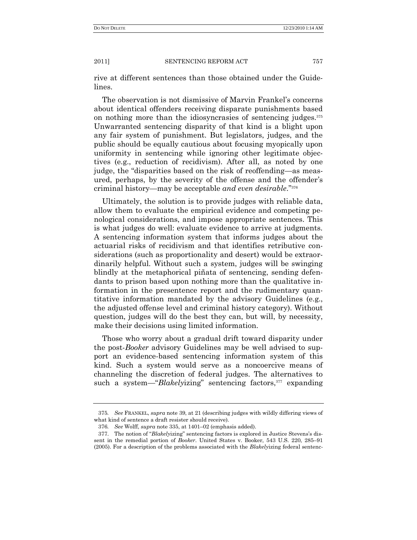rive at different sentences than those obtained under the Guidelines.

The observation is not dismissive of Marvin Frankel's concerns about identical offenders receiving disparate punishments based on nothing more than the idiosyncrasies of sentencing judges.<sup>375</sup> Unwarranted sentencing disparity of that kind is a blight upon any fair system of punishment. But legislators, judges, and the public should be equally cautious about focusing myopically upon uniformity in sentencing while ignoring other legitimate objectives (e.g., reduction of recidivism). After all, as noted by one judge, the "disparities based on the risk of reoffending—as measured, perhaps, by the severity of the offense and the offender's criminal history—may be acceptable and even desirable."<sup>376</sup>

Ultimately, the solution is to provide judges with reliable data, allow them to evaluate the empirical evidence and competing penological considerations, and impose appropriate sentences. This is what judges do well: evaluate evidence to arrive at judgments. A sentencing information system that informs judges about the actuarial risks of recidivism and that identifies retributive considerations (such as proportionality and desert) would be extraordinarily helpful. Without such a system, judges will be swinging blindly at the metaphorical piñata of sentencing, sending defendants to prison based upon nothing more than the qualitative information in the presentence report and the rudimentary quantitative information mandated by the advisory Guidelines (e.g., the adjusted offense level and criminal history category). Without question, judges will do the best they can, but will, by necessity, make their decisions using limited information.

Those who worry about a gradual drift toward disparity under the post-*Booker* advisory Guidelines may be well advised to support an evidence-based sentencing information system of this kind. Such a system would serve as a noncoercive means of channeling the discretion of federal judges. The alternatives to such a system—"*Blakelyizing*" sentencing factors,<sup>377</sup> expanding

<sup>375</sup>*. See* FRANKEL, *supra* note 39, at 21 (describing judges with wildly differing views of what kind of sentence a draft resister should receive).

<sup>376</sup>*. See* Wolff, *supra* note 335, at 1401–02 (emphasis added).

<sup>377.</sup> The notion of "*Blakelyizing*" sentencing factors is explored in Justice Stevens's dissent in the remedial portion of *Booker*. United States v. Booker, 543 U.S. 220, 285–91 (2005). For a description of the problems associated with the *Blakely*izing federal sentenc-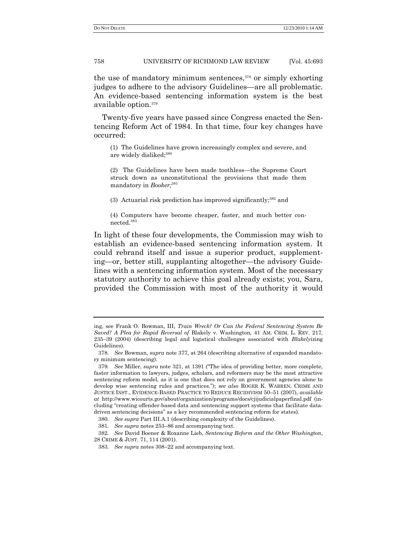the use of mandatory minimum sentences, $378$  or simply exhorting judges to adhere to the advisory Guidelines—are all problematic. An evidence-based sentencing information system is the best available option.<sup>379</sup>

Twenty-five years have passed since Congress enacted the Sentencing Reform Act of 1984. In that time, four key changes have occurred:

(1) The Guidelines have grown increasingly complex and severe, and are widely disliked; 380

(2) The Guidelines have been made toothless—the Supreme Court struck down as unconstitutional the provisions that made them mandatory in *Booker;* 381

(3) Actuarial risk prediction has improved significantly; <sup>382</sup> and

(4) Computers have become cheaper, faster, and much better con $nected.<sup>383</sup>$ 

In light of these four developments, the Commission may wish to establish an evidence-based sentencing information system. It could rebrand itself and issue a superior product, supplementing—or, better still, supplanting altogether—the advisory Guidelines with a sentencing information system. Most of the necessary statutory authority to achieve this goal already exists; you, Sara, provided the Commission with most of the authority it would

ing, see Frank O. Bowman, III, *Train Wreck? Or Can the Federal Sentencing System Be Saved? A Plea for Rapid Reversal of* Blakely v. Washington, 41 AM. CRIM. L. REV. 217, 235–39 (2004) (describing legal and logistical challenges associated with *Blakely*izing Guidelines).

<sup>378</sup>*. See* Bowman, *supra* note 377, at 264 (describing alternative of expanded mandatory minimum sentencing).

<sup>379.</sup> *See* Miller, *supra* note 321, at 1391 ("The idea of providing better, more complete, faster information to lawyers, judges, scholars, and reformers may be the most attractive sentencing reform model, as it is one that does not rely on government agencies alone to develop wise sentencing rules and practices.‖); *see also* ROGER K. WARREN, CRIME AND JUSTICE INST., EVIDENCE-BASED PRACTICE TO REDUCE RECIDIVISM 50–51 (2007), *available at* http://www.wicourts.gov/about/organization/programs/docs/cjijudicialpaperfinal.pdf (including "creating offender-based data and sentencing support systems that facilitate datadriven sentencing decisions" as a key recommended sentencing reform for states).

<sup>380</sup>*. See supra* Part III.A.1 (describing complexity of the Guidelines).

<sup>381</sup>*. See supra* notes 253–86 and accompanying text.

<sup>382</sup>*. See* David Boener & Roxanne Lieb, *Sentencing Reform and the Other Washington*, 28 CRIME & JUST. 71, 114 (2001).

<sup>383</sup>*. See supra* notes 308–22 and accompanying text.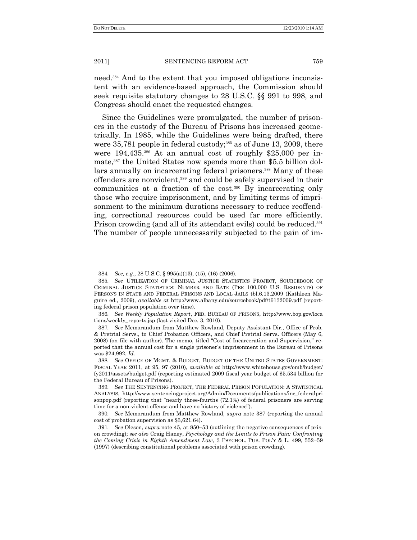need.<sup>384</sup> And to the extent that you imposed obligations inconsistent with an evidence-based approach, the Commission should seek requisite statutory changes to 28 U.S.C. §§ 991 to 998, and Congress should enact the requested changes.

Since the Guidelines were promulgated, the number of prisoners in the custody of the Bureau of Prisons has increased geometrically. In 1985, while the Guidelines were being drafted, there were  $35,781$  people in federal custody;<sup>385</sup> as of June 13, 2009, there were 194,435.<sup>386</sup> At an annual cost of roughly \$25,000 per inmate,<sup>387</sup> the United States now spends more than \$5.5 billion dollars annually on incarcerating federal prisoners.<sup>388</sup> Many of these offenders are nonviolent,<sup>389</sup> and could be safely supervised in their communities at a fraction of the cost.<sup>390</sup> By incarcerating only those who require imprisonment, and by limiting terms of imprisonment to the minimum durations necessary to reduce reoffending, correctional resources could be used far more efficiently. Prison crowding (and all of its attendant evils) could be reduced.<sup>391</sup> The number of people unnecessarily subjected to the pain of im-

<sup>384</sup>*. See, e.g.*, 28 U.S.C. § 995(a)(13), (15), (16) (2006).

<sup>385</sup>*. See* UTILIZATION OF CRIMINAL JUSTICE STATISTICS PROJECT, SOURCEBOOK OF CRIMINAL JUSTICE STATISTICS: NUMBER AND RATE (PER 100,000 U.S. RESIDENTS) OF PERSONS IN STATE AND FEDERAL PRISONS AND LOCAL JAILS tbl.6.13.2009 (Kathleen Maguire ed., 2009), *available at* http://www.albany.edu/sourcebook/pdf/t6132009.pdf (reporting federal prison population over time).

<sup>386</sup>*. See Weekly Population Report*, FED. BUREAU OF PRISONS, http://www.bop.gov/loca tions/weekly\_reports.jsp (last visited Dec. 3, 2010).

<sup>387</sup>*. See* Memorandum from Matthew Rowland, Deputy Assistant Dir., Office of Prob. & Pretrial Servs., to Chief Probation Officers, and Chief Pretrial Servs. Officers (May 6, 2008) (on file with author). The memo, titled "Cost of Incarceration and Supervision," reported that the annual cost for a single prisoner's imprisonment in the Bureau of Prisons was \$24,992. *Id.*

<sup>388</sup>*. See* OFFICE OF MGMT. & BUDGET, BUDGET OF THE UNITED STATES GOVERNMENT: FISCAL YEAR 2011, at 95, 97 (2010), *available at* http://www.whitehouse.gov/omb/budget/ fy2011/assets/budget.pdf (reporting estimated 2009 fiscal year budget of \$5.534 billion for the Federal Bureau of Prisons).

<sup>389</sup>*. See* THE SENTENCING PROJECT, THE FEDERAL PRISON POPULATION: A STATISTICAL ANALYSIS, http://www.sentencingproject.org/Admin/Documents/publications/inc\_federalpri sonpop.pdf (reporting that "nearly three-fourths  $(72.1%)$  of federal prisoners are serving time for a non-violent offense and have no history of violence").

<sup>390</sup>*. See* Memorandum from Matthew Rowland, *supra* note 387 (reporting the annual cost of probation supervision as \$3,621.64).

<sup>391</sup>*. See* Oleson, *supra* note 45, at 850−53 (outlining the negative consequences of prison crowding); *see also* Craig Haney, *Psychology and the Limits to Prison Pain: Confronting the Coming Crisis in Eighth Amendment Law*, 3 PSYCHOL. PUB. POL'Y & L. 499, 552–59 (1997) (describing constitutional problems associated with prison crowding).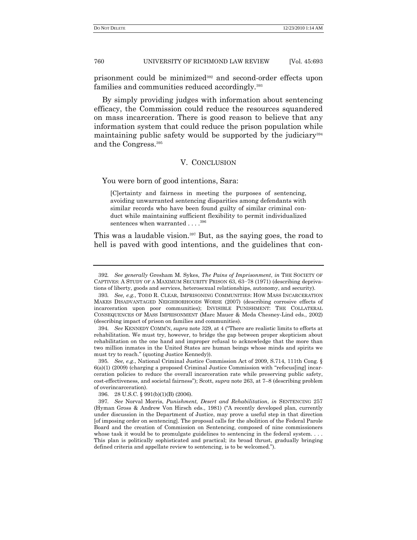prisonment could be minimized<sup>392</sup> and second-order effects upon families and communities reduced accordingly.<sup>393</sup>

By simply providing judges with information about sentencing efficacy, the Commission could reduce the resources squandered on mass incarceration. There is good reason to believe that any information system that could reduce the prison population while maintaining public safety would be supported by the judiciary<sup>394</sup> and the Congress.<sup>395</sup>

## V. CONCLUSION

You were born of good intentions, Sara:

[C]ertainty and fairness in meeting the purposes of sentencing, avoiding unwarranted sentencing disparities among defendants with similar records who have been found guilty of similar criminal conduct while maintaining sufficient flexibility to permit individualized sentences when warranted . . . .<sup>396</sup>

This was a laudable vision.<sup>397</sup> But, as the saying goes, the road to hell is paved with good intentions, and the guidelines that con-

394. *See* KENNEDY COMM'N, *supra* note 329, at 4 ("There are realistic limits to efforts at rehabilitation. We must try, however, to bridge the gap between proper skepticism about rehabilitation on the one hand and improper refusal to acknowledge that the more than two million inmates in the United States are human beings whose minds and spirits we must try to reach." (quoting Justice Kennedy)).

395*. See, e.g*., National Criminal Justice Commission Act of 2009, S.714, 111th Cong. §  $6(a)(1)$  (2009) (charging a proposed Criminal Justice Commission with "refocus[ing] incarceration policies to reduce the overall incarceration rate while preserving public safety, cost-effectiveness, and societal fairness"); Scott, *supra* note 263, at 7–8 (describing problem of overincarceration).

396. 28 U.S.C. § 991(b)(1)(B) (2006).

<sup>392</sup>*. See generally* Gresham M. Sykes, *The Pains of Imprisonment*, *in* THE SOCIETY OF CAPTIVES: A STUDY OF A MAXIMUM SECURITY PRISON 63, 63−78 (1971) (describing deprivations of liberty, goods and services, heterosexual relationships, autonomy, and security).

<sup>393</sup>*. See, e.g.*, TODD R. CLEAR, IMPRISONING COMMUNITIES: HOW MASS INCARCERATION MAKES DISADVANTAGED NEIGHBORHOODS WORSE (2007) (describing corrosive effects of incarceration upon poor communities); INVISIBLE PUNISHMENT: THE COLLATERAL CONSEQUENCES OF MASS IMPRISONMENT (Marc Mauer & Meda Chesney-Lind eds., 2002) (describing impact of prison on families and communities).

<sup>397</sup>*. See* Norval Morris, *Punishment, Desert and Rehabilitation*, *in* SENTENCING 257 (Hyman Gross & Andrew Von Hirsch eds., 1981) ("A recently developed plan, currently under discussion in the Department of Justice, may prove a useful step in that direction [of imposing order on sentencing]. The proposal calls for the abolition of the Federal Parole Board and the creation of Commission on Sentencing, composed of nine commissioners whose task it would be to promulgate guidelines to sentencing in the federal system... This plan is politically sophisticated and practical; its broad thrust, gradually bringing defined criteria and appellate review to sentencing, is to be welcomed.").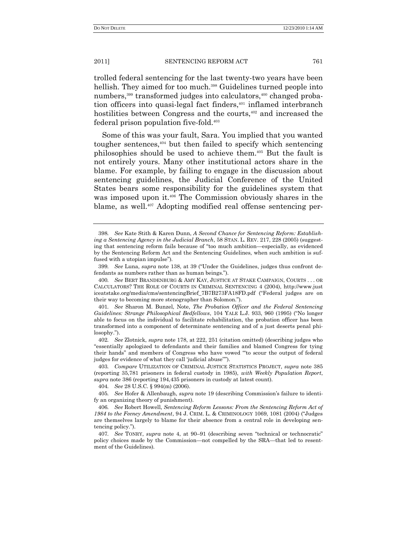trolled federal sentencing for the last twenty-two years have been hellish. They aimed for too much.<sup>398</sup> Guidelines turned people into numbers,<sup>399</sup> transformed judges into calculators,<sup>400</sup> changed probation officers into quasi-legal fact finders,<sup>401</sup> inflamed interbranch hostilities between Congress and the courts,<sup>402</sup> and increased the federal prison population five-fold.<sup>403</sup>

Some of this was your fault, Sara. You implied that you wanted tougher sentences,<sup>404</sup> but then failed to specify which sentencing philosophies should be used to achieve them.<sup>405</sup> But the fault is not entirely yours. Many other institutional actors share in the blame. For example, by failing to engage in the discussion about sentencing guidelines, the Judicial Conference of the United States bears some responsibility for the guidelines system that was imposed upon it.<sup>406</sup> The Commission obviously shares in the blame, as well.<sup>407</sup> Adopting modified real offense sentencing per-

<sup>398</sup>*. See* Kate Stith & Karen Dunn, *A Second Chance for Sentencing Reform: Establishing a Sentencing Agency in the Judicial Branch*, 58 STAN. L. REV. 217, 228 (2005) (suggesting that sentencing reform fails because of "too much ambition—especially, as evidenced by the Sentencing Reform Act and the Sentencing Guidelines, when such ambition is suffused with a utopian impulse").

<sup>399.</sup> *See* Luna, *supra* note 138, at 39 ("Under the Guidelines, judges thus confront defendants as numbers rather than as human beings.").

<sup>400</sup>*. See* BERT BRANDENBURG & AMY KAY, JUSTICE AT STAKE CAMPAIGN, COURTS . . . OR CALCULATORS? THE ROLE OF COURTS IN CRIMINAL SENTENCING 4 (2004), http://www.just iceatstake.org/media/cms/sentencingBrief\_7B7B273FA18FD.pdf ("Federal judges are on their way to becoming more stenographer than Solomon.").

<sup>401</sup>*. See* Sharon M. Bunzel, Note, *The Probation Officer and the Federal Sentencing Guidelines: Strange Philosophical Bedfellows*, 104 YALE L.J. 933, 960 (1995) ("No longer able to focus on the individual to facilitate rehabilitation, the probation officer has been transformed into a component of determinate sentencing and of a just deserts penal philosophy.").

<sup>402</sup>*. See* Zlotnick, *supra* note 178, at 222, 251 (citation omitted) (describing judges who ―essentially apologized to defendants and their families and blamed Congress for tying their hands" and members of Congress who have vowed "to scour the output of federal judges for evidence of what they call 'judicial abuse"").

<sup>403</sup>*. Compare* UTILIZATION OF CRIMINAL JUSTICE STATISTICS PROJECT, *supra* note 385 (reporting 35,781 prisoners in federal custody in 1985), *with Weekly Population Report*, *supra* note 386 (reporting 194,435 prisoners in custody at latest count).

<sup>404</sup>*. See* 28 U.S.C. § 994(m) (2006).

<sup>405</sup>*. See* Hofer & Allenbaugh, *supra* note 19 (describing Commission's failure to identify an organizing theory of punishment).

<sup>406</sup>*. See* Robert Howell, *Sentencing Reform Lessons: From the Sentencing Reform Act of 1984 to the Feeney Amendment*, 94 J. CRIM. L. & CRIMINOLOGY 1069, 1081 (2004) ("Judges are themselves largely to blame for their absence from a central role in developing sentencing policy.").

<sup>407.</sup> *See* TONRY, *supra* note 4, at 90–91 (describing seven "technical or technocratic" policy choices made by the Commission—not compelled by the SRA—that led to resentment of the Guidelines).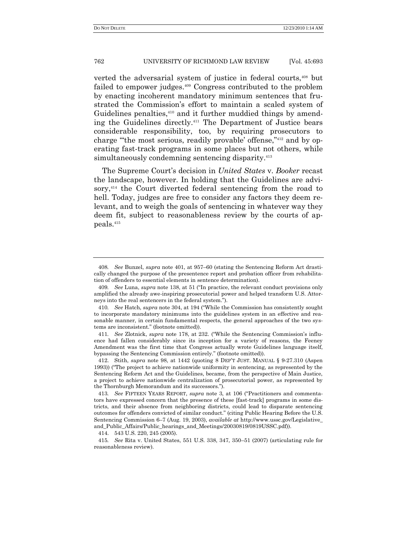verted the adversarial system of justice in federal courts,<sup>408</sup> but failed to empower judges.<sup>409</sup> Congress contributed to the problem by enacting incoherent mandatory minimum sentences that frustrated the Commission's effort to maintain a scaled system of Guidelines penalties,<sup>410</sup> and it further muddied things by amending the Guidelines directly.<sup>411</sup> The Department of Justice bears considerable responsibility, too, by requiring prosecutors to charge "the most serious, readily provable' offense,"<sup>412</sup> and by operating fast-track programs in some places but not others, while simultaneously condemning sentencing disparity.<sup>413</sup>

The Supreme Court's decision in *United States* v. *Booker* recast the landscape, however. In holding that the Guidelines are advisory,<sup>414</sup> the Court diverted federal sentencing from the road to hell. Today, judges are free to consider any factors they deem relevant, and to weigh the goals of sentencing in whatever way they deem fit, subject to reasonableness review by the courts of appeals.<sup>415</sup>

414. 543 U.S. 220, 245 (2005).

<sup>408</sup>*. See* Bunzel, *supra* note 401, at 957–60 (stating the Sentencing Reform Act drastically changed the purpose of the presentence report and probation officer from rehabilitation of offenders to essential elements in sentence determination).

<sup>409.</sup> *See* Luna, *supra* note 138, at 51 ("In practice, the relevant conduct provisions only amplified the already awe-inspiring prosecutorial power and helped transform U.S. Attorneys into the real sentencers in the federal system.").

<sup>410.</sup> *See* Hatch, *supra* note 304, at 194 ("While the Commission has consistently sought to incorporate mandatory minimums into the guidelines system in an effective and reasonable manner, in certain fundamental respects, the general approaches of the two systems are inconsistent." (footnote omitted)).

<sup>411.</sup> See Zlotnick, *supra* note 178, at 232. ("While the Sentencing Commission's influence had fallen considerably since its inception for a variety of reasons, the Feeney Amendment was the first time that Congress actually wrote Guidelines language itself, bypassing the Sentencing Commission entirely." (footnote omitted)).

<sup>412.</sup> Stith, *supra* note 98, at 1442 (quoting 8 DEP'T JUST. MANUAL § 9-27.310 (Aspen 1993)) ("The project to achieve nationwide uniformity in sentencing, as represented by the Sentencing Reform Act and the Guidelines, became, from the perspective of Main Justice, a project to achieve nationwide centralization of prosecutorial power, as represented by the Thornburgh Memorandum and its successors.").

<sup>413.</sup> See FIFTEEN YEARS REPORT, *supra* note 3, at 106 ("Practitioners and commentators have expressed concern that the presence of these [fast-track] programs in some districts, and their absence from neighboring districts, could lead to disparate sentencing outcomes for offenders convicted of similar conduct.‖ (citing Public Hearing Before the U.S. Sentencing Commission 6–7 (Aug. 19, 2003), *available at* http://www.ussc.gov/Legislative\_ and\_Public\_Affairs/Public\_hearings\_and\_Meetings/20030819/0819USSC.pdf)).

<sup>415</sup>*. See* Rita v. United States, 551 U.S. 338, 347, 350–51 (2007) (articulating rule for reasonableness review).